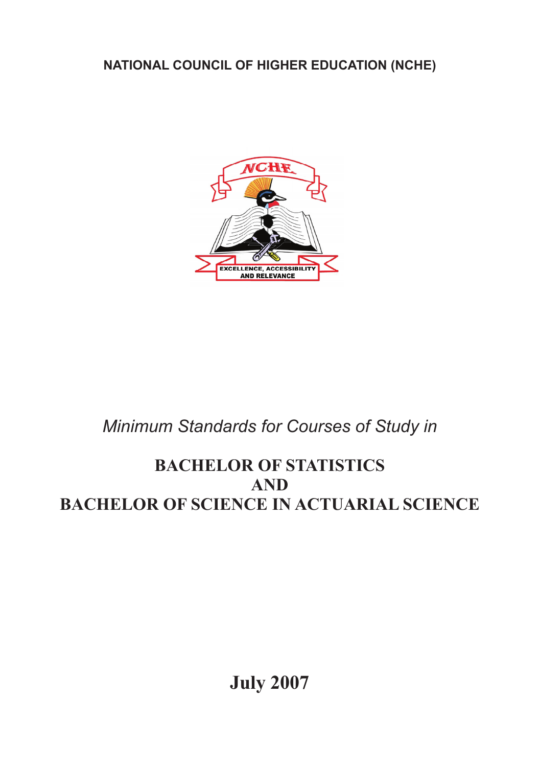**NATIONAL COUNCIL OF HIGHER EDUCATION (NCHE)**



# *Minimum Standards for Courses of Study in*

## **BACHELOR OF STATISTICS AND BACHELOR OF SCIENCE IN ACTUARIAL SCIENCE**

**July 2007**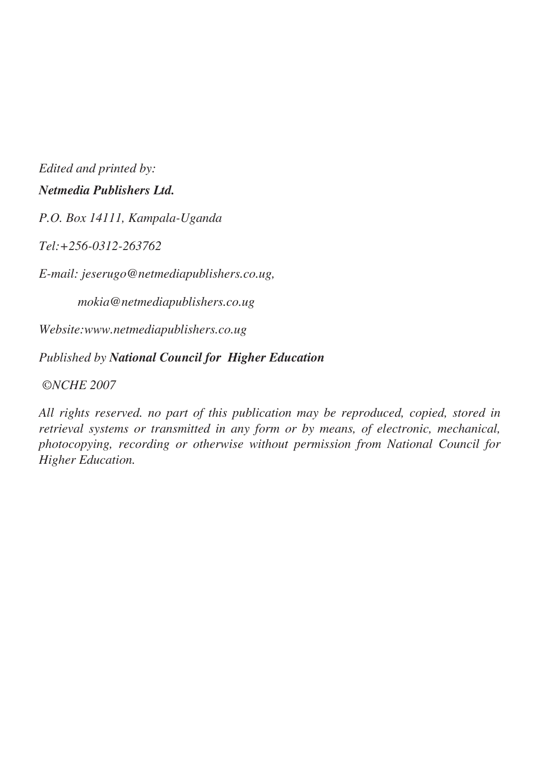*Edited and printed by: Netmedia Publishers Ltd.*

*P.O. Box 14111, Kampala-Uganda*

*Tel:+256-0312-263762*

*E-mail: jeserugo@netmediapublishers.co.ug,*

*mokia@netmediapublishers.co.ug*

*Website:www.netmediapublishers.co.ug*

*Published by National Council for Higher Education*

 *©NCHE 2007*

*All rights reserved. no part of this publication may be reproduced, copied, stored in retrieval systems or transmitted in any form or by means, of electronic, mechanical, photocopying, recording or otherwise without permission from National Council for Higher Education.*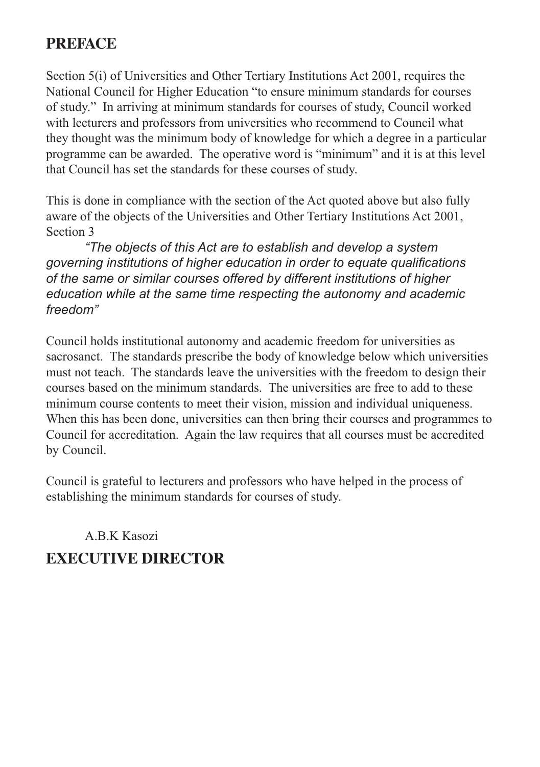## **PREFACE**

Section 5(i) of Universities and Other Tertiary Institutions Act 2001, requires the National Council for Higher Education "to ensure minimum standards for courses of study." In arriving at minimum standards for courses of study, Council worked with lecturers and professors from universities who recommend to Council what they thought was the minimum body of knowledge for which a degree in a particular programme can be awarded. The operative word is "minimum" and it is at this level that Council has set the standards for these courses of study.

This is done in compliance with the section of the Act quoted above but also fully aware of the objects of the Universities and Other Tertiary Institutions Act 2001, Section 3

*"The objects of this Act are to establish and develop a system governing institutions of higher education in order to equate qualifications of the same or similar courses offered by different institutions of higher education while at the same time respecting the autonomy and academic freedom"*

Council holds institutional autonomy and academic freedom for universities as sacrosanct. The standards prescribe the body of knowledge below which universities must not teach. The standards leave the universities with the freedom to design their courses based on the minimum standards. The universities are free to add to these minimum course contents to meet their vision, mission and individual uniqueness. When this has been done, universities can then bring their courses and programmes to Council for accreditation. Again the law requires that all courses must be accredited by Council.

Council is grateful to lecturers and professors who have helped in the process of establishing the minimum standards for courses of study.

## A.B.K Kasozi **EXECUTIVE DIRECTOR**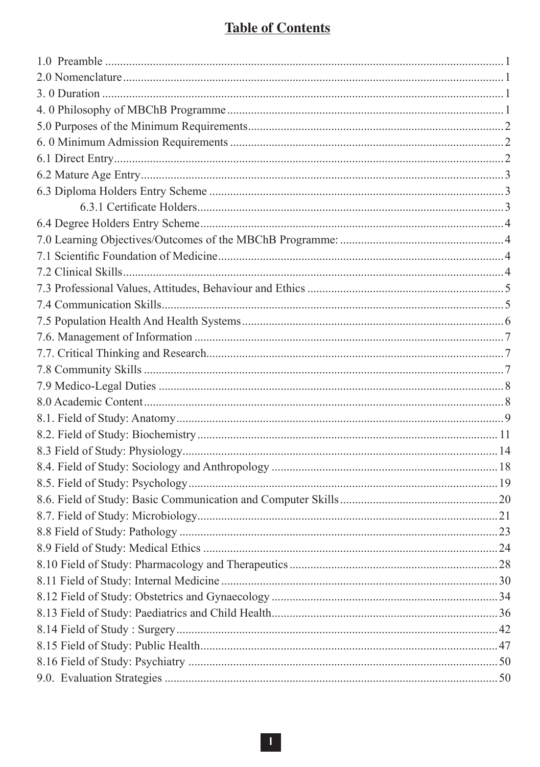#### **Table of Contents**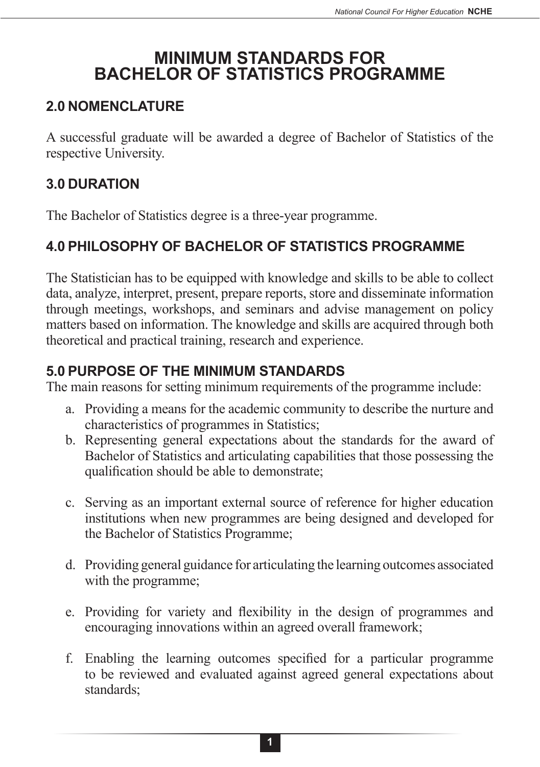## **MINIMUM STANDARDS FOR BACHELOR OF STATISTICS PROGRAMME**

#### **2.0 NOMENCLATURE**

A successful graduate will be awarded a degree of Bachelor of Statistics of the respective University.

### **3.0 DURATION**

The Bachelor of Statistics degree is a three-year programme.

### **4.0 PHILOSOPHY OF BACHELOR OF STATISTICS PROGRAMME**

The Statistician has to be equipped with knowledge and skills to be able to collect data, analyze, interpret, present, prepare reports, store and disseminate information through meetings, workshops, and seminars and advise management on policy matters based on information. The knowledge and skills are acquired through both theoretical and practical training, research and experience.

#### **5.0 PURPOSE OF THE MINIMUM STANDARDS**

The main reasons for setting minimum requirements of the programme include:

- a. Providing a means for the academic community to describe the nurture and characteristics of programmes in Statistics;
- b. Representing general expectations about the standards for the award of Bachelor of Statistics and articulating capabilities that those possessing the qualification should be able to demonstrate;
- c. Serving as an important external source of reference for higher education institutions when new programmes are being designed and developed for the Bachelor of Statistics Programme;
- d. Providing general guidance for articulating the learning outcomes associated with the programme;
- e. Providing for variety and flexibility in the design of programmes and encouraging innovations within an agreed overall framework;
- f. Enabling the learning outcomes specified for a particular programme to be reviewed and evaluated against agreed general expectations about standards;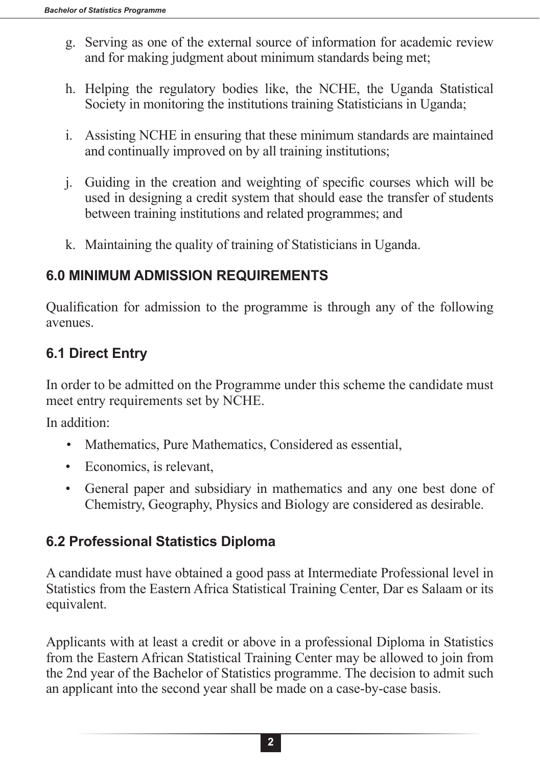- g. Serving as one of the external source of information for academic review and for making judgment about minimum standards being met;
- h. Helping the regulatory bodies like, the NCHE, the Uganda Statistical Society in monitoring the institutions training Statisticians in Uganda;
- i. Assisting NCHE in ensuring that these minimum standards are maintained and continually improved on by all training institutions;
- j. Guiding in the creation and weighting of specific courses which will be used in designing a credit system that should ease the transfer of students between training institutions and related programmes; and
- k. Maintaining the quality of training of Statisticians in Uganda.

### **6.0 MINIMUM ADMISSION REQUIREMENTS**

Qualification for admission to the programme is through any of the following avenues.

## **6.1 Direct Entry**

In order to be admitted on the Programme under this scheme the candidate must meet entry requirements set by NCHE.

In addition:

- Mathematics, Pure Mathematics, Considered as essential,
- Economics, is relevant,
- General paper and subsidiary in mathematics and any one best done of Chemistry, Geography, Physics and Biology are considered as desirable.

### **6.2 Professional Statistics Diploma**

A candidate must have obtained a good pass at Intermediate Professional level in Statistics from the Eastern Africa Statistical Training Center, Dar es Salaam or its equivalent.

Applicants with at least a credit or above in a professional Diploma in Statistics from the Eastern African Statistical Training Center may be allowed to join from the 2nd year of the Bachelor of Statistics programme. The decision to admit such an applicant into the second year shall be made on a case-by-case basis.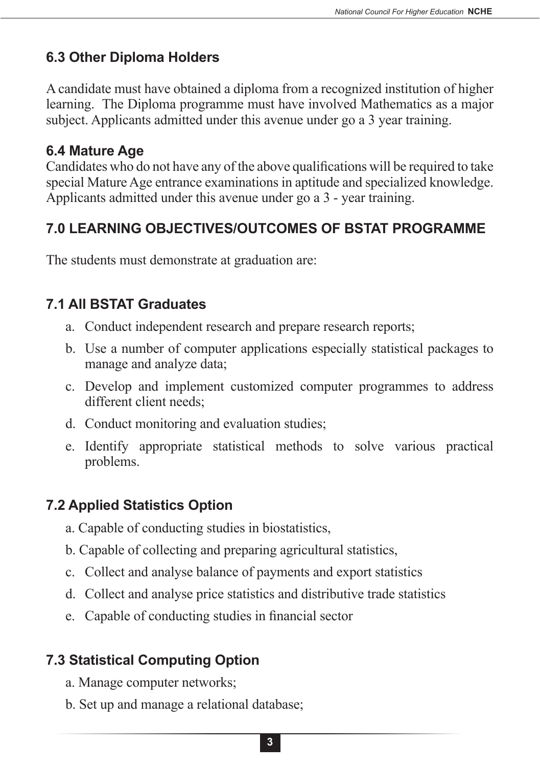## **6.3 Other Diploma Holders**

A candidate must have obtained a diploma from a recognized institution of higher learning. The Diploma programme must have involved Mathematics as a major subject. Applicants admitted under this avenue under go a 3 year training.

#### **6.4 Mature Age**

Candidates who do not have any of the above qualifications will be required to take special Mature Age entrance examinations in aptitude and specialized knowledge. Applicants admitted under this avenue under go a 3 - year training.

## **7.0 LEARNING OBJECTIVES/OUTCOMES OF BSTAT PROGRAMME**

The students must demonstrate at graduation are:

### **7.1 All BSTAT Graduates**

- a. Conduct independent research and prepare research reports;
- b. Use a number of computer applications especially statistical packages to manage and analyze data;
- c. Develop and implement customized computer programmes to address different client needs;
- d. Conduct monitoring and evaluation studies;
- e. Identify appropriate statistical methods to solve various practical problems.

## **7.2 Applied Statistics Option**

- a. Capable of conducting studies in biostatistics,
- b. Capable of collecting and preparing agricultural statistics,
- c. Collect and analyse balance of payments and export statistics
- d. Collect and analyse price statistics and distributive trade statistics
- e. Capable of conducting studies in financial sector

## **7.3 Statistical Computing Option**

- a. Manage computer networks;
- b. Set up and manage a relational database;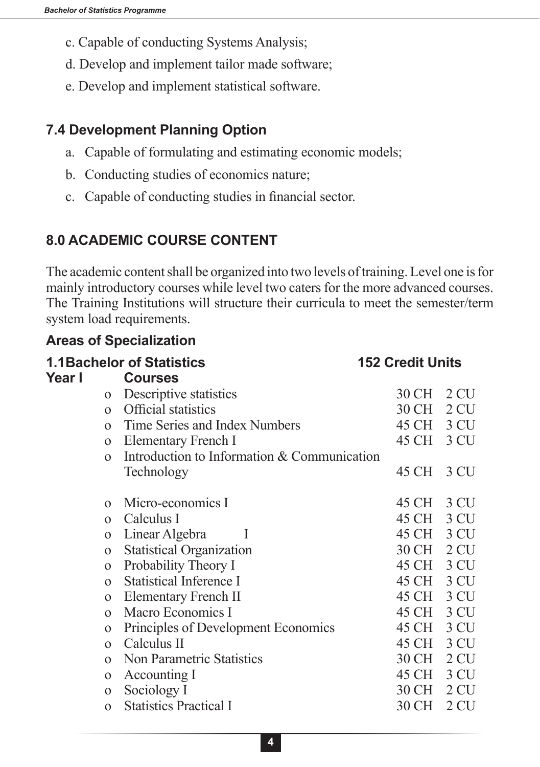- c. Capable of conducting Systems Analysis;
- d. Develop and implement tailor made software;
- e. Develop and implement statistical software.

#### **7.4 Development Planning Option**

- a. Capable of formulating and estimating economic models;
- b. Conducting studies of economics nature;
- c. Capable of conducting studies in financial sector.

## **8.0 ACADEMIC COURSE CONTENT**

The academic content shall be organized into two levels of training. Level one is for mainly introductory courses while level two caters for the more advanced courses. The Training Institutions will structure their curricula to meet the semester/term system load requirements.

#### **Areas of Specialization**

|              | <b>1.1 Bachelor of Statistics</b>           | <b>152 Credit Units</b> |      |
|--------------|---------------------------------------------|-------------------------|------|
| Year I       | <b>Courses</b>                              |                         |      |
| $\Omega$     | Descriptive statistics                      | 30 CH                   | 2 CU |
| $\Omega$     | <b>Official statistics</b>                  | 30 CH                   | 2 CU |
| $\Omega$     | Time Series and Index Numbers               | 45 CH 3 CU              |      |
| $\mathbf{O}$ | Elementary French I                         | 45 CH 3 CU              |      |
| $\Omega$     | Introduction to Information & Communication |                         |      |
|              | Technology                                  | 45 CH                   | 3 CU |
| $\Omega$     | Micro-economics I                           | 45 CH                   | 3 CU |
| $\Omega$     | Calculus I                                  | 45 CH                   | 3 CU |
| $\mathbf{O}$ | Linear Algebra<br>$\mathbf{I}$              | 45 CH 3 CU              |      |
| $\mathbf{O}$ | <b>Statistical Organization</b>             | 30 CH 2 CU              |      |
| $\Omega$     | Probability Theory I                        | 45 CH 3 CU              |      |
| $\Omega$     | <b>Statistical Inference I</b>              | 45 CH                   | 3 CU |
| $\mathbf{O}$ | Elementary French II                        | 45 CH                   | 3 CU |
| $\mathbf{O}$ | Macro Economics I                           | 45 CH 3 CU              |      |
| $\mathbf{O}$ | Principles of Development Economics         | 45 CH                   | 3 CU |
| $\mathbf{O}$ | Calculus II                                 | 45 CH                   | 3 CU |
| $\Omega$     | Non Parametric Statistics                   | 30 CH                   | 2 CU |
| $\mathbf{O}$ | Accounting I                                | 45 CH                   | 3 CU |
| $\mathbf{O}$ | Sociology I                                 | 30 CH 2 CU              |      |
| $\Omega$     | <b>Statistics Practical I</b>               | 30 CH                   | 2 CU |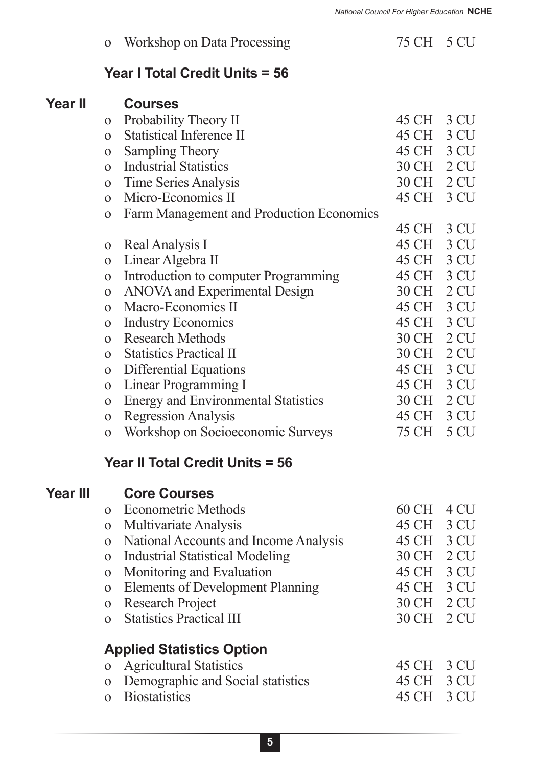### o Workshop on Data Processing 75 CH 5 CU

#### **Year I Total Credit Units = 56**

| $\Omega$     | Probability Theory II                      | 45 CH | 3 CU            |
|--------------|--------------------------------------------|-------|-----------------|
| $\Omega$     | <b>Statistical Inference II</b>            | 45 CH | 3 CU            |
| $\mathbf{O}$ | Sampling Theory                            | 45 CH | 3 CU            |
| $\Omega$     | <b>Industrial Statistics</b>               | 30 CH | 2 <sub>CU</sub> |
| $\mathbf{O}$ | Time Series Analysis                       | 30 CH | 2 <sub>CU</sub> |
| $\Omega$     | Micro-Economics II                         | 45 CH | 3 CU            |
| $\mathbf{O}$ | Farm Management and Production Economics   |       |                 |
|              |                                            | 45 CH | 3 CU            |
| $\Omega$     | Real Analysis I                            | 45 CH | 3 CU            |
| $\Omega$     | Linear Algebra II                          | 45 CH | 3 CU            |
| $\mathbf{O}$ | Introduction to computer Programming       | 45 CH | 3 CU            |
| $\mathbf{O}$ | ANOVA and Experimental Design              | 30 CH | 2 <sub>CU</sub> |
| $\Omega$     | Macro-Economics II                         | 45 CH | 3 CU            |
| $\Omega$     | <b>Industry Economics</b>                  | 45 CH | 3 CU            |
| $\Omega$     | <b>Research Methods</b>                    | 30 CH | 2 <sub>CU</sub> |
| $\Omega$     | <b>Statistics Practical II</b>             | 30 CH | 2 <sub>CU</sub> |
| $\mathbf{O}$ | Differential Equations                     | 45 CH | 3 CU            |
| $\mathbf{O}$ | Linear Programming I                       | 45 CH | 3 CU            |
| $\mathbf{O}$ | <b>Energy and Environmental Statistics</b> | 30 CH | 2 <sub>CU</sub> |
| $\Omega$     | <b>Regression Analysis</b>                 | 45 CH | 3 CU            |
| $\mathbf 0$  | Workshop on Socioeconomic Surveys          | 75 CH | 5 CU            |
|              |                                            |       |                 |

#### **Year II Total Credit Units = 56**

## **Year III Core Courses**

| $\Omega$ | <b>Econometric Methods</b>              | 60 CH | 4 CU |
|----------|-----------------------------------------|-------|------|
| $\Omega$ | Multivariate Analysis                   | 45 CH | 3 CU |
|          | National Accounts and Income Analysis   | 45 CH | 3 CU |
| $\Omega$ | <b>Industrial Statistical Modeling</b>  | 30 CH | 2 CU |
| $\Omega$ | Monitoring and Evaluation               | 45 CH | 3 CU |
| $\Omega$ | <b>Elements of Development Planning</b> | 45 CH | 3 CU |
| $\Omega$ | <b>Research Project</b>                 | 30 CH | 2 CU |
|          | <b>Statistics Practical III</b>         | 30 CH | 2 CU |
|          | <b>Applied Statistics Option</b>        |       |      |
| $\Omega$ | <b>Agricultural Statistics</b>          | 45 CH | 3 CU |
| $\Omega$ | Demographic and Social statistics       | 45 CH | 3 CH |

- o Biostatistics 45 CH 3 CU
-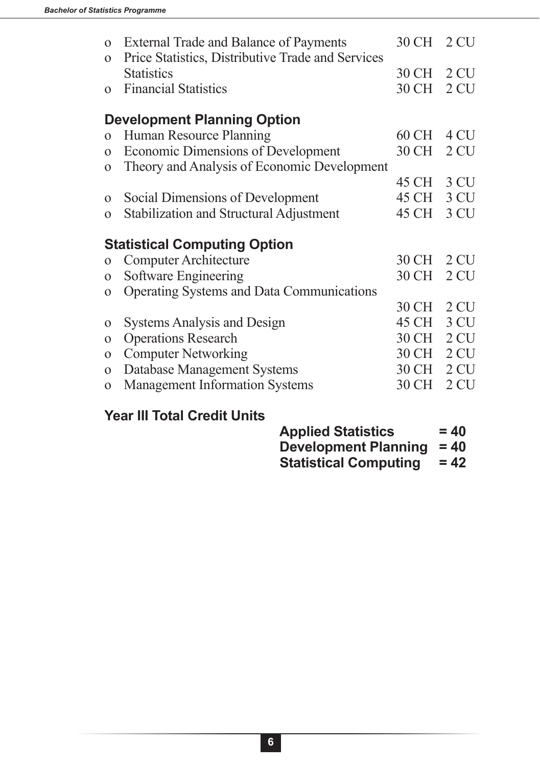| $\Omega$<br>$\Omega$ | <b>External Trade and Balance of Payments</b><br>Price Statistics, Distributive Trade and Services | 30 CH 2 CU |                 |
|----------------------|----------------------------------------------------------------------------------------------------|------------|-----------------|
|                      | <b>Statistics</b>                                                                                  | 30 CH      | 2 <sub>CU</sub> |
| $\Omega$             | <b>Financial Statistics</b>                                                                        | 30 CH      | 2 <sub>CU</sub> |
|                      | <b>Development Planning Option</b>                                                                 |            |                 |
| $\Omega$             | Human Resource Planning                                                                            | 60 CH      | 4 CU            |
| $\Omega$             | Economic Dimensions of Development                                                                 | 30 CH      | 2 CU            |
| $\Omega$             | Theory and Analysis of Economic Development                                                        |            |                 |
|                      |                                                                                                    | 45 CH      | 3 CU            |
| $\Omega$             | Social Dimensions of Development                                                                   | 45 CH      | 3 CU            |
| $\Omega$             | Stabilization and Structural Adjustment                                                            | 45 CH      | 3 CU            |
|                      | <b>Statistical Computing Option</b>                                                                |            |                 |
| $\Omega$             | <b>Computer Architecture</b>                                                                       | 30 CH      | 2 <sub>CU</sub> |
| $\Omega$             | Software Engineering                                                                               | 30 CH      | 2 <sub>CU</sub> |
| $\Omega$             | <b>Operating Systems and Data Communications</b>                                                   |            |                 |
|                      |                                                                                                    | 30 CH      | 2 CU            |
| $\Omega$             | <b>Systems Analysis and Design</b>                                                                 | 45 CH      | 3 CU            |
| $\Omega$             | <b>Operations Research</b>                                                                         | 30 CH      | 2 <sub>CU</sub> |
| $\Omega$             | <b>Computer Networking</b>                                                                         | 30 CH      | 2 <sub>CU</sub> |
| $\Omega$             | Database Management Systems                                                                        | 30 CH      | 2 CU            |
| $\Omega$             | <b>Management Information Systems</b>                                                              | 30 CH      | 2 CU            |

## **Year III Total Credit Units**

| <b>Applied Statistics</b>   | $= 40$ |
|-----------------------------|--------|
| Development Planning $= 40$ |        |

| <b>Statistical Computing</b> | $= 42$ |
|------------------------------|--------|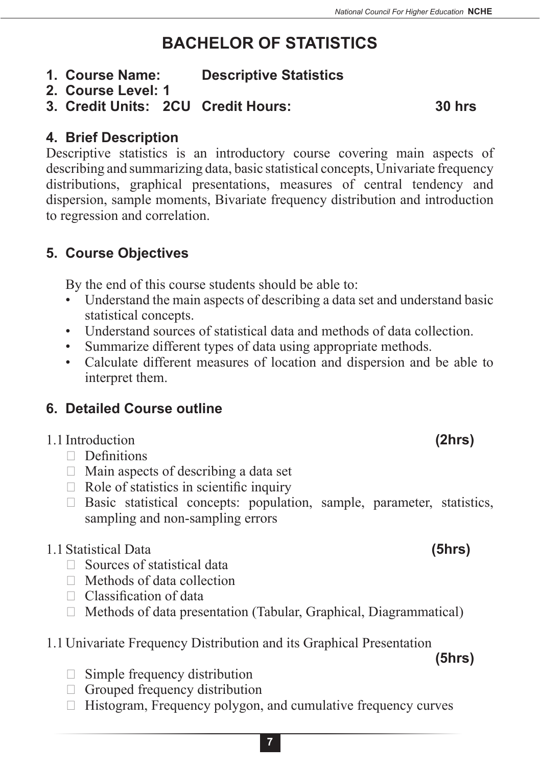# **BACHELOR OF STATISTICS**

- **1. Course Name: Descriptive Statistics**
- **2. Course Level: 1**
- **3. Credit Units: 2CU Credit Hours: 30 hrs**

#### **4. Brief Description**

Descriptive statistics is an introductory course covering main aspects of describing and summarizing data, basic statistical concepts, Univariate frequency distributions, graphical presentations, measures of central tendency and dispersion, sample moments, Bivariate frequency distribution and introduction to regression and correlation.

## **5. Course Objectives**

By the end of this course students should be able to:

- Understand the main aspects of describing a data set and understand basic statistical concepts.
- Understand sources of statistical data and methods of data collection.
- Summarize different types of data using appropriate methods.
- Calculate different measures of location and dispersion and be able to interpret them.

## **6. Detailed Course outline**

### 1.1 Introduction **(2hrs)**

- $\Box$  Definitions
- $\Box$  Main aspects of describing a data set
- $\Box$  Role of statistics in scientific inquiry
- $\Box$  Basic statistical concepts: population, sample, parameter, statistics, sampling and non-sampling errors

#### 1.1Statistical Data **(5hrs)**

- $\Box$  Sources of statistical data
- $\Box$  Methods of data collection
- $\Box$  Classification of data
- $\Box$  Methods of data presentation (Tabular, Graphical, Diagrammatical)
- 1.1Univariate Frequency Distribution and its Graphical Presentation

**(5hrs)**

- $\Box$  Simple frequency distribution
- $\Box$  Grouped frequency distribution
- $\Box$  Histogram, Frequency polygon, and cumulative frequency curves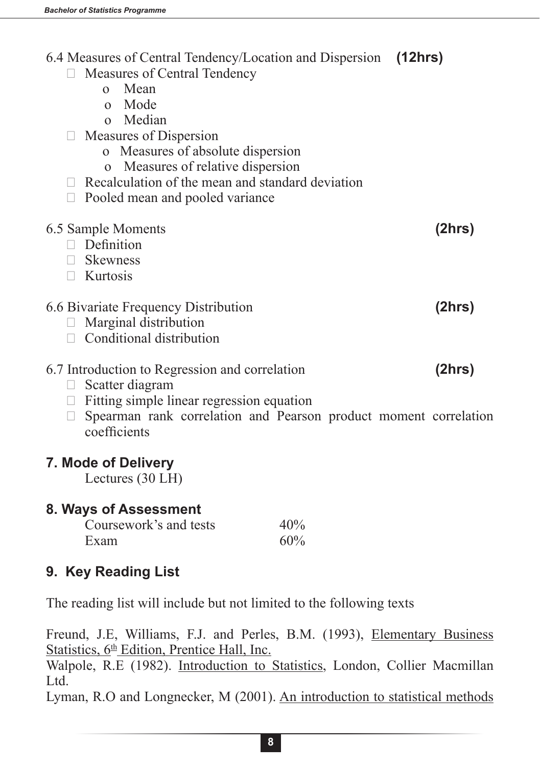| $\Box$ | 6.4 Measures of Central Tendency/Location and Dispersion (12hrs)<br>□ Measures of Central Tendency<br>o Mean<br>o Mode<br>o Median<br>Measures of Dispersion<br>o Measures of absolute dispersion<br>Measures of relative dispersion<br>$\mathbf{O}$<br>$\Box$ Recalculation of the mean and standard deviation<br>Pooled mean and pooled variance |            |        |
|--------|----------------------------------------------------------------------------------------------------------------------------------------------------------------------------------------------------------------------------------------------------------------------------------------------------------------------------------------------------|------------|--------|
|        | 6.5 Sample Moments                                                                                                                                                                                                                                                                                                                                 |            | (2hrs) |
|        | $\Box$ Definition<br>$\Box$ Skewness                                                                                                                                                                                                                                                                                                               |            |        |
|        | $\Box$ Kurtosis                                                                                                                                                                                                                                                                                                                                    |            |        |
|        |                                                                                                                                                                                                                                                                                                                                                    |            | (2hrs) |
|        | 6.6 Bivariate Frequency Distribution<br>$\Box$ Marginal distribution                                                                                                                                                                                                                                                                               |            |        |
|        | $\Box$ Conditional distribution                                                                                                                                                                                                                                                                                                                    |            |        |
|        | 6.7 Introduction to Regression and correlation                                                                                                                                                                                                                                                                                                     |            | (2hrs) |
|        | $\Box$ Scatter diagram<br>$\Box$ Fitting simple linear regression equation                                                                                                                                                                                                                                                                         |            |        |
| $\Box$ | Spearman rank correlation and Pearson product moment correlation<br>coefficients                                                                                                                                                                                                                                                                   |            |        |
|        | 7. Mode of Delivery<br>Lectures (30 LH)                                                                                                                                                                                                                                                                                                            |            |        |
|        | 8. Ways of Assessment                                                                                                                                                                                                                                                                                                                              |            |        |
|        | Coursework's and tests<br>Exam                                                                                                                                                                                                                                                                                                                     | 40%<br>60% |        |
|        | 9. Key Reading List                                                                                                                                                                                                                                                                                                                                |            |        |
|        | The reading list will include but not limited to the following texts                                                                                                                                                                                                                                                                               |            |        |
|        |                                                                                                                                                                                                                                                                                                                                                    |            |        |

Freund, J.E, Williams, F.J. and Perles, B.M. (1993), Elementary Business Statistics,  $6<sup>th</sup>$  Edition, Prentice Hall, Inc. Walpole, R.E (1982). Introduction to Statistics, London, Collier Macmillan Ltd.

Lyman, R.O and Longnecker, M (2001). An introduction to statistical methods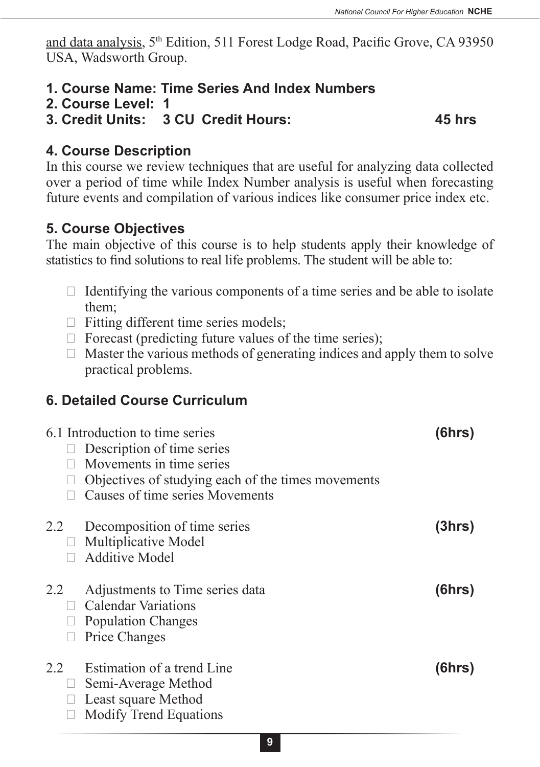and data analysis, 5th Edition, 511 Forest Lodge Road, Pacific Grove, CA 93950 USA, Wadsworth Group.

- **1. Course Name: Time Series And Index Numbers**
- **2. Course Level: 1**
- **3. Credit Units: 3 CU Credit Hours: 45 hrs**

#### **4. Course Description**

In this course we review techniques that are useful for analyzing data collected over a period of time while Index Number analysis is useful when forecasting future events and compilation of various indices like consumer price index etc.

#### **5. Course Objectives**

The main objective of this course is to help students apply their knowledge of statistics to find solutions to real life problems. The student will be able to:

- $\Box$  Identifying the various components of a time series and be able to isolate them;
- $\Box$  Fitting different time series models;
- $\Box$  Forecast (predicting future values of the time series);
- $\Box$  Master the various methods of generating indices and apply them to solve practical problems.

#### **6. Detailed Course Curriculum**

|     | 6.1 Introduction to time series                    | (6hrs) |
|-----|----------------------------------------------------|--------|
|     | Description of time series                         |        |
|     | Movements in time series                           |        |
|     | Objectives of studying each of the times movements |        |
|     | Causes of time series Movements                    |        |
| 2.2 | Decomposition of time series                       | (3hrs) |
|     | $\Box$ Multiplicative Model                        |        |
|     | <b>Additive Model</b>                              |        |
|     |                                                    |        |
| 2.2 | Adjustments to Time series data                    | (6hrs) |
|     | $\Box$ Calendar Variations                         |        |
|     | <b>Population Changes</b>                          |        |
|     | Price Changes                                      |        |
| 2.2 | Estimation of a trend Line                         | (6hrs) |
|     | Semi-Average Method                                |        |
|     | Least square Method                                |        |
|     |                                                    |        |
|     | <b>Modify Trend Equations</b>                      |        |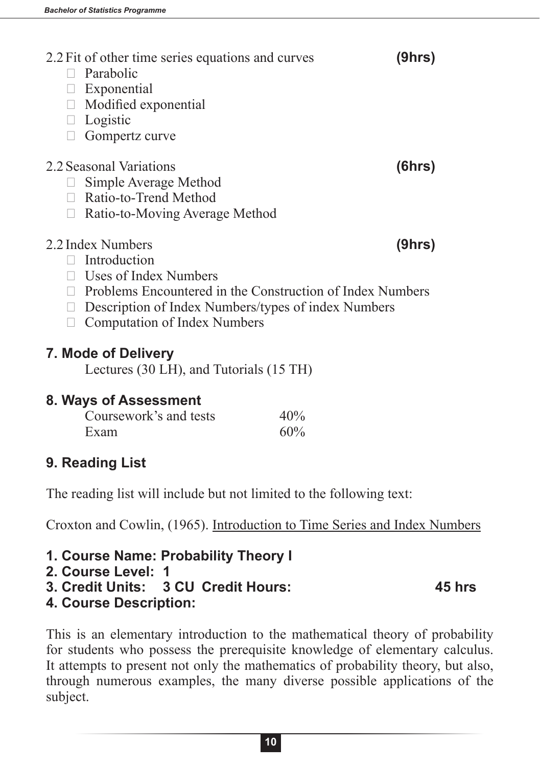- 2.2Fit of other time series equations and curves **(9hrs)**  $\Box$  Parabolic  $\Box$  Exponential  $\Box$  Modified exponential □ Logistic  $\Box$  Gompertz curve 2.2Seasonal Variations **(6hrs)**  $\Box$  Simple Average Method  $\Box$  Ratio-to-Trend Method  $\Box$  Ratio-to-Moving Average Method 2.2 Index Numbers **(9hrs)**  $\Box$  Introduction **Uses of Index Numbers**  $\Box$  Problems Encountered in the Construction of Index Numbers  $\Box$  Description of Index Numbers/types of index Numbers  $\Box$  Computation of Index Numbers
	-

## **7. Mode of Delivery**

Lectures (30 LH), and Tutorials (15 TH)

### **8. Ways of Assessment**

| Coursework's and tests | 40% |
|------------------------|-----|
| Exam                   | 60% |

## **9. Reading List**

The reading list will include but not limited to the following text:

Croxton and Cowlin, (1965). Introduction to Time Series and Index Numbers

**1. Course Name: Probability Theory I**

```
2. Course Level: 1
```
- **3. Credit Units: 3 CU Credit Hours: 45 hrs**
- **4. Course Description:**

This is an elementary introduction to the mathematical theory of probability for students who possess the prerequisite knowledge of elementary calculus. It attempts to present not only the mathematics of probability theory, but also, through numerous examples, the many diverse possible applications of the subject.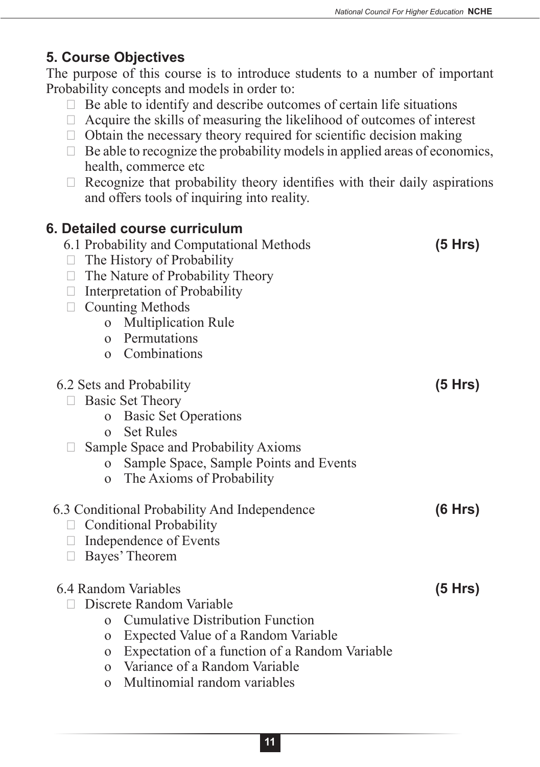### **5. Course Objectives**

The purpose of this course is to introduce students to a number of important Probability concepts and models in order to:

- $\Box$  Be able to identify and describe outcomes of certain life situations
- $\Box$  Acquire the skills of measuring the likelihood of outcomes of interest
- $\Box$  Obtain the necessary theory required for scientific decision making
- $\Box$  Be able to recognize the probability models in applied areas of economics, health, commerce etc
- $\Box$  Recognize that probability theory identifies with their daily aspirations and offers tools of inquiring into reality.

| 6. Detailed course curriculum<br>6.1 Probability and Computational Methods<br>The History of Probability<br>The Nature of Probability Theory<br>Interpretation of Probability<br>$\Box$<br><b>Counting Methods</b><br><b>Multiplication Rule</b><br>$\mathbf{O}$<br>Permutations<br>$\Omega$<br>Combinations<br>$\Omega$  | (5 Hrs) |
|---------------------------------------------------------------------------------------------------------------------------------------------------------------------------------------------------------------------------------------------------------------------------------------------------------------------------|---------|
| 6.2 Sets and Probability<br><b>Basic Set Theory</b><br><b>Basic Set Operations</b><br>$\Omega$<br><b>Set Rules</b><br>$\Omega$<br>Sample Space and Probability Axioms<br>Sample Space, Sample Points and Events<br>$\Omega$<br>The Axioms of Probability<br>$\mathbf{O}$                                                  | (5 Hrs) |
| 6.3 Conditional Probability And Independence<br><b>Conditional Probability</b><br>Independence of Events<br>Bayes' Theorem<br>$\Box$                                                                                                                                                                                      | (6 Hrs) |
| 6.4 Random Variables<br>Discrete Random Variable<br><b>Cumulative Distribution Function</b><br>$\Omega$<br>Expected Value of a Random Variable<br>$\mathbf{O}$<br>Expectation of a function of a Random Variable<br>$\Omega$<br>Variance of a Random Variable<br>$\Omega$<br>Multinomial random variables<br>$\mathbf{O}$ | (5 Hrs) |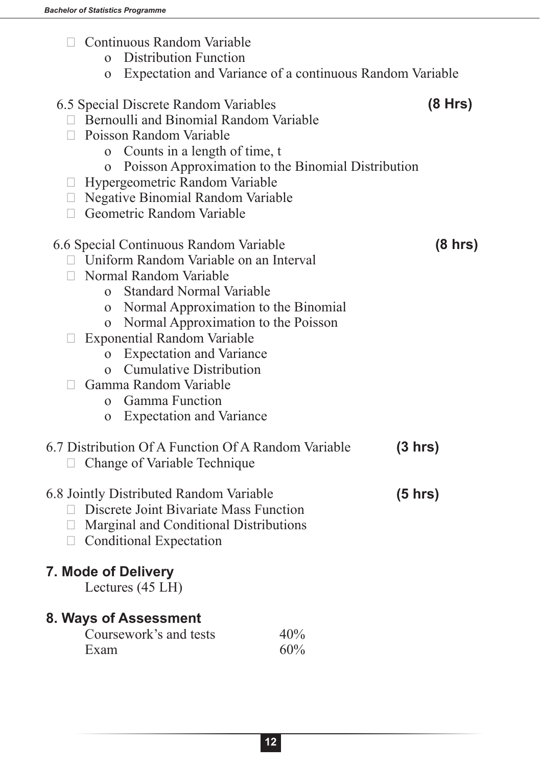- $\Box$  Continuous Random Variable
	- o Distribution Function
	- o Expectation and Variance of a continuous Random Variable

| 6.5 Special Discrete Random Variables<br>Bernoulli and Binomial Random Variable<br><b>Poisson Random Variable</b><br>o Counts in a length of time, t<br>Poisson Approximation to the Binomial Distribution<br>$\mathbf{O}$ | (8 Hrs)           |
|----------------------------------------------------------------------------------------------------------------------------------------------------------------------------------------------------------------------------|-------------------|
| Hypergeometric Random Variable                                                                                                                                                                                             |                   |
| $\Box$ Negative Binomial Random Variable                                                                                                                                                                                   |                   |
| $\Box$ Geometric Random Variable                                                                                                                                                                                           |                   |
| 6.6 Special Continuous Random Variable<br>□ Uniform Random Variable on an Interval                                                                                                                                         | $(8 \text{ hrs})$ |
| Normal Random Variable                                                                                                                                                                                                     |                   |
| <b>Standard Normal Variable</b><br>$\Omega$                                                                                                                                                                                |                   |
| o Normal Approximation to the Binomial<br>o Normal Approximation to the Poisson                                                                                                                                            |                   |
| <b>Exponential Random Variable</b>                                                                                                                                                                                         |                   |
| o Expectation and Variance                                                                                                                                                                                                 |                   |
| <b>Cumulative Distribution</b><br>$\Omega$                                                                                                                                                                                 |                   |
| Gamma Random Variable                                                                                                                                                                                                      |                   |
| Gamma Function<br>$\overline{0}$                                                                                                                                                                                           |                   |
| <b>Expectation and Variance</b><br>$\mathbf{O}$                                                                                                                                                                            |                   |
| 6.7 Distribution Of A Function Of A Random Variable<br>(3 hrs)<br>Change of Variable Technique<br>$\Box$                                                                                                                   |                   |
| 6.8 Jointly Distributed Random Variable<br>$(5 \text{ hrs})$<br>Discrete Joint Bivariate Mass Function<br>$\Box$<br>$\Box$ Marginal and Conditional Distributions<br>$\Box$ Conditional Expectation                        |                   |
| <b>7. Mode of Delivery</b><br>Lectures (45 LH)                                                                                                                                                                             |                   |
| 8. Ways of Assessment<br>Coursework's and tests<br>40%                                                                                                                                                                     |                   |

ework's and tests  $40\%$ <br>60% Exam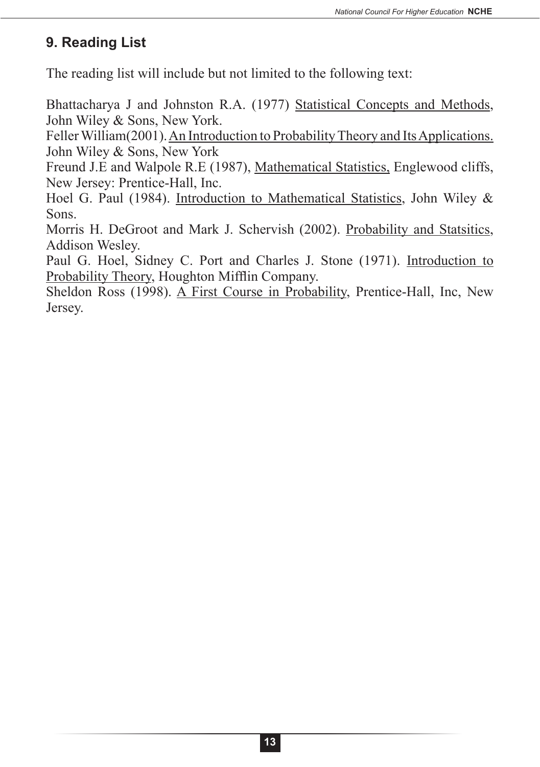#### **9. Reading List**

The reading list will include but not limited to the following text:

Bhattacharya J and Johnston R.A. (1977) Statistical Concepts and Methods, John Wiley & Sons, New York.

Feller William(2001). An Introduction to Probability Theory and Its Applications. John Wiley & Sons, New York

Freund J.E and Walpole R.E (1987), Mathematical Statistics, Englewood cliffs, New Jersey: Prentice-Hall, Inc.

Hoel G. Paul (1984). Introduction to Mathematical Statistics, John Wiley & Sons.

Morris H. DeGroot and Mark J. Schervish (2002). Probability and Statsitics, Addison Wesley.

Paul G. Hoel, Sidney C. Port and Charles J. Stone (1971). Introduction to Probability Theory, Houghton Mifflin Company.

Sheldon Ross (1998). A First Course in Probability, Prentice-Hall, Inc, New Jersey.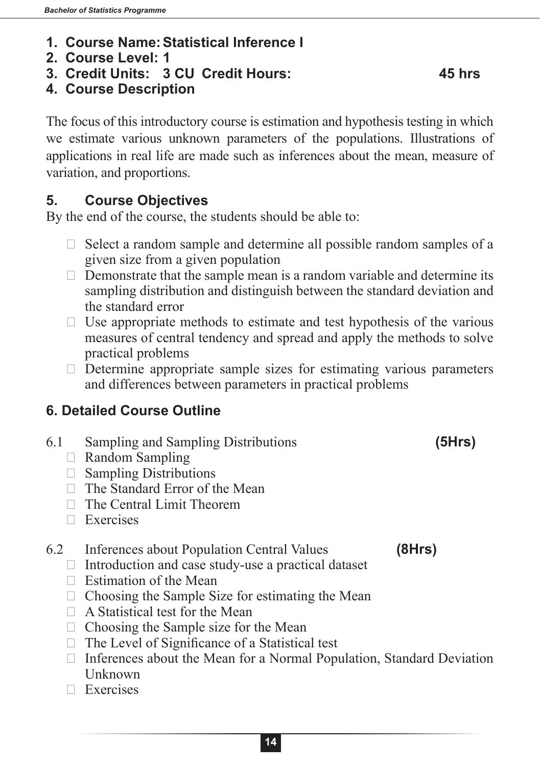- **1. Course Name:Statistical Inference I**
- **2. Course Level: 1**
- **3. Credit Units: 3 CU Credit Hours: 45 hrs**

#### **4. Course Description**

The focus of this introductory course is estimation and hypothesis testing in which we estimate various unknown parameters of the populations. Illustrations of applications in real life are made such as inferences about the mean, measure of variation, and proportions.

#### **5. Course Objectives**

By the end of the course, the students should be able to:

- $\Box$  Select a random sample and determine all possible random samples of a given size from a given population
- $\Box$  Demonstrate that the sample mean is a random variable and determine its sampling distribution and distinguish between the standard deviation and the standard error
- $\Box$  Use appropriate methods to estimate and test hypothesis of the various measures of central tendency and spread and apply the methods to solve practical problems
- $\Box$  Determine appropriate sample sizes for estimating various parameters and differences between parameters in practical problems

### **6. Detailed Course Outline**

- 6.1 Sampling and Sampling Distributions **(5Hrs)**
	- $\Box$  Random Sampling
	- $\Box$  Sampling Distributions
	- $\Box$  The Standard Error of the Mean
	- $\Box$  The Central Limit Theorem
	- $\Box$  Exercises

#### 6.2 Inferences about Population Central Values **(8Hrs)**

- $\Box$  Introduction and case study-use a practical dataset
- $\Box$  Estimation of the Mean
- $\Box$  Choosing the Sample Size for estimating the Mean
- $\Box$  A Statistical test for the Mean
- $\Box$  Choosing the Sample size for the Mean
- $\Box$  The Level of Significance of a Statistical test
- $\Box$  Inferences about the Mean for a Normal Population, Standard Deviation Unknown
- $\n **Exercises**\n$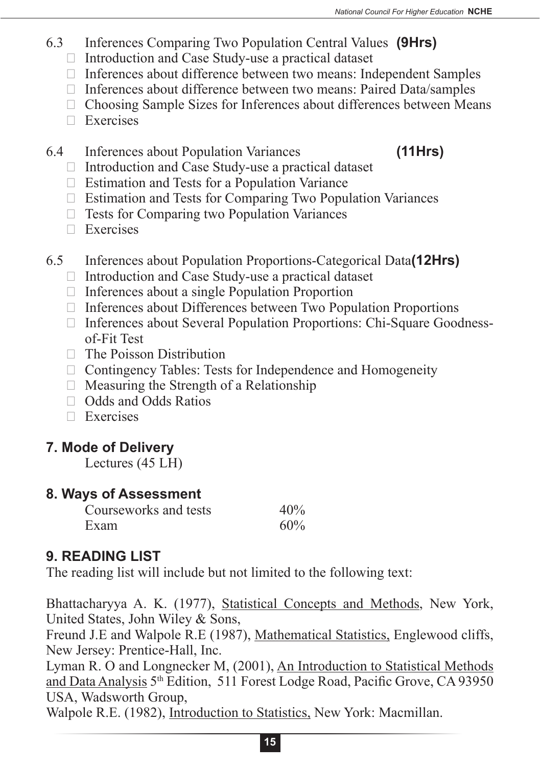- 6.3 Inferences Comparing Two Population Central Values **(9Hrs)**
	- $\Box$  Introduction and Case Study-use a practical dataset
	- $\Box$  Inferences about difference between two means: Independent Samples
	- $\Box$  Inferences about difference between two means: Paired Data/samples
	- $\Box$  Choosing Sample Sizes for Inferences about differences between Means
	- $\Box$  Exercises
- 6.4 Inferences about Population Variances **(11Hrs)**
	- $\Box$  Introduction and Case Study-use a practical dataset
	- $\Box$  Estimation and Tests for a Population Variance
	- $\Box$  Estimation and Tests for Comparing Two Population Variances
	- $\Box$  Tests for Comparing two Population Variances
	- $\n **Exercises**\n$
- 6.5 Inferences about Population Proportions-Categorical Data**(12Hrs)**
	- $\Box$  Introduction and Case Study-use a practical dataset
	- $\Box$  Inferences about a single Population Proportion
	- $\Box$  Inferences about Differences between Two Population Proportions
	- $\Box$  Inferences about Several Population Proportions: Chi-Square Goodnessof-Fit Test
	- $\Box$  The Poisson Distribution
	- $\Box$  Contingency Tables: Tests for Independence and Homogeneity
	- $\Box$  Measuring the Strength of a Relationship
	- $\Box$  Odds and Odds Ratios
	- $\Box$  Exercises

## **7. Mode of Delivery**

Lectures (45 LH)

### **8. Ways of Assessment**

| Courseworks and tests | 40% |
|-----------------------|-----|
| Exam                  | 60% |

## **9. READING LIST**

The reading list will include but not limited to the following text:

Bhattacharyya A. K. (1977), Statistical Concepts and Methods, New York, United States, John Wiley & Sons,

Freund J.E and Walpole R.E (1987), Mathematical Statistics, Englewood cliffs, New Jersey: Prentice-Hall, Inc.

Lyman R. O and Longnecker M, (2001), An Introduction to Statistical Methods and Data Analysis 5th Edition, 511 Forest Lodge Road, Pacific Grove, CA 93950 USA, Wadsworth Group,

Walpole R.E. (1982), Introduction to Statistics, New York: Macmillan.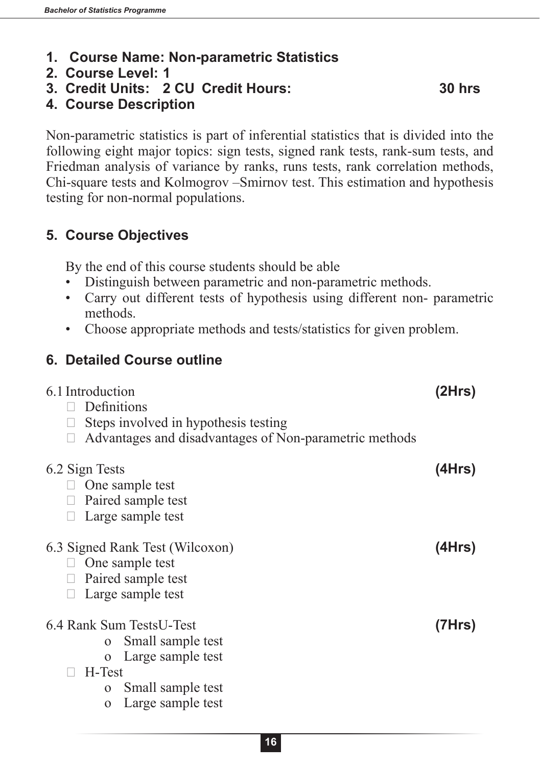- **1. Course Name: Non-parametric Statistics**
- **2. Course Level: 1**
- **3. Credit Units: 2 CU Credit Hours: 30 hrs**

**4. Course Description**

Non-parametric statistics is part of inferential statistics that is divided into the following eight major topics: sign tests, signed rank tests, rank-sum tests, and Friedman analysis of variance by ranks, runs tests, rank correlation methods, Chi-square tests and Kolmogrov –Smirnov test. This estimation and hypothesis testing for non-normal populations.

#### **5. Course Objectives**

**6. Detailed Course outline**

By the end of this course students should be able

- Distinguish between parametric and non-parametric methods.
- Carry out different tests of hypothesis using different non- parametric methods.
- Choose appropriate methods and tests/statistics for given problem.

| 6.1 Introduction<br>Definitions<br>Steps involved in hypothesis testing<br>Advantages and disadvantages of Non-parametric methods                                      | (2Hrs) |
|------------------------------------------------------------------------------------------------------------------------------------------------------------------------|--------|
| 6.2 Sign Tests<br>One sample test<br>Paired sample test<br>Large sample test                                                                                           | (4Hrs) |
| 6.3 Signed Rank Test (Wilcoxon)<br>One sample test<br>Paired sample test<br>Large sample test                                                                          | (4Hrs) |
| 6.4 Rank Sum TestsU-Test<br>Small sample test<br>$\Omega$<br>Large sample test<br>$\Omega$<br>H-Test<br>Small sample test<br>$\Omega$<br>Large sample test<br>$\Omega$ | (7Hrs) |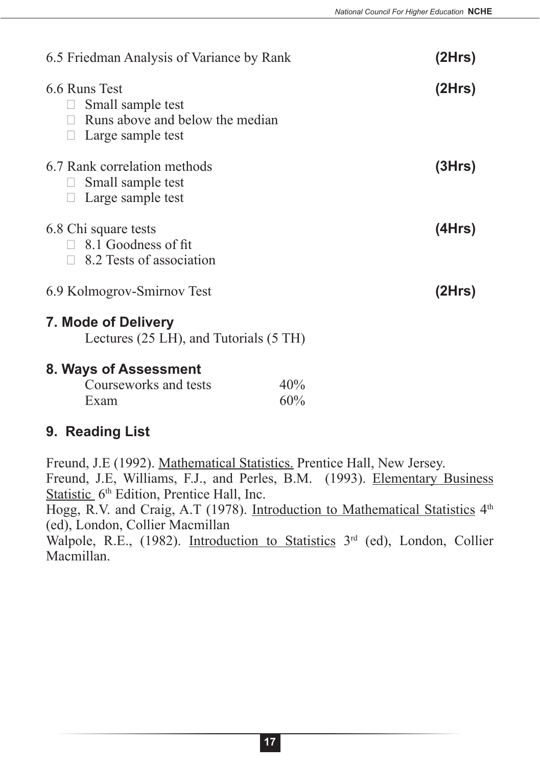| 6.5 Friedman Analysis of Variance by Rank                                                            |            | (2Hrs) |
|------------------------------------------------------------------------------------------------------|------------|--------|
| 6.6 Runs Test<br>Small sample test<br>Runs above and below the median<br>$\Box$<br>Large sample test |            | (2Hrs) |
| 6.7 Rank correlation methods<br>Small sample test<br>Large sample test                               |            | (3Hrs) |
| 6.8 Chi square tests<br>$\Box$ 8.1 Goodness of fit<br>8.2 Tests of association                       |            | (4Hrs) |
| 6.9 Kolmogrov-Smirnov Test                                                                           |            | (2Hrs) |
| 7. Mode of Delivery<br>Lectures (25 LH), and Tutorials (5 TH)                                        |            |        |
| 8. Ways of Assessment<br>Courseworks and tests<br>Exam                                               | 40%<br>60% |        |

#### **9. Reading List**

Freund, J.E (1992). Mathematical Statistics. Prentice Hall, New Jersey. Freund, J.E, Williams, F.J., and Perles, B.M. (1993). Elementary Business Statistic 6<sup>th</sup> Edition, Prentice Hall, Inc.

Hogg, R.V. and Craig, A.T (1978). Introduction to Mathematical Statistics 4<sup>th</sup> (ed), London, Collier Macmillan

Walpole, R.E., (1982). Introduction to Statistics 3<sup>rd</sup> (ed), London, Collier Macmillan.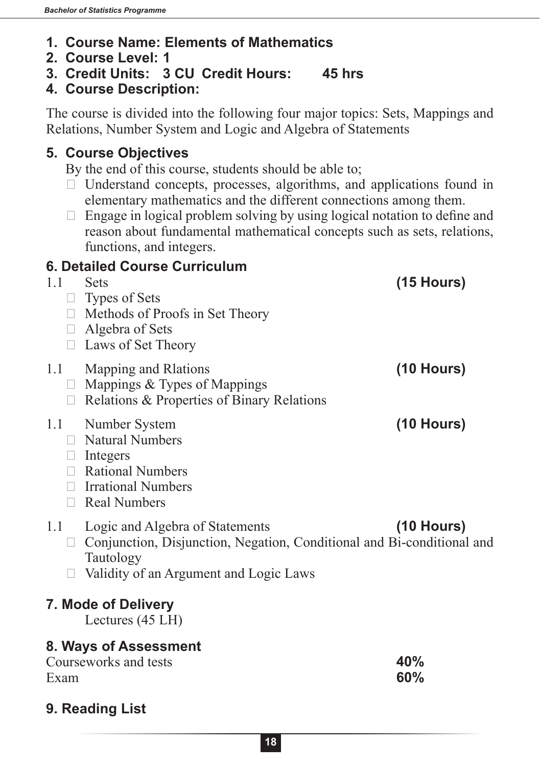- **1. Course Name: Elements of Mathematics**
- **2. Course Level: 1**
- **3. Credit Units: 3 CU Credit Hours: 45 hrs**
- **4. Course Description:**

The course is divided into the following four major topics: Sets, Mappings and Relations, Number System and Logic and Algebra of Statements

#### **5. Course Objectives**

By the end of this course, students should be able to;

- $\Box$  Understand concepts, processes, algorithms, and applications found in elementary mathematics and the different connections among them.
- $\Box$  Engage in logical problem solving by using logical notation to define and reason about fundamental mathematical concepts such as sets, relations, functions, and integers.

#### **6. Detailed Course Curriculum**

| 1.1       | <b>Sets</b><br>$\Box$ Types of Sets<br>$\Box$ Methods of Proofs in Set Theory<br>$\Box$ Algebra of Sets<br><b>Laws of Set Theory</b>                             | $(15$ Hours) |
|-----------|------------------------------------------------------------------------------------------------------------------------------------------------------------------|--------------|
| 1.1       | Mapping and Raations<br>$\Box$ Mappings & Types of Mappings<br>$\Box$ Relations & Properties of Binary Relations                                                 | $(10$ Hours) |
| 1.1       | Number System<br>$\Box$ Natural Numbers<br>$\Box$ Integers<br>$\Box$ Rational Numbers<br>$\Box$ Irrational Numbers<br>Real Numbers                               | $(10$ Hours) |
| 1.1<br>U. | Logic and Algebra of Statements<br>Conjunction, Disjunction, Negation, Conditional and Bi-conditional and<br>Tautology<br>Validity of an Argument and Logic Laws | $(10$ Hours) |
|           | 7. Mode of Delivery<br>Lectures $(45 LH)$                                                                                                                        |              |
| Exam      | 8. Ways of Assessment<br>Courseworks and tests                                                                                                                   | 40%<br>60%   |

## **9. Reading List**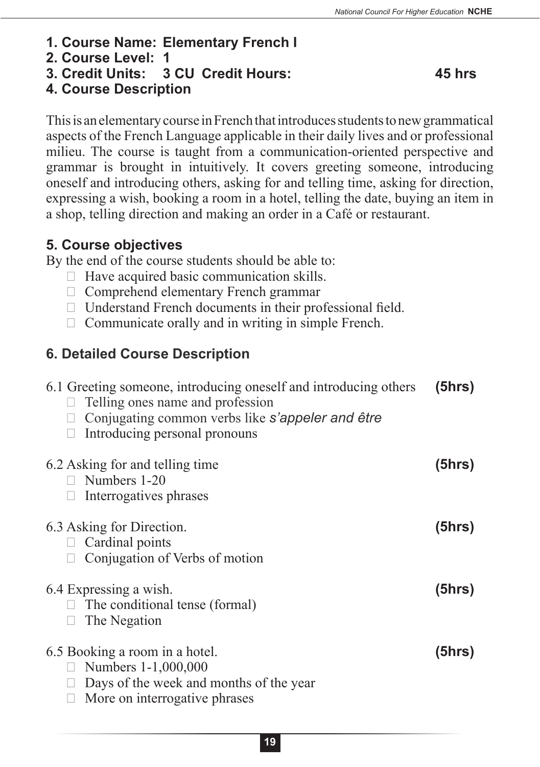- **1. Course Name: Elementary French I**
- **2. Course Level: 1**
- **3. Credit Units: 3 CU Credit Hours: 45 hrs**

#### **4. Course Description**

This is an elementary course in French that introduces students to new grammatical aspects of the French Language applicable in their daily lives and or professional milieu. The course is taught from a communication-oriented perspective and grammar is brought in intuitively. It covers greeting someone, introducing oneself and introducing others, asking for and telling time, asking for direction, expressing a wish, booking a room in a hotel, telling the date, buying an item in a shop, telling direction and making an order in a Café or restaurant.

#### **5. Course objectives**

By the end of the course students should be able to:

- $\Box$  Have acquired basic communication skills.
- $\Box$  Comprehend elementary French grammar
- $\Box$  Understand French documents in their professional field.
- $\Box$  Communicate orally and in writing in simple French.

### **6. Detailed Course Description**

| 6.1 Greeting someone, introducing oneself and introducing others<br>Telling ones name and profession<br>Conjugating common verbs like s'appeler and être<br>Introducing personal pronouns | (5hrs) |
|-------------------------------------------------------------------------------------------------------------------------------------------------------------------------------------------|--------|
| 6.2 Asking for and telling time<br>$\Box$ Numbers 1-20<br>Interrogatives phrases                                                                                                          | (5hrs) |
| 6.3 Asking for Direction.<br>$\Box$ Cardinal points<br>Conjugation of Verbs of motion                                                                                                     | (5hrs) |
| 6.4 Expressing a wish.<br>The conditional tense (formal)<br>The Negation                                                                                                                  | (5hrs) |
| 6.5 Booking a room in a hotel.<br>Numbers 1-1,000,000<br>Days of the week and months of the year<br>More on interrogative phrases                                                         | (5hrs) |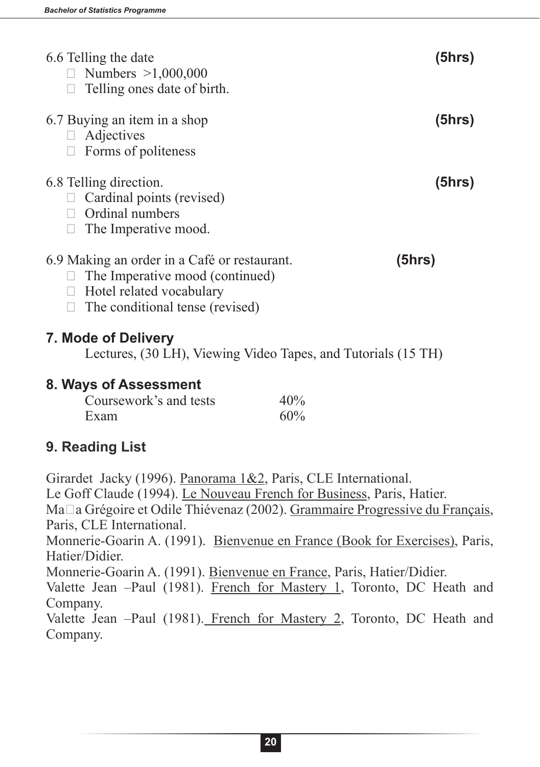| 6.6 Telling the date<br>□ Numbers $>1,000,000$<br>Telling ones date of birth.                                                                            | (5hrs) |
|----------------------------------------------------------------------------------------------------------------------------------------------------------|--------|
| 6.7 Buying an item in a shop<br>Adjectives<br>$\Box$<br>Forms of politeness                                                                              | (5hrs) |
| 6.8 Telling direction.<br>Cardinal points (revised)<br>Ordinal numbers<br>The Imperative mood.                                                           | (5hrs) |
| 6.9 Making an order in a Café or restaurant.<br>The Imperative mood (continued)<br>Hotel related vocabulary<br>$\Box$<br>The conditional tense (revised) | (5hrs) |
|                                                                                                                                                          |        |

#### **7. Mode of Delivery**

Lectures, (30 LH), Viewing Video Tapes, and Tutorials (15 TH)

#### **8. Ways of Assessment**

| Coursework's and tests | 40% |
|------------------------|-----|
| Exam                   | 60% |

#### **9. Reading List**

Girardet Jacky (1996). Panorama 1&2, Paris, CLE International. Le Goff Claude (1994). Le Nouveau French for Business, Paris, Hatier. Maϊa Grégoire et Odile Thiévenaz (2002). Grammaire Progressive du Français, Paris, CLE International. Monnerie-Goarin A. (1991). Bienvenue en France (Book for Exercises), Paris, Hatier/Didier. Monnerie-Goarin A. (1991). Bienvenue en France, Paris, Hatier/Didier. Valette Jean –Paul (1981). French for Mastery 1, Toronto, DC Heath and Company. Valette Jean –Paul (1981). French for Mastery 2, Toronto, DC Heath and Company.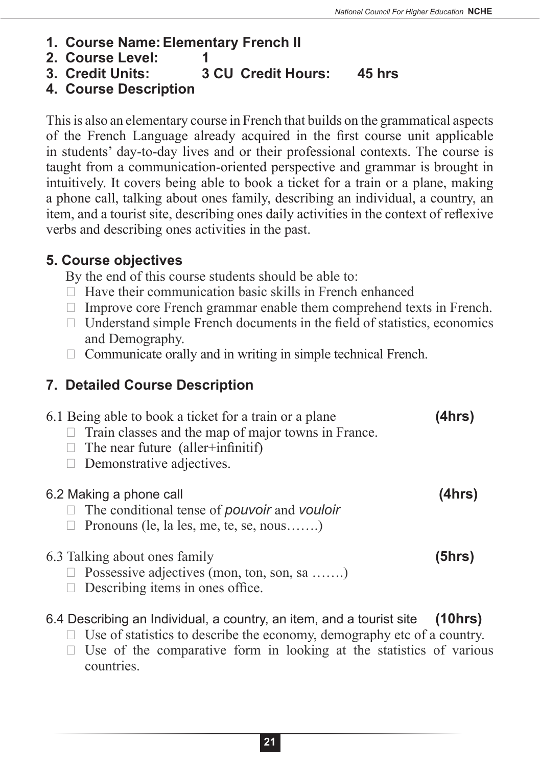- **1. Course Name:Elementary French II**
- **2. Course Level: 1**
- **3. Credit Units: 3 CU Credit Hours: 45 hrs**
- **4. Course Description**

This is also an elementary course in French that builds on the grammatical aspects of the French Language already acquired in the first course unit applicable in students' day-to-day lives and or their professional contexts. The course is taught from a communication-oriented perspective and grammar is brought in intuitively. It covers being able to book a ticket for a train or a plane, making a phone call, talking about ones family, describing an individual, a country, an item, and a tourist site, describing ones daily activities in the context of reflexive verbs and describing ones activities in the past.

#### **5. Course objectives**

By the end of this course students should be able to:

- $\Box$  Have their communication basic skills in French enhanced
- $\Box$  Improve core French grammar enable them comprehend texts in French.
- $\Box$  Understand simple French documents in the field of statistics, economics and Demography.
- $\Box$  Communicate orally and in writing in simple technical French.

## **7. Detailed Course Description**

- 6.1 Being able to book a ticket for a train or a plane **(4hrs)**
	- $\Box$  Train classes and the map of major towns in France.
	- $\Box$  The near future (aller+infinitif)
	- $\Box$  Demonstrative adjectives.

#### 6.2 Making a phone call **(4hrs)**

- $\Box$  The conditional tense of *pouvoir* and *vouloir*
- $\Box$  Pronouns (le, la les, me, te, se, nous…….)

6.3 Talking about ones family **(5hrs)**

- $\Box$  Possessive adjectives (mon, ton, son, sa .......)
- $\Box$  Describing items in ones office.

### 6.4 Describing an Individual, a country, an item, and a tourist site **(10hrs)**

- $\Box$  Use of statistics to describe the economy, demography etc of a country.
- $\Box$  Use of the comparative form in looking at the statistics of various countries.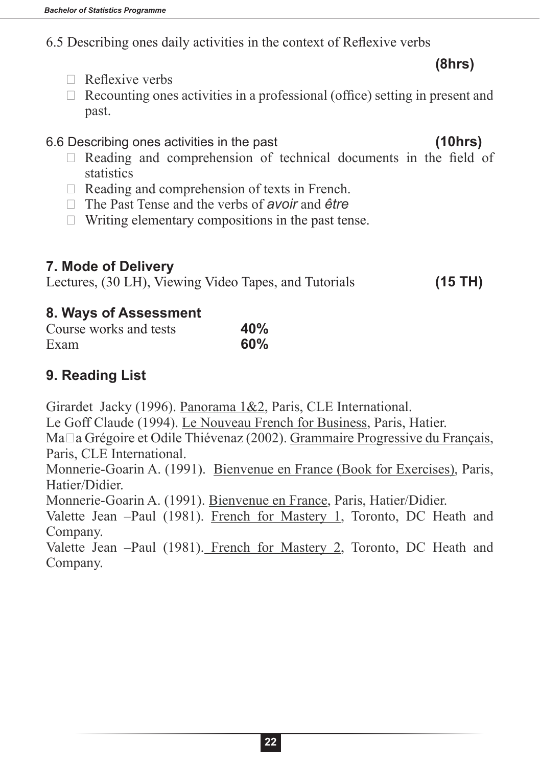6.5 Describing ones daily activities in the context of Reflexive verbs

**(8hrs)**

- $\Box$  Reflexive verbs
- $\Box$  Recounting ones activities in a professional (office) setting in present and past.

6.6 Describing ones activities in the past **(10hrs)**

- $\Box$  Reading and comprehension of technical documents in the field of **statistics**
- $\Box$  Reading and comprehension of texts in French.
- □ The Past Tense and the verbs of *avoir* and *être*
- $\Box$  Writing elementary compositions in the past tense.

### **7. Mode of Delivery**

Lectures, (30 LH), Viewing Video Tapes, and Tutorials **(15 TH)** 

#### **8. Ways of Assessment**

| Course works and tests | 40% |
|------------------------|-----|
| Exam                   | 60% |

## **9. Reading List**

Girardet Jacky (1996). Panorama 1&2, Paris, CLE International.

Le Goff Claude (1994). Le Nouveau French for Business, Paris, Hatier.

Maϊa Grégoire et Odile Thiévenaz (2002). Grammaire Progressive du Français, Paris, CLE International.

Monnerie-Goarin A. (1991). Bienvenue en France (Book for Exercises), Paris, Hatier/Didier.

Monnerie-Goarin A. (1991). Bienvenue en France, Paris, Hatier/Didier.

Valette Jean –Paul (1981). French for Mastery 1, Toronto, DC Heath and Company.

Valette Jean –Paul (1981). French for Mastery 2, Toronto, DC Heath and Company.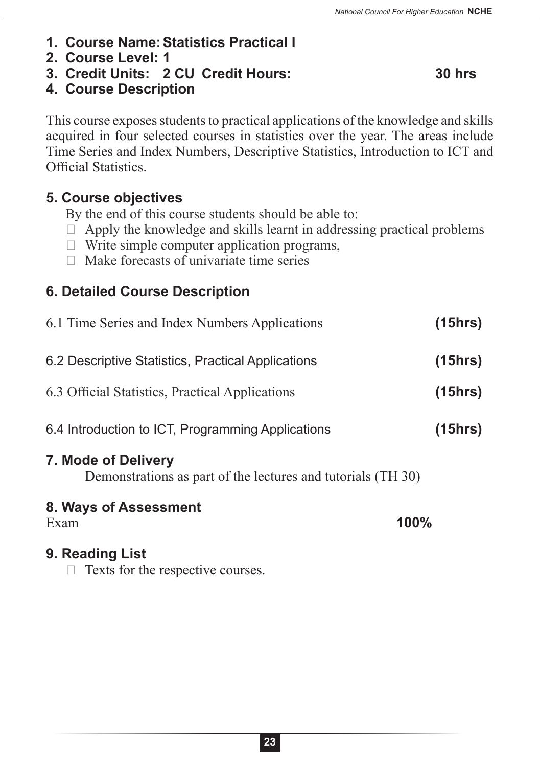- **1. Course Name:Statistics Practical I**
- **2. Course Level: 1**
- **3. Credit Units: 2 CU Credit Hours: 30 hrs**

**4. Course Description** 

This course exposes students to practical applications of the knowledge and skills acquired in four selected courses in statistics over the year. The areas include Time Series and Index Numbers, Descriptive Statistics, Introduction to ICT and Official Statistics.

#### **5. Course objectives**

By the end of this course students should be able to:

- $\Box$  Apply the knowledge and skills learnt in addressing practical problems
- $\Box$  Write simple computer application programs,
- $\Box$  Make forecasts of univariate time series

### **6. Detailed Course Description**

| 8. Ways of Assessment                                                               |         |
|-------------------------------------------------------------------------------------|---------|
| 7. Mode of Delivery<br>Demonstrations as part of the lectures and tutorials (TH 30) |         |
| 6.4 Introduction to ICT, Programming Applications                                   | (15hrs) |
| 6.3 Official Statistics, Practical Applications                                     | (15hrs) |
| 6.2 Descriptive Statistics, Practical Applications                                  | (15hrs) |
| 6.1 Time Series and Index Numbers Applications                                      | (15hrs) |

Exam **100%**

#### **9. Reading List**

 $\Box$  Texts for the respective courses.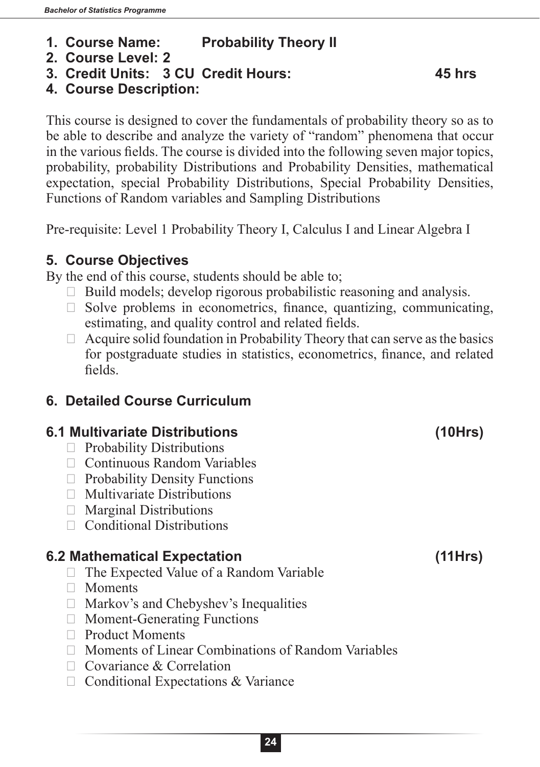- **1. Course Name: Probability Theory II**
- **2. Course Level: 2**
- **3. Credit Units: 3 CU Credit Hours: 45 hrs**

#### **4. Course Description:**

This course is designed to cover the fundamentals of probability theory so as to be able to describe and analyze the variety of "random" phenomena that occur in the various fields. The course is divided into the following seven major topics, probability, probability Distributions and Probability Densities, mathematical expectation, special Probability Distributions, Special Probability Densities, Functions of Random variables and Sampling Distributions

Pre-requisite: Level 1 Probability Theory I, Calculus I and Linear Algebra I

#### **5. Course Objectives**

By the end of this course, students should be able to;

- $\Box$  Build models; develop rigorous probabilistic reasoning and analysis.
- $\Box$  Solve problems in econometrics, finance, quantizing, communicating, estimating, and quality control and related fields.
- $\Box$  Acquire solid foundation in Probability Theory that can serve as the basics for postgraduate studies in statistics, econometrics, finance, and related fields.

### **6. Detailed Course Curriculum**

#### **6.1 Multivariate Distributions (10Hrs)**

- $\Box$  Probability Distributions
- $\Box$  Continuous Random Variables
- $\Box$  Probability Density Functions
- $\Box$  Multivariate Distributions
- $\Box$  Marginal Distributions
- $\Box$  Conditional Distributions

#### **6.2 Mathematical Expectation (11Hrs)**

- $\Box$  The Expected Value of a Random Variable
- $\Box$  Moments
- $\Box$  Markov's and Chebyshev's Inequalities
- $\Box$  Moment-Generating Functions
- $\Box$  Product Moments
- $\Box$  Moments of Linear Combinations of Random Variables
- $\Box$  Covariance & Correlation
- $\Box$  Conditional Expectations & Variance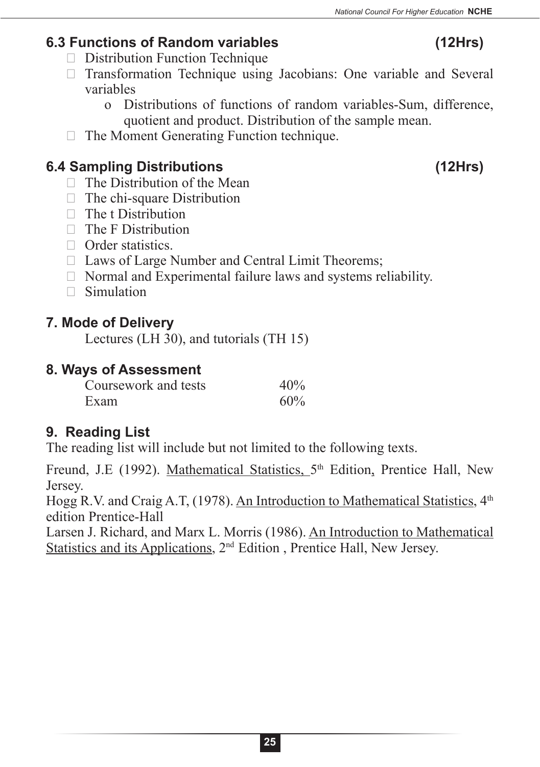## **6.3 Functions of Random variables (12Hrs)**

- $\Box$  Distribution Function Technique
- $\Box$  Transformation Technique using Jacobians: One variable and Several variables
	- o Distributions of functions of random variables-Sum, difference, quotient and product. Distribution of the sample mean.
- $\Box$  The Moment Generating Function technique.

## **6.4 Sampling Distributions (12Hrs)**

- $\Box$  The Distribution of the Mean
- $\Box$  The chi-square Distribution
- $\Box$  The t Distribution
- $\Box$  The F Distribution
- $\Box$  Order statistics.
- $\Box$  Laws of Large Number and Central Limit Theorems;
- $\Box$  Normal and Experimental failure laws and systems reliability.
- $\Box$  Simulation

### **7. Mode of Delivery**

Lectures (LH 30), and tutorials (TH 15)

### **8. Ways of Assessment**

| Coursework and tests | 40% |
|----------------------|-----|
| Exam                 | 60% |

## **9. Reading List**

The reading list will include but not limited to the following texts.

Freund, J.E (1992). Mathematical Statistics,  $5<sup>th</sup>$  Edition, Prentice Hall, New Jersey.

Hogg R.V. and Craig A.T, (1978). An Introduction to Mathematical Statistics, 4<sup>th</sup> edition Prentice-Hall

Larsen J. Richard, and Marx L. Morris (1986). An Introduction to Mathematical Statistics and its Applications, 2nd Edition , Prentice Hall, New Jersey.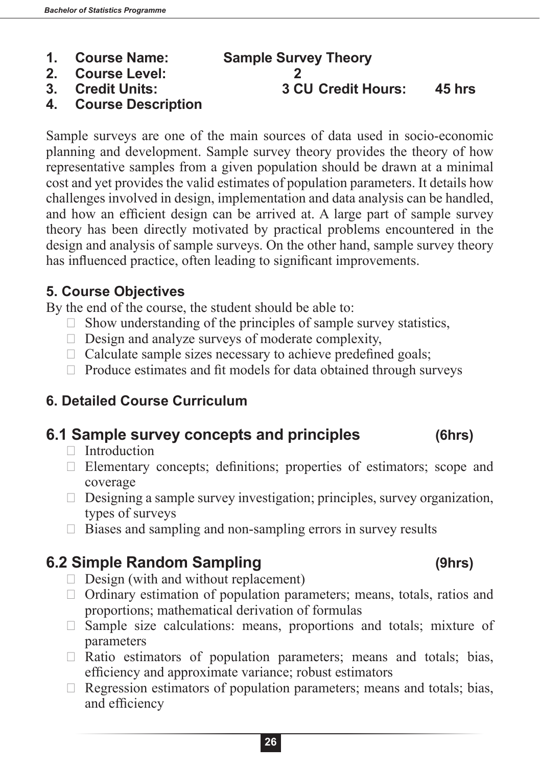- 
- **2. Course Level: 2**
- 
- **4. Course Description**

Sample surveys are one of the main sources of data used in socio-economic planning and development. Sample survey theory provides the theory of how representative samples from a given population should be drawn at a minimal cost and yet provides the valid estimates of population parameters. It details how challenges involved in design, implementation and data analysis can be handled, and how an efficient design can be arrived at. A large part of sample survey theory has been directly motivated by practical problems encountered in the design and analysis of sample surveys. On the other hand, sample survey theory has influenced practice, often leading to significant improvements.

#### **5. Course Objectives**

By the end of the course, the student should be able to:

- $\Box$  Show understanding of the principles of sample survey statistics,
- $\Box$  Design and analyze surveys of moderate complexity,
- $\Box$  Calculate sample sizes necessary to achieve predefined goals;
- $\Box$  Produce estimates and fit models for data obtained through surveys

### **6. Detailed Course Curriculum**

## **6.1 Sample survey concepts and principles (6hrs)**

- $\Box$  Introduction
- $\Box$  Elementary concepts; definitions; properties of estimators; scope and coverage
- $\Box$  Designing a sample survey investigation; principles, survey organization, types of surveys
- $\Box$  Biases and sampling and non-sampling errors in survey results

## **6.2 Simple Random Sampling (9hrs)**

- $\Box$  Design (with and without replacement)
- $\Box$  Ordinary estimation of population parameters; means, totals, ratios and proportions; mathematical derivation of formulas
- $\Box$  Sample size calculations: means, proportions and totals; mixture of parameters
- $\Box$  Ratio estimators of population parameters; means and totals; bias, efficiency and approximate variance; robust estimators
- $\Box$  Regression estimators of population parameters; means and totals; bias, and efficiency

# **1. Course Name: Sample Survey Theory**

**3. Credit Units: 3 CU Credit Hours: 45 hrs**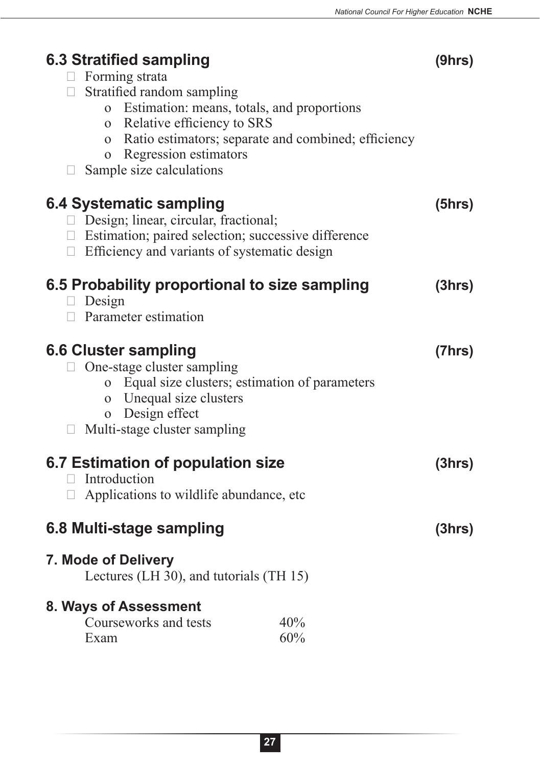| 6.3 Stratified sampling<br>$\Box$ Forming strata<br>□ Stratified random sampling<br>Estimation: means, totals, and proportions<br>$\overline{O}$<br>o Relative efficiency to SRS<br>o Ratio estimators; separate and combined; efficiency<br>Regression estimators<br>$\mathbf{O}$<br>Sample size calculations | (9hrs) |
|----------------------------------------------------------------------------------------------------------------------------------------------------------------------------------------------------------------------------------------------------------------------------------------------------------------|--------|
| 6.4 Systematic sampling<br>$\Box$ Design; linear, circular, fractional;<br>□ Estimation; paired selection; successive difference<br>$\Box$ Efficiency and variants of systematic design                                                                                                                        | (5hrs) |
| 6.5 Probability proportional to size sampling<br>Design<br>$\Box$ Parameter estimation                                                                                                                                                                                                                         | (3hrs) |
| <b>6.6 Cluster sampling</b><br>One-stage cluster sampling<br>o Equal size clusters; estimation of parameters<br>o Unequal size clusters<br>o Design effect<br>Multi-stage cluster sampling<br>$\mathbf{L}$                                                                                                     | (7hrs) |
| 6.7 Estimation of population size<br>Introduction<br>Applications to wildlife abundance, etc<br>$\Box$                                                                                                                                                                                                         | (3hrs) |
| 6.8 Multi-stage sampling                                                                                                                                                                                                                                                                                       | (3hrs) |
| 7. Mode of Delivery<br>Lectures (LH 30), and tutorials (TH 15)                                                                                                                                                                                                                                                 |        |
| 8. Ways of Assessment<br>Courseworks and tests<br>40%<br>60%<br>Exam                                                                                                                                                                                                                                           |        |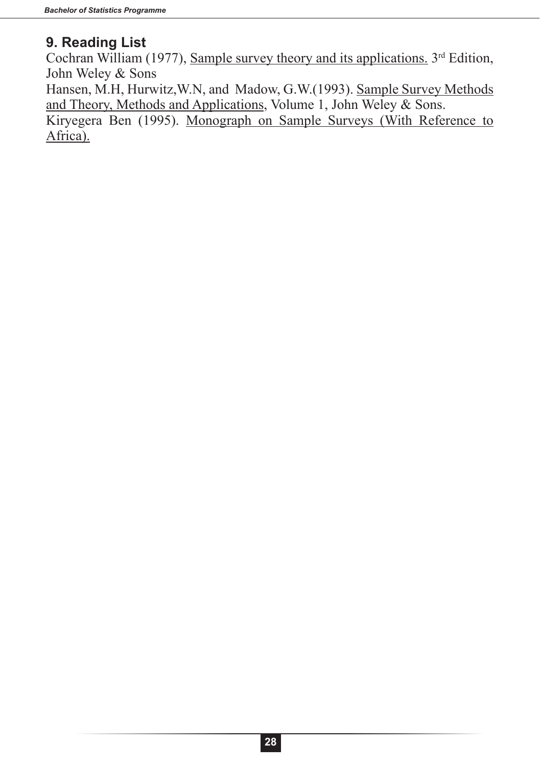#### **9. Reading List**

Cochran William (1977), Sample survey theory and its applications.  $3<sup>rd</sup>$  Edition, John Weley & Sons

Hansen, M.H, Hurwitz,W.N, and Madow, G.W.(1993). Sample Survey Methods and Theory, Methods and Applications, Volume 1, John Weley & Sons.

Kiryegera Ben (1995). Monograph on Sample Surveys (With Reference to Africa).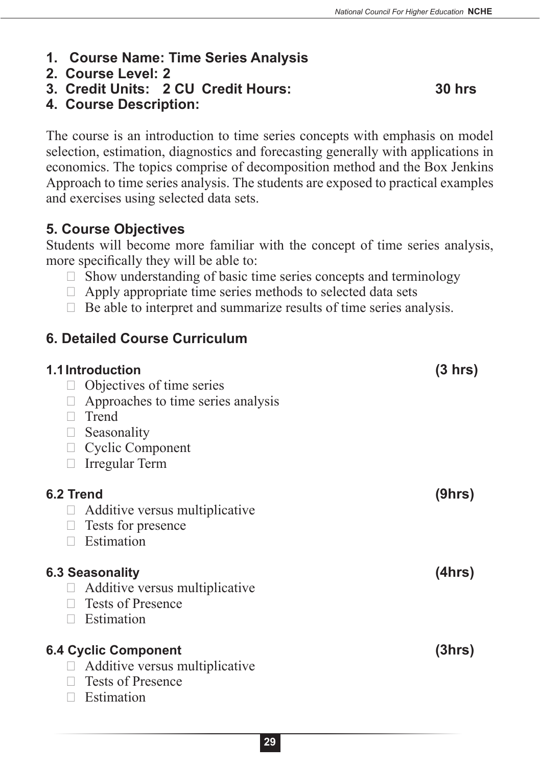- **1. Course Name: Time Series Analysis**
- **2. Course Level: 2**
- **3. Credit Units: 2 CU Credit Hours: 30 hrs**

**4. Course Description:**

The course is an introduction to time series concepts with emphasis on model selection, estimation, diagnostics and forecasting generally with applications in economics. The topics comprise of decomposition method and the Box Jenkins Approach to time series analysis. The students are exposed to practical examples and exercises using selected data sets.

#### **5. Course Objectives**

Students will become more familiar with the concept of time series analysis, more specifically they will be able to:

- $\Box$  Show understanding of basic time series concepts and terminology
- $\Box$  Apply appropriate time series methods to selected data sets
- $\Box$  Be able to interpret and summarize results of time series analysis.

#### **6. Detailed Course Curriculum**

| 1.1 Introduction<br>Objectives of time series<br>$\Box$<br>Approaches to time series analysis<br>Trend<br>Seasonality<br>$\Box$<br>$\Box$ Cyclic Component<br>Irregular Term<br>П | $(3 \text{ hrs})$ |
|-----------------------------------------------------------------------------------------------------------------------------------------------------------------------------------|-------------------|
| 6.2 Trend<br>Additive versus multiplicative<br>Ш<br>Tests for presence<br>$\Box$<br>Estimation<br>$\Box$                                                                          | (9hrs)            |
| <b>6.3 Seasonality</b><br>Additive versus multiplicative<br><b>Tests of Presence</b><br>$\Box$<br>Estimation<br>$\mathbf{L}$                                                      | (4hrs)            |
| <b>6.4 Cyclic Component</b><br>Additive versus multiplicative<br>$\Box$<br><b>Tests of Presence</b><br>Estimation<br>$\mathbf{L}$                                                 | (3hrs)            |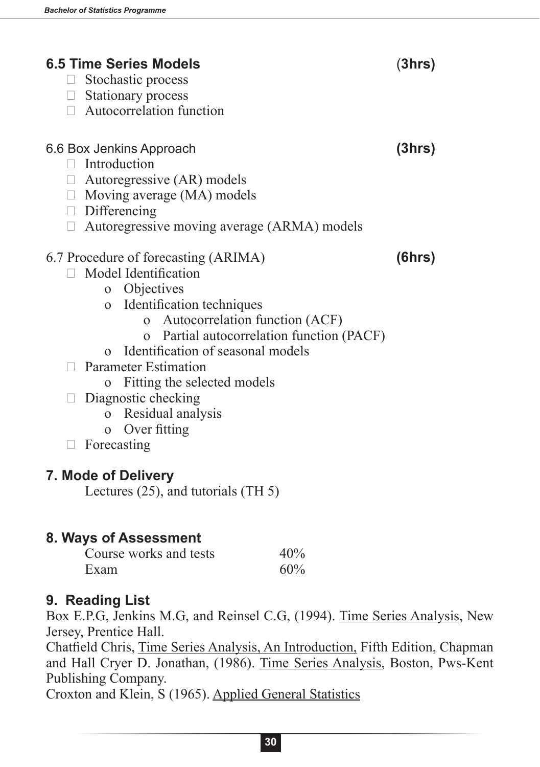| <b>6.5 Time Series Models</b>                      | (3hrs) |
|----------------------------------------------------|--------|
| Stochastic process<br>$\Box$                       |        |
| Stationary process                                 |        |
| $\Box$ Autocorrelation function                    |        |
|                                                    |        |
| 6.6 Box Jenkins Approach<br>Introduction<br>$\Box$ | (3hrs) |
| $\Box$ Autoregressive (AR) models                  |        |
| $\Box$ Moving average (MA) models                  |        |
| $\Box$ Differencing                                |        |
| Autoregressive moving average (ARMA) models        |        |
| 6.7 Procedure of forecasting (ARIMA)               | (6hrs) |
| Model Identification                               |        |
| o Objectives                                       |        |
| o Identification techniques                        |        |
| Autocorrelation function (ACF)<br>$\mathbf{O}$     |        |
| Partial autocorrelation function (PACF)            |        |
| Identification of seasonal models<br>$\Omega$      |        |
| <b>Parameter Estimation</b>                        |        |
| Fitting the selected models<br>$\Omega$            |        |
| Diagnostic checking                                |        |
| o Residual analysis                                |        |
| Over fitting<br>$\mathbf{O}$                       |        |
| Forecasting                                        |        |
|                                                    |        |
| 7. Mode of Delivery                                |        |
| Lectures (25), and tutorials (TH 5)                |        |
|                                                    |        |
| 8. Ways of Assessment                              |        |
| Course works and tests<br>40%                      |        |

# Exam  $60\%$

#### **9. Reading List**

Box E.P.G, Jenkins M.G, and Reinsel C.G, (1994). Time Series Analysis, New Jersey, Prentice Hall.

Chatfield Chris, Time Series Analysis, An Introduction, Fifth Edition, Chapman and Hall Cryer D. Jonathan, (1986). Time Series Analysis, Boston, Pws-Kent Publishing Company.

Croxton and Klein, S (1965). Applied General Statistics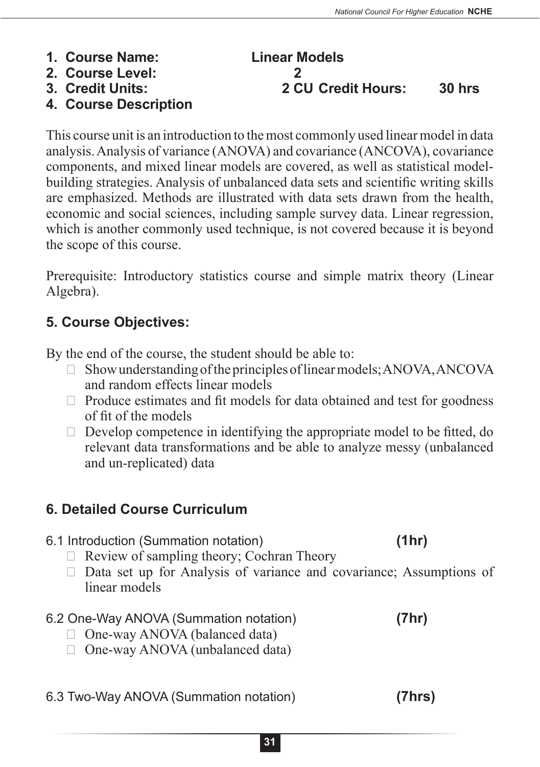This course unit is an introduction to the most commonly used linear model in data analysis. Analysis of variance (ANOVA) and covariance (ANCOVA), covariance components, and mixed linear models are covered, as well as statistical modelbuilding strategies. Analysis of unbalanced data sets and scientific writing skills are emphasized. Methods are illustrated with data sets drawn from the health, economic and social sciences, including sample survey data. Linear regression, which is another commonly used technique, is not covered because it is beyond the scope of this course.

Prerequisite: Introductory statistics course and simple matrix theory (Linear Algebra).

### **5. Course Objectives:**

**4. Course Description**

By the end of the course, the student should be able to:

- $\Box$  Show understanding of the principles of linear models; ANOVA, ANCOVA and random effects linear models
- $\Box$  Produce estimates and fit models for data obtained and test for goodness of fit of the models
- $\Box$  Develop competence in identifying the appropriate model to be fitted, do relevant data transformations and be able to analyze messy (unbalanced and un-replicated) data

## **6. Detailed Course Curriculum**

- 6.1 Introduction (Summation notation) **(1hr)**
	- $\Box$  Review of sampling theory; Cochran Theory
	- $\Box$  Data set up for Analysis of variance and covariance; Assumptions of linear models

#### 6.2 One-Way ANOVA (Summation notation) **(7hr)**

- $\Box$  One-way ANOVA (balanced data)
- $\Box$  One-way ANOVA (unbalanced data)
- 6.3 Two-Way ANOVA (Summation notation) **(7hrs)**

#### **1. Course Name: Linear Models 2. Course Level: 2 3. Credit Units: 2 CU Credit Hours: 30 hrs**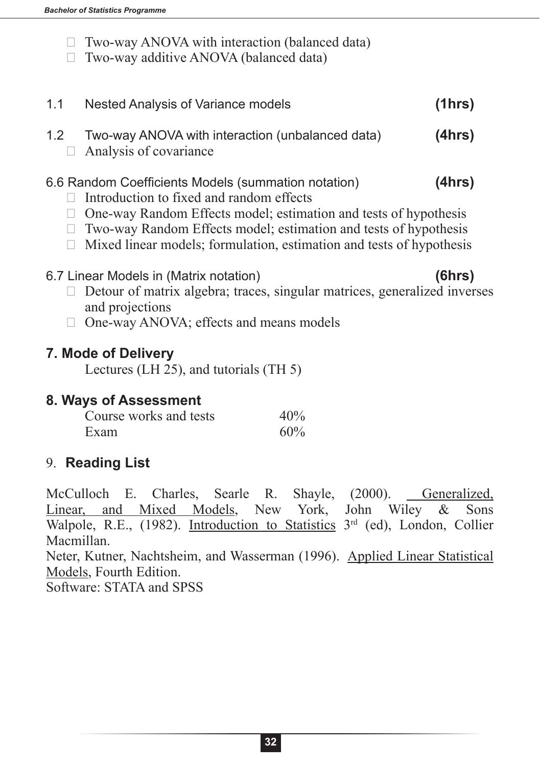- $\Box$  Two-way ANOVA with interaction (balanced data)
- $\Box$  Two-way additive ANOVA (balanced data)

1.2 Two-way ANOVA with interaction (unbalanced data) **(4hrs)**  $\Box$  Analysis of covariance

1.1 Nested Analysis of Variance models **(1hrs)**

- 6.6 Random Coefficients Models (summation notation) **(4hrs)**
	- $\Box$  Introduction to fixed and random effects
	- $\Box$  One-way Random Effects model; estimation and tests of hypothesis
	- $\Box$  Two-way Random Effects model; estimation and tests of hypothesis
	- $\Box$  Mixed linear models; formulation, estimation and tests of hypothesis
- 6.7 Linear Models in (Matrix notation) **(6hrs)**
	- $\Box$  Detour of matrix algebra; traces, singular matrices, generalized inverses and projections
	- $\Box$  One-way ANOVA; effects and means models

#### **7. Mode of Delivery**

Lectures (LH 25), and tutorials (TH 5)

#### **8. Ways of Assessment**

| Course works and tests | 40% |
|------------------------|-----|
| Exam                   | 60% |

#### 9. **Reading List**

McCulloch E. Charles, Searle R. Shayle, (2000). Generalized, Linear, and Mixed Models, New York, John Wiley & Sons Walpole, R.E., (1982). Introduction to Statistics 3<sup>rd</sup> (ed), London, Collier Macmillan. Neter, Kutner, Nachtsheim, and Wasserman (1996). Applied Linear Statistical Models, Fourth Edition.

Software: STATA and SPSS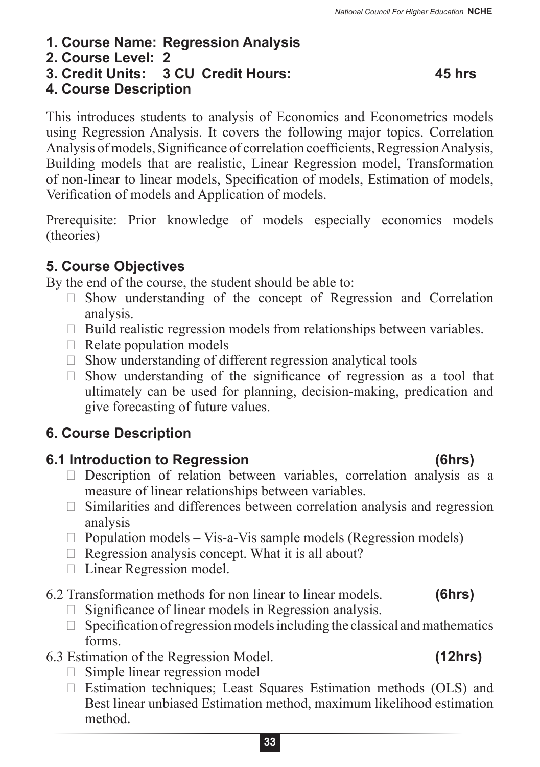- **1. Course Name: Regression Analysis**
- **2. Course Level: 2**
- **3. Credit Units: 3 CU Credit Hours: 45 hrs**

## **4. Course Description**

This introduces students to analysis of Economics and Econometrics models using Regression Analysis. It covers the following major topics. Correlation Analysis of models, Significance of correlation coefficients, Regression Analysis, Building models that are realistic, Linear Regression model, Transformation of non-linear to linear models, Specification of models, Estimation of models, Verification of models and Application of models.

Prerequisite: Prior knowledge of models especially economics models (theories)

## **5. Course Objectives**

By the end of the course, the student should be able to:

- $\Box$  Show understanding of the concept of Regression and Correlation analysis.
- $\Box$  Build realistic regression models from relationships between variables.
- $\Box$  Relate population models
- $\Box$  Show understanding of different regression analytical tools
- $\Box$  Show understanding of the significance of regression as a tool that ultimately can be used for planning, decision-making, predication and give forecasting of future values.

## **6. Course Description**

## **6.1 Introduction to Regression (6hrs)**

- $\Box$  Description of relation between variables, correlation analysis as a measure of linear relationships between variables.
- $\Box$  Similarities and differences between correlation analysis and regression analysis
- $\Box$  Population models Vis-a-Vis sample models (Regression models)
- $\Box$  Regression analysis concept. What it is all about?
- $\Box$  Linear Regression model.
- 6.2 Transformation methods for non linear to linear models. **(6hrs)**
	- $\Box$  Significance of linear models in Regression analysis.
	- $\Box$  Specification of regression models including the classical and mathematics forms.
- 6.3 Estimation of the Regression Model. **(12hrs)**
	- $\Box$  Simple linear regression model
	- $\Box$  Estimation techniques; Least Squares Estimation methods (OLS) and Best linear unbiased Estimation method, maximum likelihood estimation method.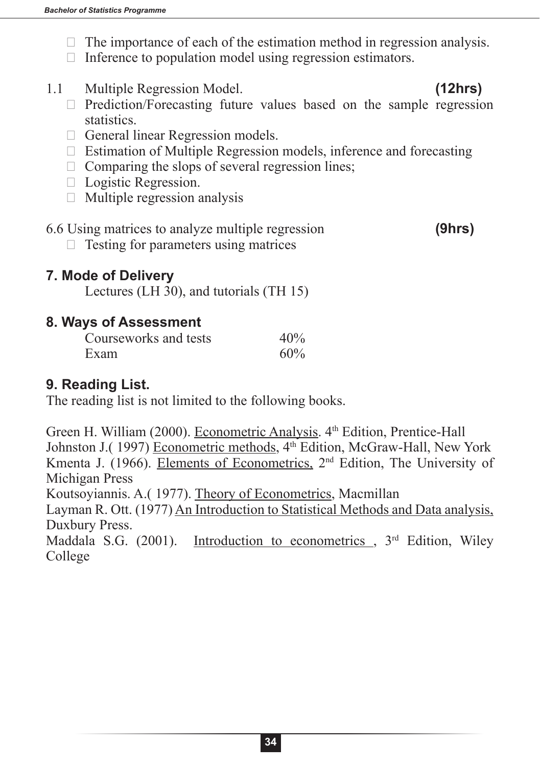- $\Box$  The importance of each of the estimation method in regression analysis.
- $\Box$  Inference to population model using regression estimators.
- 1.1 Multiple Regression Model. **(12hrs)**

- $\Box$  Prediction/Forecasting future values based on the sample regression statistics.
- $\Box$  General linear Regression models.
- $\Box$  Estimation of Multiple Regression models, inference and forecasting
- $\Box$  Comparing the slops of several regression lines;
- $\Box$  Logistic Regression.
- $\Box$  Multiple regression analysis

### 6.6 Using matrices to analyze multiple regression **(9hrs)**

 $\Box$  Testing for parameters using matrices

**7. Mode of Delivery**

Lectures (LH 30), and tutorials (TH 15)

#### **8. Ways of Assessment**

| Courseworks and tests | 40% |
|-----------------------|-----|
| Exam                  | 60% |

## **9. Reading List.**

The reading list is not limited to the following books.

Green H. William (2000). Econometric Analysis. 4<sup>th</sup> Edition, Prentice-Hall Johnston J.(1997) Econometric methods, 4<sup>th</sup> Edition, McGraw-Hall, New York Kmenta J. (1966). Elements of Econometrics, 2nd Edition, The University of Michigan Press

Koutsoyiannis. A.( 1977). Theory of Econometrics, Macmillan

Layman R. Ott. (1977) An Introduction to Statistical Methods and Data analysis, Duxbury Press.

Maddala S.G. (2001). Introduction to econometrics  $3<sup>rd</sup>$  Edition, Wiley College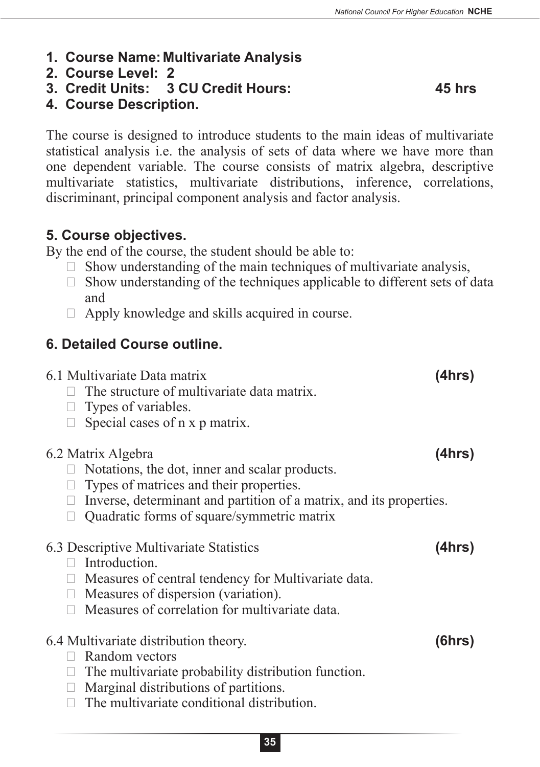- **1. Course Name: Multivariate Analysis**
- **2. Course Level: 2**
- **3. Credit Units: 3 CU Credit Hours: 45 hrs**

**4. Course Description.**

The course is designed to introduce students to the main ideas of multivariate statistical analysis i.e. the analysis of sets of data where we have more than one dependent variable. The course consists of matrix algebra, descriptive multivariate statistics, multivariate distributions, inference, correlations, discriminant, principal component analysis and factor analysis.

## **5. Course objectives.**

By the end of the course, the student should be able to:

- $\Box$  Show understanding of the main techniques of multivariate analysis,
- $\Box$  Show understanding of the techniques applicable to different sets of data and
- $\Box$  Apply knowledge and skills acquired in course.

## **6. Detailed Course outline.**

| 6.1 Multivariate Data matrix<br>The structure of multivariate data matrix.<br>Types of variables.<br>Special cases of n x p matrix.                                                                                                  | (4hrs) |
|--------------------------------------------------------------------------------------------------------------------------------------------------------------------------------------------------------------------------------------|--------|
| 6.2 Matrix Algebra<br>Notations, the dot, inner and scalar products.<br>Types of matrices and their properties.<br>Inverse, determinant and partition of a matrix, and its properties.<br>Quadratic forms of square/symmetric matrix | (4hrs) |
| 6.3 Descriptive Multivariate Statistics<br>Introduction.<br>Measures of central tendency for Multivariate data.<br>Measures of dispersion (variation).<br>Measures of correlation for multivariate data.                             | (4hrs) |
| 6.4 Multivariate distribution theory.<br>Random vectors<br>The multivariate probability distribution function.                                                                                                                       | (6hrs) |

- $\Box$  Marginal distributions of partitions.
- $\Box$  The multivariate conditional distribution.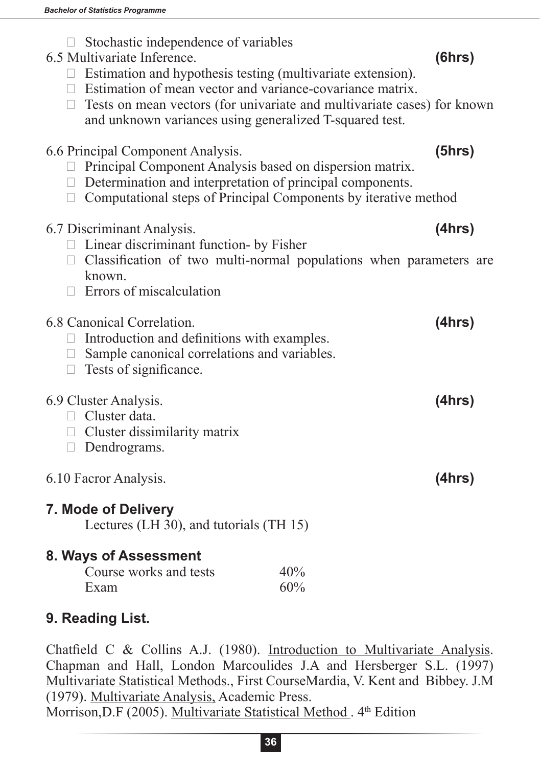- $\Box$  Stochastic independence of variables
- 6.5 Multivariate Inference. **(6hrs)**
	- $\Box$  Estimation and hypothesis testing (multivariate extension).
	- $\Box$  Estimation of mean vector and variance-covariance matrix.
	- $\Box$  Tests on mean vectors (for univariate and multivariate cases) for known and unknown variances using generalized T-squared test.

|  |  | 6.6 Principal Component Analysis. | (5hrs) |
|--|--|-----------------------------------|--------|
|--|--|-----------------------------------|--------|

- $\Box$  Principal Component Analysis based on dispersion matrix.
- $\Box$  Determination and interpretation of principal components.
- $\Box$  Computational steps of Principal Components by iterative method

|  |  | 6.7 Discriminant Analysis. |  |  |  |  |  | (4hrs) |
|--|--|----------------------------|--|--|--|--|--|--------|
|  |  |                            |  |  |  |  |  |        |

- $\Box$  Linear discriminant function- by Fisher
- $\Box$  Classification of two multi-normal populations when parameters are known.
- $\Box$  Errors of miscalculation

## 6.8 Canonical Correlation. **(4hrs)**  $\Box$  Introduction and definitions with examples.

- $\Box$  Sample canonical correlations and variables.
- $\Box$  Tests of significance.

## 6.9 Cluster Analysis. **(4hrs)**

- $\Box$  Cluster data.
- $\Box$  Cluster dissimilarity matrix
- $\Box$  Dendrograms.
- 6.10 Facror Analysis. **(4hrs)**

# **7. Mode of Delivery**

Lectures (LH 30), and tutorials (TH 15)

# **8. Ways of Assessment**

| Course works and tests | 40% |
|------------------------|-----|
| Exam                   | 60% |

# **9. Reading List.**

Chatfield C & Collins A.J. (1980). Introduction to Multivariate Analysis. Chapman and Hall, London Marcoulides J.A and Hersberger S.L. (1997) Multivariate Statistical Methods., First CourseMardia, V. Kent and Bibbey. J.M (1979). Multivariate Analysis, Academic Press. Morrison, D.F (2005). Multivariate Statistical Method . 4<sup>th</sup> Edition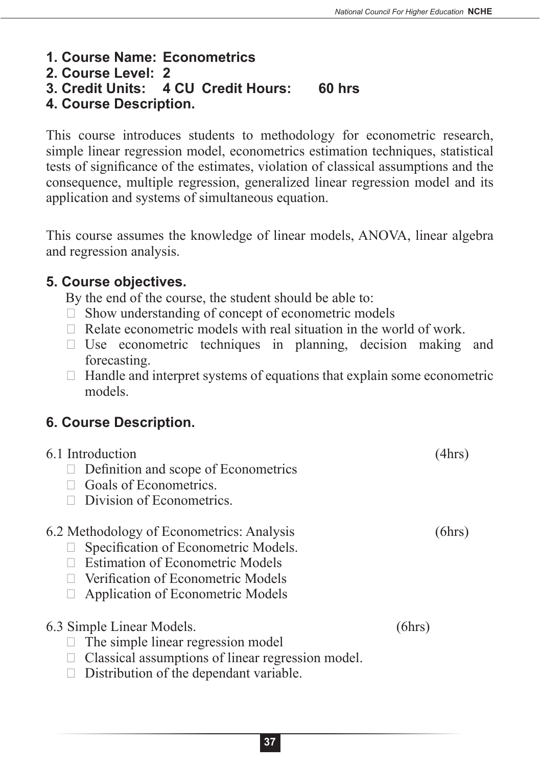- **1. Course Name: Econometrics**
- **2. Course Level: 2**
- **3. Credit Units: 4 CU Credit Hours: 60 hrs**
- **4. Course Description.**

This course introduces students to methodology for econometric research, simple linear regression model, econometrics estimation techniques, statistical tests of significance of the estimates, violation of classical assumptions and the consequence, multiple regression, generalized linear regression model and its application and systems of simultaneous equation.

This course assumes the knowledge of linear models, ANOVA, linear algebra and regression analysis.

## **5. Course objectives.**

By the end of the course, the student should be able to:

- $\Box$  Show understanding of concept of econometric models
- $\Box$  Relate econometric models with real situation in the world of work.
- $\Box$  Use econometric techniques in planning, decision making and forecasting.
- $\Box$  Handle and interpret systems of equations that explain some econometric models.

## **6. Course Description.**

| 6.1 Introduction<br>Definition and scope of Econometrics<br>Goals of Econometrics.<br>Division of Econometrics.                                                                                         |        |
|---------------------------------------------------------------------------------------------------------------------------------------------------------------------------------------------------------|--------|
| 6.2 Methodology of Econometrics: Analysis<br>Specification of Econometric Models.<br><b>Estimation of Econometric Models</b><br>Verification of Econometric Models<br>Application of Econometric Models | (6hrs) |
| 6.3 Simple Linear Models.<br>The simple linear regression model<br>Classical assumptions of linear regression model.<br>Distribution of the dependant variable.                                         | (6hrs) |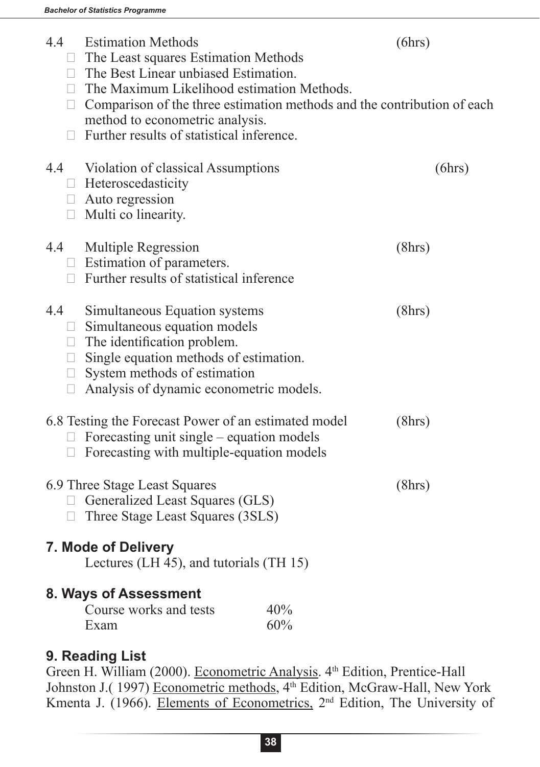| 4.4<br>$\Box$<br>П      | <b>Estimation Methods</b><br>$\Box$ The Least squares Estimation Methods<br>$\Box$ The Best Linear unbiased Estimation.<br>$\Box$ The Maximum Likelihood estimation Methods.<br>Comparison of the three estimation methods and the contribution of each<br>method to econometric analysis.<br>Further results of statistical inference. |            | (6hrs) |
|-------------------------|-----------------------------------------------------------------------------------------------------------------------------------------------------------------------------------------------------------------------------------------------------------------------------------------------------------------------------------------|------------|--------|
|                         | 4.4 Violation of classical Assumptions<br>$\Box$ Heteroscedasticity<br>$\Box$ Auto regression<br>$\Box$ Multi co linearity.                                                                                                                                                                                                             |            | (6hrs) |
| 4.4                     | <b>Multiple Regression</b><br>$\Box$ Estimation of parameters.<br>$\Box$ Further results of statistical inference                                                                                                                                                                                                                       |            | (8hrs) |
| 4.4<br>$\Box$<br>$\Box$ | Simultaneous Equation systems<br>$\Box$ Simultaneous equation models<br>$\Box$ The identification problem.<br>$\Box$ Single equation methods of estimation.<br>System methods of estimation<br>Analysis of dynamic econometric models.                                                                                                  |            | (8hrs) |
| Ц<br>$\Box$             | 6.8 Testing the Forecast Power of an estimated model<br>Forecasting unit single – equation models<br>Forecasting with multiple-equation models                                                                                                                                                                                          |            | (8hrs) |
| $\Box$                  | 6.9 Three Stage Least Squares<br>Generalized Least Squares (GLS)<br>Three Stage Least Squares (3SLS)                                                                                                                                                                                                                                    |            | (8hrs) |
|                         | 7. Mode of Delivery<br>Lectures (LH 45), and tutorials (TH 15)                                                                                                                                                                                                                                                                          |            |        |
|                         | 8. Ways of Assessment<br>Course works and tests<br>Exam                                                                                                                                                                                                                                                                                 | 40%<br>60% |        |

#### **9. Reading List**

Green H. William (2000). Econometric Analysis. 4<sup>th</sup> Edition, Prentice-Hall Johnston J.(1997) Econometric methods, 4<sup>th</sup> Edition, McGraw-Hall, New York Kmenta J. (1966). Elements of Econometrics, 2<sup>nd</sup> Edition, The University of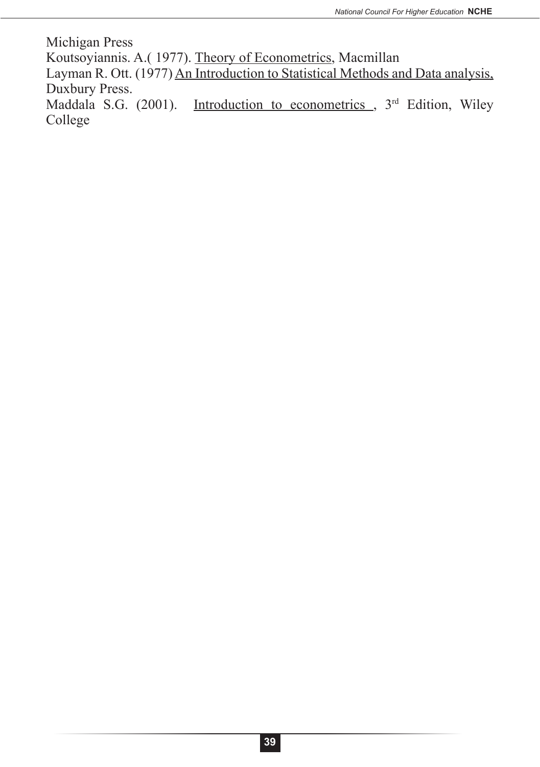Michigan Press Koutsoyiannis. A.( 1977). Theory of Econometrics, Macmillan Layman R. Ott. (1977) An Introduction to Statistical Methods and Data analysis, Duxbury Press. Maddala S.G. (2001). Introduction to econometrics , 3<sup>rd</sup> Edition, Wiley College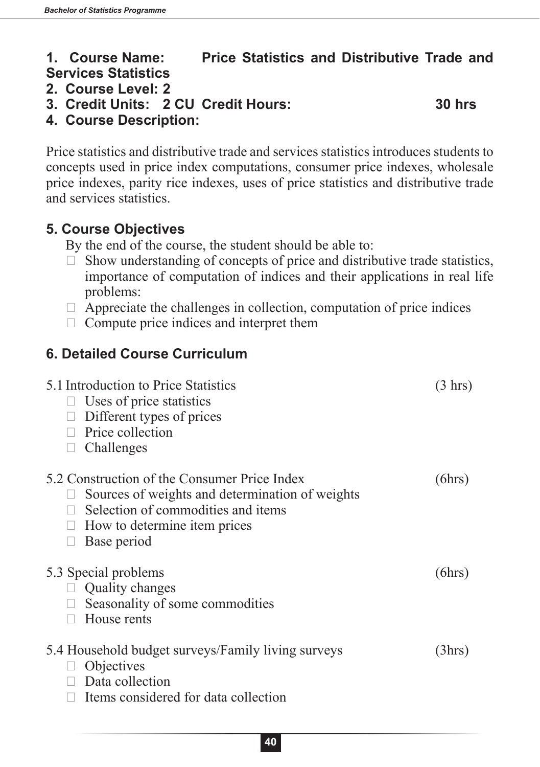## **1. Course Name: Price Statistics and Distributive Trade and Services Statistics**

#### **2. Course Level: 2**

**3. Credit Units: 2 CU Credit Hours: 30 hrs** 

**4. Course Description:**

Price statistics and distributive trade and services statistics introduces students to concepts used in price index computations, consumer price indexes, wholesale price indexes, parity rice indexes, uses of price statistics and distributive trade and services statistics.

## **5. Course Objectives**

By the end of the course, the student should be able to:

- $\Box$  Show understanding of concepts of price and distributive trade statistics, importance of computation of indices and their applications in real life problems:
- $\Box$  Appreciate the challenges in collection, computation of price indices
- $\Box$  Compute price indices and interpret them

## **6. Detailed Course Curriculum**

| 5.1 Introduction to Price Statistics<br>Uses of price statistics<br>Different types of prices<br>Price collection<br>Challenges                                                      | $(3 \text{ hrs})$ |
|--------------------------------------------------------------------------------------------------------------------------------------------------------------------------------------|-------------------|
| 5.2 Construction of the Consumer Price Index<br>Sources of weights and determination of weights<br>Selection of commodities and items<br>How to determine item prices<br>Base period | (6hrs)            |
| 5.3 Special problems<br><b>Quality changes</b><br>Seasonality of some commodities<br>House rents                                                                                     | (6hrs)            |
| 5.4 Household budget surveys/Family living surveys<br>Objectives<br>Data collection<br>Items considered for data collection                                                          | (3hrs)            |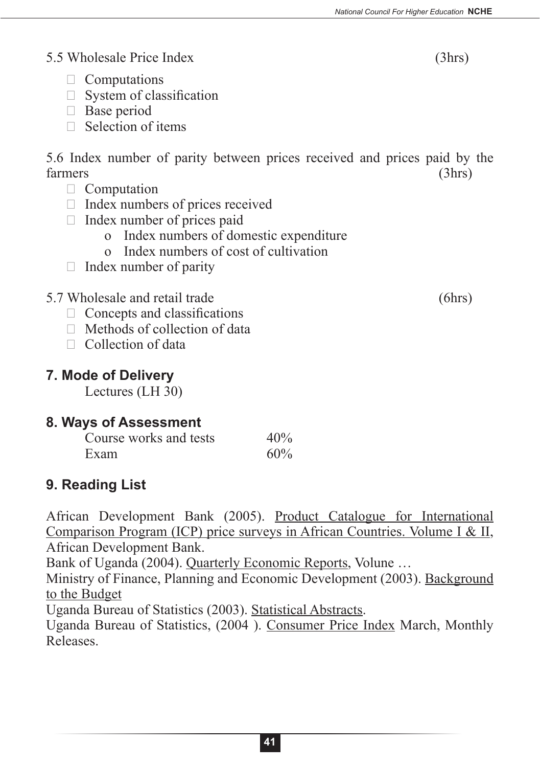#### 5.5 Wholesale Price Index (3hrs)

- $\Box$  Computations
- $\Box$  System of classification
- $\Box$  Base period
- $\Box$  Selection of items

5.6 Index number of parity between prices received and prices paid by the farmers (3hrs)

- $\Box$  Computation
- $\Box$  Index numbers of prices received
- $\Box$  Index number of prices paid
	- o Index numbers of domestic expenditure
	- o Index numbers of cost of cultivation
- $\Box$  Index number of parity
- 5.7 Wholesale and retail trade (6hrs)
	- $\Box$  Concepts and classifications
	- $\Box$  Methods of collection of data
	- $\Box$  Collection of data

## **7. Mode of Delivery**

Lectures (LH 30)

## **8. Ways of Assessment**

| Course works and tests | 40% |
|------------------------|-----|
| Exam                   | 60% |

# **9. Reading List**

African Development Bank (2005). Product Catalogue for International Comparison Program (ICP) price surveys in African Countries. Volume I & II, African Development Bank.

Bank of Uganda (2004). Quarterly Economic Reports, Volune …

Ministry of Finance, Planning and Economic Development (2003). Background to the Budget

Uganda Bureau of Statistics (2003). Statistical Abstracts.

Uganda Bureau of Statistics, (2004 ). Consumer Price Index March, Monthly Releases.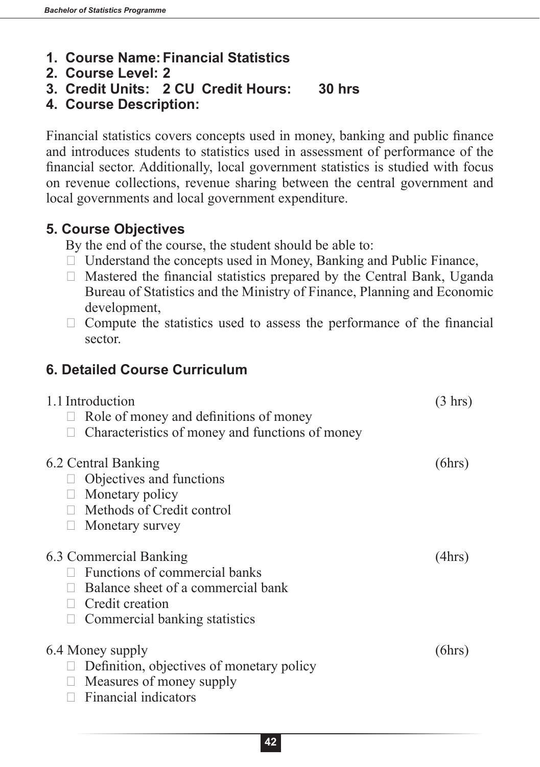- **1. Course Name:Financial Statistics**
- **2. Course Level: 2**
- **3. Credit Units: 2 CU Credit Hours: 30 hrs**
- **4. Course Description:**

Financial statistics covers concepts used in money, banking and public finance and introduces students to statistics used in assessment of performance of the financial sector. Additionally, local government statistics is studied with focus on revenue collections, revenue sharing between the central government and local governments and local government expenditure.

## **5. Course Objectives**

By the end of the course, the student should be able to:

- $\Box$  Understand the concepts used in Money, Banking and Public Finance,
- $\Box$  Mastered the financial statistics prepared by the Central Bank, Uganda Bureau of Statistics and the Ministry of Finance, Planning and Economic development,
- $\Box$  Compute the statistics used to assess the performance of the financial sector.

## **6. Detailed Course Curriculum**

| 1.1 Introduction                                | $(3 \text{ hrs})$ |
|-------------------------------------------------|-------------------|
| Role of money and definitions of money          |                   |
| Characteristics of money and functions of money |                   |
| 6.2 Central Banking                             | (6hrs)            |
| Objectives and functions                        |                   |
| $\Box$ Monetary policy                          |                   |
| $\Box$ Methods of Credit control                |                   |
| Monetary survey                                 |                   |
| 6.3 Commercial Banking                          | (4hrs)            |
| Functions of commercial banks                   |                   |
| Balance sheet of a commercial bank              |                   |
| Credit creation                                 |                   |
| Commercial banking statistics                   |                   |
| 6.4 Money supply                                | (6hrs)            |
| Definition, objectives of monetary policy       |                   |
| Measures of money supply<br>$\Box$              |                   |
| Financial indicators                            |                   |
|                                                 |                   |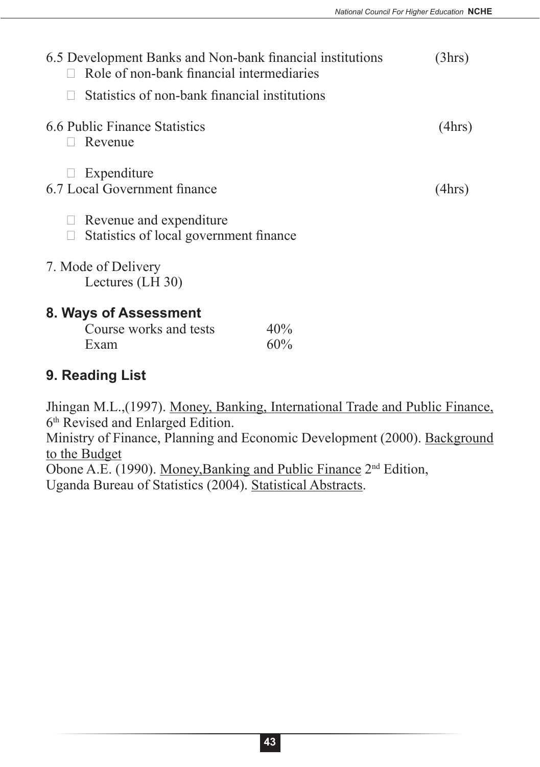| 6.5 Development Banks and Non-bank financial institutions<br>Role of non-bank financial intermediaries | (3hrs) |
|--------------------------------------------------------------------------------------------------------|--------|
| Statistics of non-bank financial institutions                                                          |        |
| 6.6 Public Finance Statistics<br>Revenue                                                               | (4hrs) |
| Expenditure<br>6.7 Local Government finance                                                            | (4hrs) |
| Revenue and expenditure<br>Statistics of local government finance                                      |        |
| 7. Mode of Delivery<br>Lectures (LH 30)                                                                |        |
| 8. Ways of Assessment                                                                                  |        |
| Course works and tests<br>40%<br>60%<br>Exam                                                           |        |
| 9. Reading List                                                                                        |        |

Jhingan M.L.,(1997). Money, Banking, International Trade and Public Finance, 6th Revised and Enlarged Edition. Ministry of Finance, Planning and Economic Development (2000). Background to the Budget Obone A.E. (1990). Money,Banking and Public Finance 2nd Edition, Uganda Bureau of Statistics (2004). Statistical Abstracts.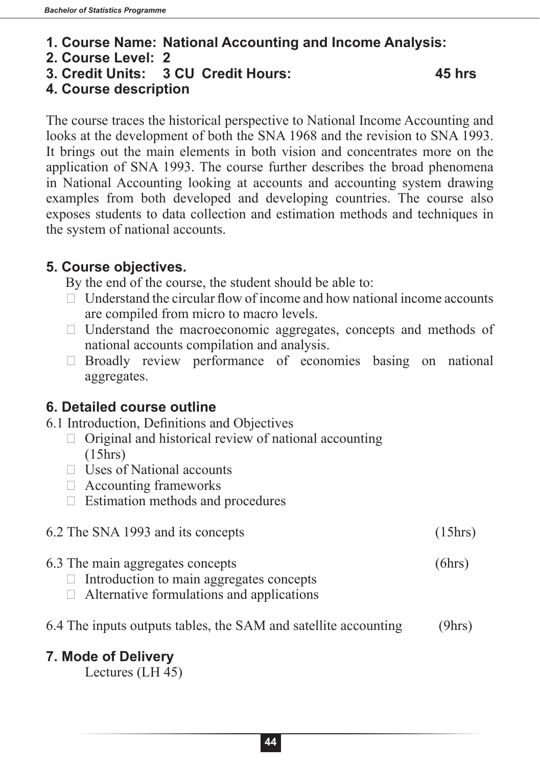#### **1. Course Name: National Accounting and Income Analysis:**

- **2. Course Level: 2**
- **3. Credit Units: 3 CU Credit Hours: 45 hrs**

## **4. Course description**

The course traces the historical perspective to National Income Accounting and looks at the development of both the SNA 1968 and the revision to SNA 1993. It brings out the main elements in both vision and concentrates more on the application of SNA 1993. The course further describes the broad phenomena in National Accounting looking at accounts and accounting system drawing examples from both developed and developing countries. The course also exposes students to data collection and estimation methods and techniques in the system of national accounts.

## **5. Course objectives.**

By the end of the course, the student should be able to:

- $\Box$  Understand the circular flow of income and how national income accounts are compiled from micro to macro levels.
- $\Box$  Understand the macroeconomic aggregates, concepts and methods of national accounts compilation and analysis.
- $\Box$  Broadly review performance of economies basing on national aggregates.

## **6. Detailed course outline**

- 6.1 Introduction, Definitions and Objectives
	- $\Box$  Original and historical review of national accounting (15hrs)
	- $\Box$  Uses of National accounts
	- $\Box$  Accounting frameworks
	- $\Box$  Estimation methods and procedures

# 6.2 The SNA 1993 and its concepts (15hrs)

- 6.3 The main aggregates concepts (6hrs)
	- $\Box$  Introduction to main aggregates concepts
	- $\Box$  Alternative formulations and applications
- 6.4 The inputs outputs tables, the SAM and satellite accounting (9hrs)

#### **7. Mode of Delivery**

Lectures (LH 45)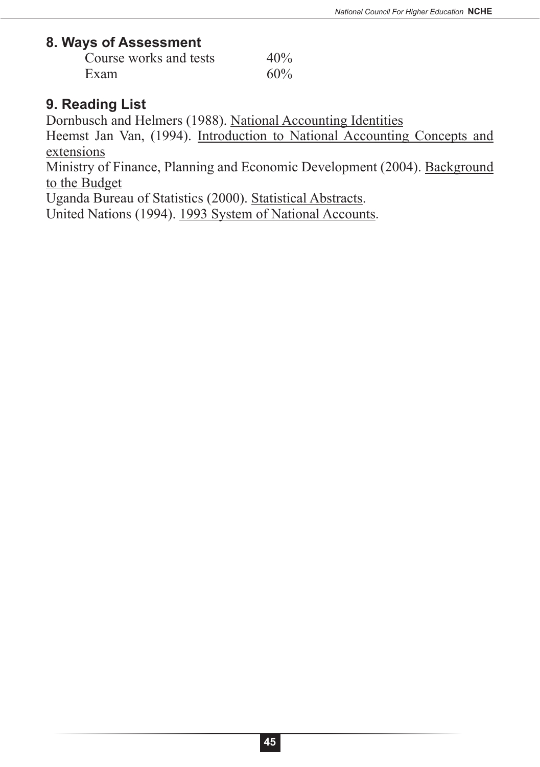#### **8. Ways of Assessment**

| Course works and tests | 40% |
|------------------------|-----|
| Exam                   | 60% |

## **9. Reading List**

Dornbusch and Helmers (1988). National Accounting Identities

Heemst Jan Van, (1994). Introduction to National Accounting Concepts and extensions

Ministry of Finance, Planning and Economic Development (2004). Background to the Budget

Uganda Bureau of Statistics (2000). Statistical Abstracts.

United Nations (1994). 1993 System of National Accounts*.*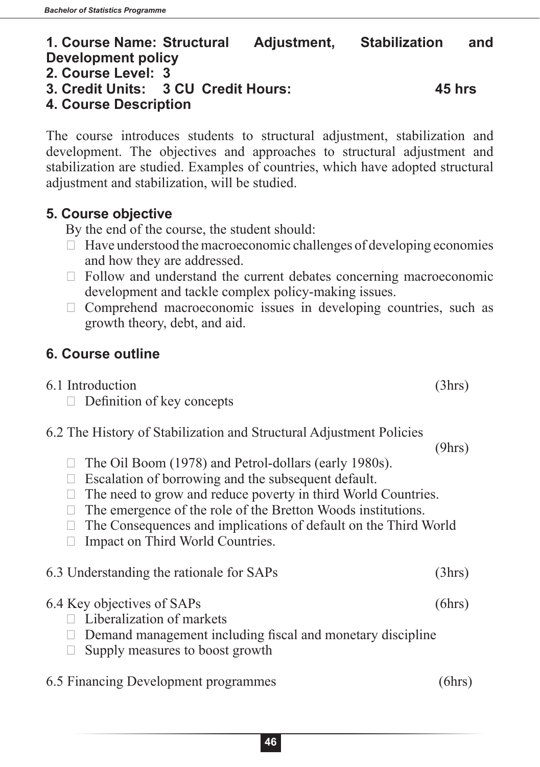**2. Course Level: 3**

**4. Course Description**

| The course introduces students to structural adjustment, stabilization and<br>development. The objectives and approaches to structural adjustment and<br>stabilization are studied. Examples of countries, which have adopted structural<br>adjustment and stabilization, will be studied.                                                                                                                               |        |
|--------------------------------------------------------------------------------------------------------------------------------------------------------------------------------------------------------------------------------------------------------------------------------------------------------------------------------------------------------------------------------------------------------------------------|--------|
| 5. Course objective<br>By the end of the course, the student should:<br>Have understood the macroeconomic challenges of developing economies<br>and how they are addressed.<br>Follow and understand the current debates concerning macroeconomic<br>$\Box$<br>development and tackle complex policy-making issues.<br>Comprehend macroeconomic issues in developing countries, such as<br>growth theory, debt, and aid. |        |
| <b>6. Course outline</b>                                                                                                                                                                                                                                                                                                                                                                                                 |        |
| 6.1 Introduction<br>Definition of key concepts<br>$\Box$                                                                                                                                                                                                                                                                                                                                                                 | (3hrs) |
| 6.2 The History of Stabilization and Structural Adjustment Policies<br>The Oil Boom (1978) and Petrol-dollars (early 1980s).<br>$\Box$ Escalation of borrowing and the subsequent default.                                                                                                                                                                                                                               | (9hrs) |
| $\Box$ The need to grow and reduce poverty in third World Countries.<br>The emergence of the role of the Bretton Woods institutions.<br>$\Box$<br>The Consequences and implications of default on the Third World<br>$\Box$<br>Impact on Third World Countries.<br>$\Box$                                                                                                                                                |        |
| 6.3 Understanding the rationale for SAPs                                                                                                                                                                                                                                                                                                                                                                                 | (3hrs) |
| 6.4 Key objectives of SAPs<br>Liberalization of markets<br>Demand management including fiscal and monetary discipline<br>Supply measures to boost growth                                                                                                                                                                                                                                                                 | (6hrs) |
| 6.5 Financing Development programmes                                                                                                                                                                                                                                                                                                                                                                                     | (6hrs) |
| 46                                                                                                                                                                                                                                                                                                                                                                                                                       |        |

## **1. Course Name: Structural Adjustment, Stabilization and Development policy**

**3. Credit Units: 3 CU Credit Hours: 45 hrs**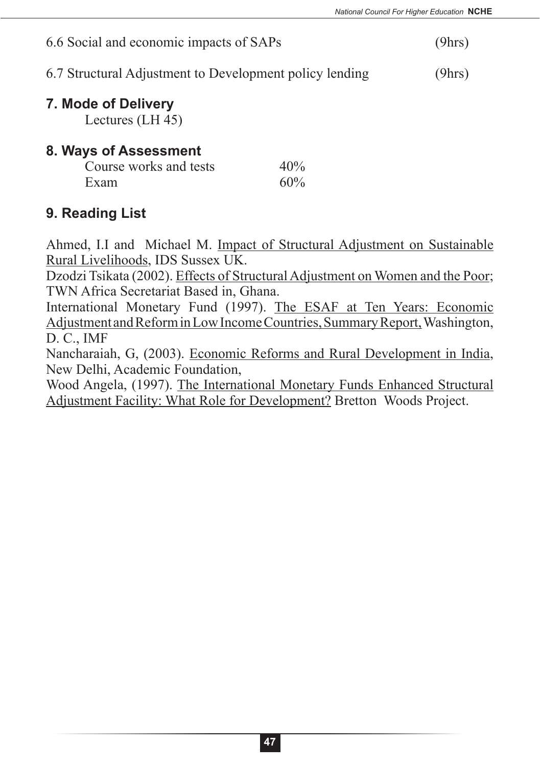| 6.6 Social and economic impacts of SAPs                 | (9hrs) |
|---------------------------------------------------------|--------|
| 6.7 Structural Adjustment to Development policy lending | (9hrs) |

## **7. Mode of Delivery**

Lectures (LH 45)

#### **8. Ways of Assessment**

| Course works and tests | 40% |
|------------------------|-----|
| Exam                   | 60% |

## **9. Reading List**

Ahmed, I.I and Michael M. Impact of Structural Adjustment on Sustainable Rural Livelihoods, IDS Sussex UK.

Dzodzi Tsikata (2002). Effects of Structural Adjustment on Women and the Poor; TWN Africa Secretariat Based in, Ghana.

International Monetary Fund (1997). The ESAF at Ten Years: Economic Adjustment and Reform in Low Income Countries, Summary Report, Washington, D. C., IMF

Nancharaiah, G, (2003). Economic Reforms and Rural Development in India, New Delhi, Academic Foundation,

Wood Angela, (1997). The International Monetary Funds Enhanced Structural Adjustment Facility: What Role for Development? Bretton Woods Project.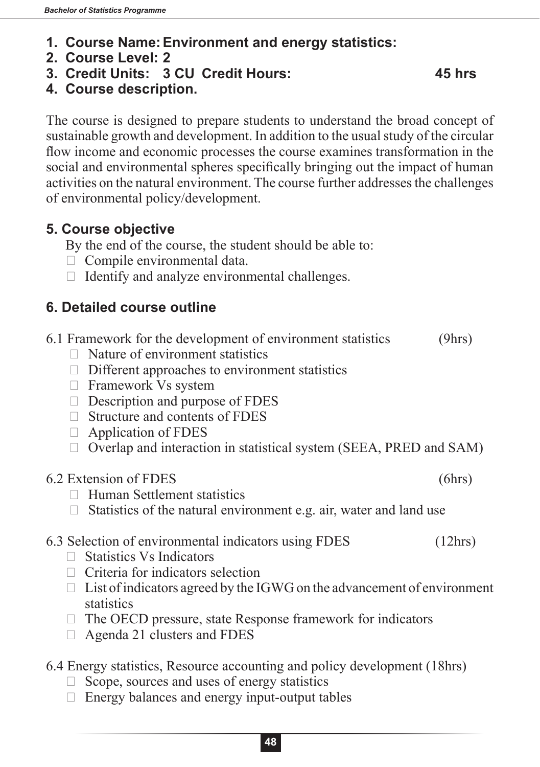- **1. Course Name:Environment and energy statistics:**
- **2. Course Level: 2**
- **3. Credit Units: 3 CU Credit Hours: 45 hrs**

**4. Course description.**

The course is designed to prepare students to understand the broad concept of sustainable growth and development. In addition to the usual study of the circular flow income and economic processes the course examines transformation in the social and environmental spheres specifically bringing out the impact of human activities on the natural environment. The course further addresses the challenges of environmental policy/development.

## **5. Course objective**

By the end of the course, the student should be able to:

- $\Box$  Compile environmental data.
- $\Box$  Identify and analyze environmental challenges.

## **6. Detailed course outline**

|        | 6.1 Framework for the development of environment statistics             | (9hrs)  |
|--------|-------------------------------------------------------------------------|---------|
|        | Nature of environment statistics                                        |         |
|        | Different approaches to environment statistics                          |         |
| $\Box$ | Framework Vs system                                                     |         |
|        | Description and purpose of FDES                                         |         |
|        | Structure and contents of FDES                                          |         |
|        | Application of FDES                                                     |         |
|        | Overlap and interaction in statistical system (SEEA, PRED and SAM)      |         |
|        | 6.2 Extension of FDES                                                   | (6hrs)  |
|        | <b>Human Settlement statistics</b>                                      |         |
|        | Statistics of the natural environment e.g. air, water and land use      |         |
|        | 6.3 Selection of environmental indicators using FDES                    | (12hrs) |
|        | $\Box$ Statistics Vs Indicators                                         |         |
|        | $\Box$ Criteria for indicators selection                                |         |
| Ш      | List of indicators agreed by the IGWG on the advancement of environment |         |
|        | statistics                                                              |         |
|        | The OECD pressure, state Response framework for indicators              |         |
|        | Agenda 21 clusters and FDES                                             |         |
|        |                                                                         |         |

- 6.4 Energy statistics, Resource accounting and policy development (18hrs)
	- $\Box$  Scope, sources and uses of energy statistics
	- $\Box$  Energy balances and energy input-output tables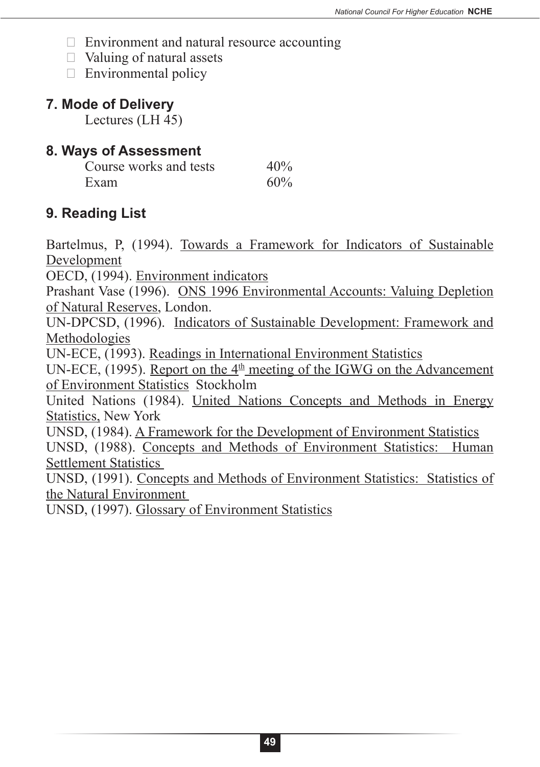- $\Box$  Environment and natural resource accounting
- $\Box$  Valuing of natural assets
- $\Box$  Environmental policy

## **7. Mode of Delivery**

Lectures (LH 45)

#### **8. Ways of Assessment**

| Course works and tests | 40% |
|------------------------|-----|
| Exam                   | 60% |

## **9. Reading List**

Bartelmus, P, (1994). Towards a Framework for Indicators of Sustainable Development

OECD, (1994). Environment indicators

Prashant Vase (1996). ONS 1996 Environmental Accounts: Valuing Depletion of Natural Reserves, London.

UN-DPCSD, (1996). Indicators of Sustainable Development: Framework and Methodologies

UN-ECE, (1993). Readings in International Environment Statistics

UN-ECE, (1995). Report on the  $4<sup>th</sup>$  meeting of the IGWG on the Advancement of Environment Statistics Stockholm

United Nations (1984). United Nations Concepts and Methods in Energy Statistics, New York

UNSD, (1984). A Framework for the Development of Environment Statistics UNSD, (1988). Concepts and Methods of Environment Statistics: Human Settlement Statistics

UNSD, (1991). Concepts and Methods of Environment Statistics: Statistics of the Natural Environment

UNSD, (1997). Glossary of Environment Statistics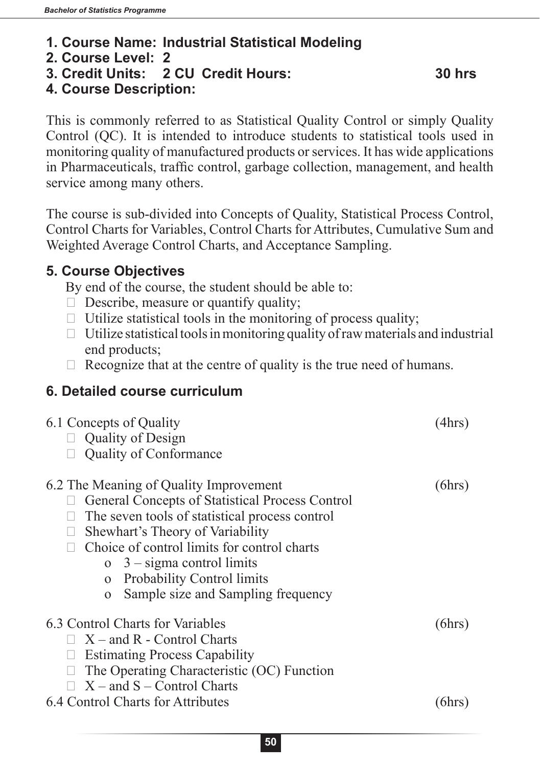#### **1. Course Name: Industrial Statistical Modeling**

- **2. Course Level: 2**
- **3. Credit Units: 2 CU Credit Hours: 30 hrs**

## **4. Course Description:**

This is commonly referred to as Statistical Quality Control or simply Quality Control (QC). It is intended to introduce students to statistical tools used in monitoring quality of manufactured products or services. It has wide applications in Pharmaceuticals, traffic control, garbage collection, management, and health service among many others.

The course is sub-divided into Concepts of Quality, Statistical Process Control, Control Charts for Variables, Control Charts for Attributes, Cumulative Sum and Weighted Average Control Charts, and Acceptance Sampling.

## **5. Course Objectives**

By end of the course, the student should be able to:

- $\Box$  Describe, measure or quantify quality;
- $\Box$  Utilize statistical tools in the monitoring of process quality;
- $\Box$  Utilize statistical tools in monitoring quality of raw materials and industrial end products;
- $\Box$  Recognize that at the centre of quality is the true need of humans.

## **6. Detailed course curriculum**

| 6.1 Concepts of Quality<br>$\Box$ Quality of Design<br><b>Quality of Conformance</b>              | '4hrs) |
|---------------------------------------------------------------------------------------------------|--------|
| 6.2 The Meaning of Quality Improvement                                                            | (bhrs) |
| General Concepts of Statistical Process Control<br>The seven tools of statistical process control |        |
| Shewhart's Theory of Variability                                                                  |        |
| Choice of control limits for control charts                                                       |        |
| $\sigma$ 3 – sigma control limits                                                                 |        |
| <b>Probability Control limits</b><br>$\overline{O}$                                               |        |
| Sample size and Sampling frequency<br>$\Omega$                                                    |        |
| 6.3 Control Charts for Variables                                                                  | (6hrs) |
| $\Box$ X – and R - Control Charts                                                                 |        |
| <b>Estimating Process Capability</b>                                                              |        |
| The Operating Characteristic (OC) Function                                                        |        |
| $X$ – and S – Control Charts                                                                      |        |
| 6.4 Control Charts for Attributes                                                                 | ohrs ! |
|                                                                                                   |        |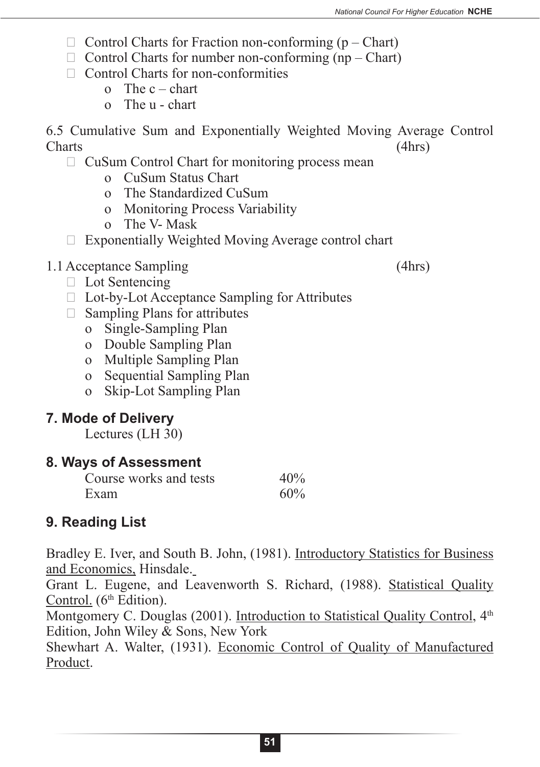- $\Box$  Control Charts for Fraction non-conforming (p Chart)
- $\Box$  Control Charts for number non-conforming (np Chart)
- $\Box$  Control Charts for non-conformities
	- o The  $c$  chart
	- o The u chart

6.5 Cumulative Sum and Exponentially Weighted Moving Average Control Charts (4hrs)

## $\Box$  CuSum Control Chart for monitoring process mean

- o CuSum Status Chart
- o The Standardized CuSum
- o Monitoring Process Variability
- o The V- Mask
- $\Box$  Exponentially Weighted Moving Average control chart

## 1.1Acceptance Sampling (4hrs)

- $\Box$  Lot Sentencing
- $\Box$  Lot-by-Lot Acceptance Sampling for Attributes
- $\Box$  Sampling Plans for attributes
	- o Single-Sampling Plan
	- o Double Sampling Plan
	- o Multiple Sampling Plan
	- o Sequential Sampling Plan
	- o Skip-Lot Sampling Plan

## **7. Mode of Delivery**

Lectures (LH 30)

## **8. Ways of Assessment**

| Course works and tests | 40% |
|------------------------|-----|
| Exam                   | 60% |

## **9. Reading List**

Bradley E. Iver, and South B. John, (1981). Introductory Statistics for Business and Economics, Hinsdale.

Grant L. Eugene, and Leavenworth S. Richard, (1988). Statistical Quality Control.  $(6<sup>th</sup> Edition)$ .

Montgomery C. Douglas (2001). Introduction to Statistical Quality Control, 4<sup>th</sup> Edition, John Wiley & Sons, New York

Shewhart A. Walter, (1931). Economic Control of Quality of Manufactured Product.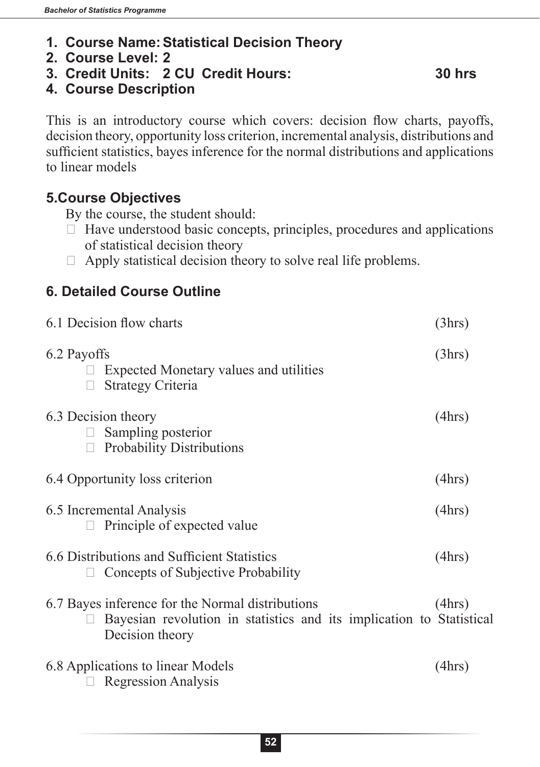- **1. Course Name:Statistical Decision Theory**
- **2. Course Level: 2**
- **3. Credit Units: 2 CU Credit Hours: 30 hrs**

#### **4. Course Description**

This is an introductory course which covers: decision flow charts, payoffs, decision theory, opportunity loss criterion, incremental analysis, distributions and sufficient statistics, bayes inference for the normal distributions and applications to linear models

### **5.Course Objectives**

By the course, the student should:

- $\Box$  Have understood basic concepts, principles, procedures and applications of statistical decision theory
- $\Box$  Apply statistical decision theory to solve real life problems.

## **6. Detailed Course Outline**

| 6.1 Decision flow charts                                                                                                                    | (3hrs) |
|---------------------------------------------------------------------------------------------------------------------------------------------|--------|
| 6.2 Payoffs<br><b>Expected Monetary values and utilities</b><br><b>Strategy Criteria</b>                                                    | (3hrs) |
| 6.3 Decision theory<br>Sampling posterior<br><b>Probability Distributions</b>                                                               | (4hrs) |
| 6.4 Opportunity loss criterion                                                                                                              | (4hrs) |
| 6.5 Incremental Analysis<br>Principle of expected value                                                                                     | (4hrs) |
| 6.6 Distributions and Sufficient Statistics<br>Concepts of Subjective Probability                                                           | (4hrs) |
| 6.7 Bayes inference for the Normal distributions<br>Bayesian revolution in statistics and its implication to Statistical<br>Decision theory | (4hrs) |
| 6.8 Applications to linear Models<br><b>Regression Analysis</b>                                                                             | (4hrs) |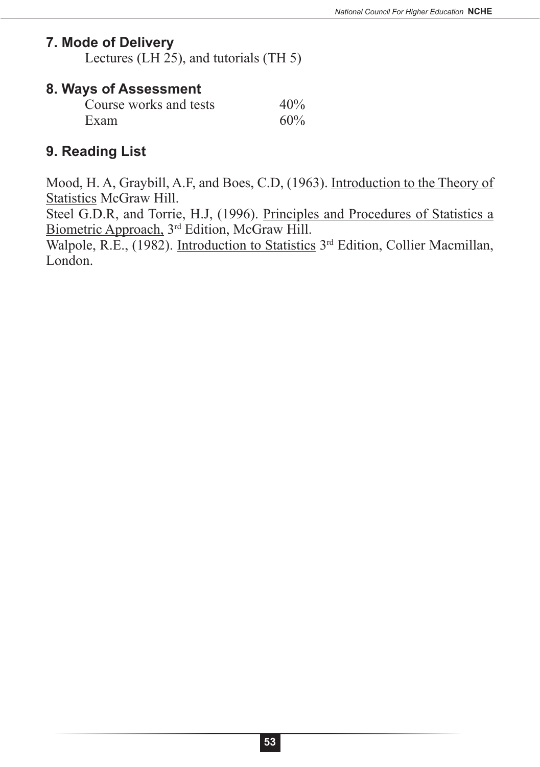#### **7. Mode of Delivery**

Lectures (LH 25), and tutorials (TH 5)

#### **8. Ways of Assessment**

| Course works and tests | 40% |
|------------------------|-----|
| Exam                   | 60% |

## **9. Reading List**

Mood, H. A, Graybill, A.F, and Boes, C.D, (1963). Introduction to the Theory of **Statistics McGraw Hill.** 

Steel G.D.R, and Torrie, H.J, (1996). Principles and Procedures of Statistics a Biometric Approach, 3rd Edition, McGraw Hill.

Walpole, R.E., (1982). Introduction to Statistics 3<sup>rd</sup> Edition, Collier Macmillan, London.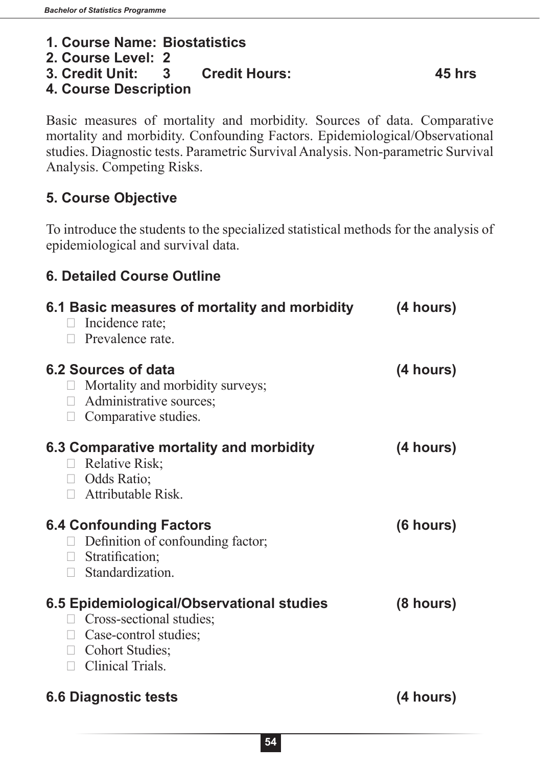#### **1. Course Name: Biostatistics**

- **2. Course Level: 2**
- **3. Credit Unit: 3 Credit Hours: 45 hrs**

## **4. Course Description**

Basic measures of mortality and morbidity. Sources of data. Comparative mortality and morbidity. Confounding Factors. Epidemiological/Observational studies. Diagnostic tests. Parametric Survival Analysis. Non-parametric Survival Analysis. Competing Risks.

## **5. Course Objective**

To introduce the students to the specialized statistical methods for the analysis of epidemiological and survival data.

## **6. Detailed Course Outline**

| 6.1 Basic measures of mortality and morbidity<br>Incidence rate;<br>$\mathbf{L}$<br>$\Box$ Prevalence rate.                                                         | (4 hours) |
|---------------------------------------------------------------------------------------------------------------------------------------------------------------------|-----------|
| 6.2 Sources of data<br>Mortality and morbidity surveys;<br>$\Box$ Administrative sources;<br>$\Box$ Comparative studies.                                            | (4 hours) |
| 6.3 Comparative mortality and morbidity<br>Relative Risk;<br>$\Box$ Odds Ratio;<br>$\Box$ Attributable Risk.                                                        | (4 hours) |
| <b>6.4 Confounding Factors</b><br>Definition of confounding factor;<br>$\Box$ Stratification;<br>Standardization.<br>П                                              | (6 hours) |
| 6.5 Epidemiological/Observational studies<br>Cross-sectional studies;<br>$\mathbf{L}$<br>$\Box$ Case-control studies;<br>Cohort Studies;<br>$\Box$ Clinical Trials. | (8 hours) |
| <b>6.6 Diagnostic tests</b>                                                                                                                                         | (4 hours) |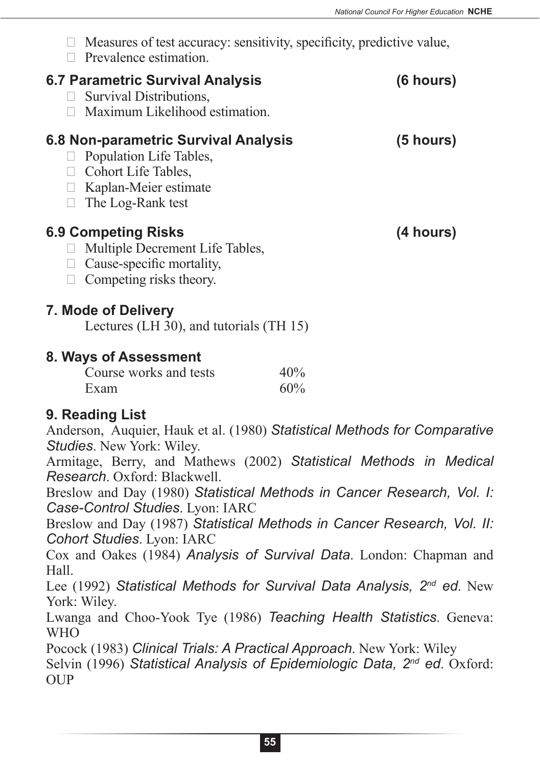| Measures of test accuracy: sensitivity, specificity, predictive value,                                                                                                                                                                                                                               |
|------------------------------------------------------------------------------------------------------------------------------------------------------------------------------------------------------------------------------------------------------------------------------------------------------|
| (6 hours)                                                                                                                                                                                                                                                                                            |
| 6.8 Non-parametric Survival Analysis<br>(5 hours)                                                                                                                                                                                                                                                    |
| (4 hours)                                                                                                                                                                                                                                                                                            |
| Lectures (LH 30), and tutorials (TH 15)                                                                                                                                                                                                                                                              |
|                                                                                                                                                                                                                                                                                                      |
| 40%<br>60%                                                                                                                                                                                                                                                                                           |
| Anderson, Auquier, Hauk et al. (1980) Statistical Methods for Comparative<br>Armitage, Berry, and Mathews (2002) Statistical Methods in Medical<br>Breslow and Day (1980) Statistical Methods in Cancer Research, Vol. I:<br>Breslow and Day (1987) Statistical Methods in Cancer Research, Vol. II: |
|                                                                                                                                                                                                                                                                                                      |

Cox and Oakes (1984) *Analysis of Survival Data*. London: Chapman and Hall.

Lee (1992) *Statistical Methods for Survival Data Analysis, 2nd ed*. New York: Wiley.

Lwanga and Choo-Yook Tye (1986) *Teaching Health Statistics*. Geneva: WHO

Pocock (1983) *Clinical Trials: A Practical Approach*. New York: Wiley Selvin (1996) *Statistical Analysis of Epidemiologic Data, 2nd ed*. Oxford: OUP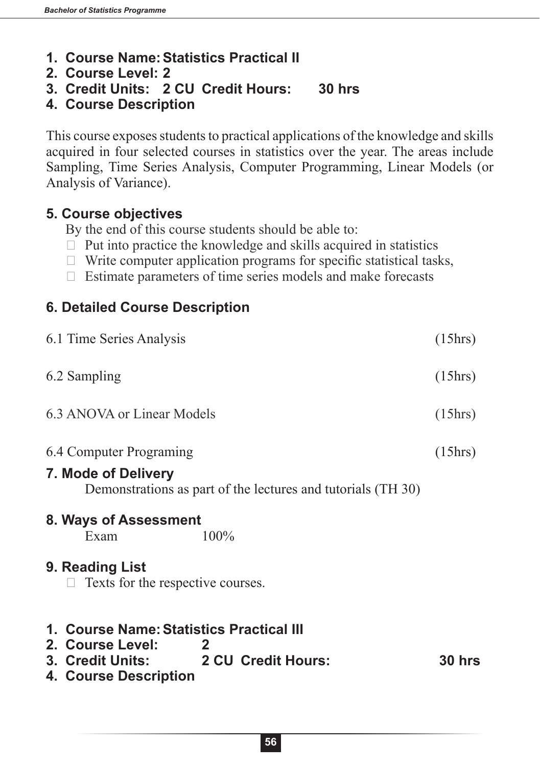- **1. Course Name:Statistics Practical II**
- **2. Course Level: 2**
- **3. Credit Units: 2 CU Credit Hours: 30 hrs**
- **4. Course Description**

This course exposes students to practical applications of the knowledge and skills acquired in four selected courses in statistics over the year. The areas include Sampling, Time Series Analysis, Computer Programming, Linear Models (or Analysis of Variance).

## **5. Course objectives**

By the end of this course students should be able to:

- $\Box$  Put into practice the knowledge and skills acquired in statistics
- $\Box$  Write computer application programs for specific statistical tasks,
- $\Box$  Estimate parameters of time series models and make forecasts

## **6. Detailed Course Description**

| 6.1 Time Series Analysis                                                                                                                     | (15hrs) |
|----------------------------------------------------------------------------------------------------------------------------------------------|---------|
| 6.2 Sampling                                                                                                                                 | (15hrs) |
| 6.3 ANOVA or Linear Models                                                                                                                   | (15hrs) |
| 6.4 Computer Programing<br><b>7. Mode of Delivery</b><br>Demonstrations as part of the lectures and tutorials (TH 30)                        | (15hrs) |
| 8. Ways of Assessment<br>100%<br>Exam                                                                                                        |         |
| 9. Reading List<br>Texts for the respective courses.                                                                                         |         |
| 1. Course Name: Statistics Practical III<br>2. Course Level:<br>$\mathbf{2}$<br>3. Credit Units: 2 CU Credit Hours:<br>4. Course Description | 30 hrs  |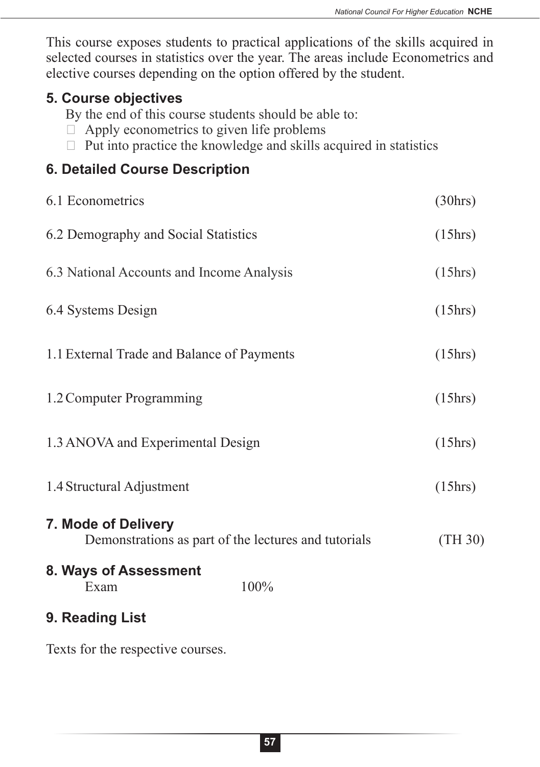This course exposes students to practical applications of the skills acquired in selected courses in statistics over the year. The areas include Econometrics and elective courses depending on the option offered by the student.

## **5. Course objectives**

By the end of this course students should be able to:

- $\Box$  Apply econometrics to given life problems
- $\Box$  Put into practice the knowledge and skills acquired in statistics

## **6. Detailed Course Description**

| 6.1 Econometrics                                                            | (30 hrs) |
|-----------------------------------------------------------------------------|----------|
| 6.2 Demography and Social Statistics                                        | (15hrs)  |
| 6.3 National Accounts and Income Analysis                                   | (15hrs)  |
| 6.4 Systems Design                                                          | (15hrs)  |
| 1.1 External Trade and Balance of Payments                                  | (15hrs)  |
| 1.2 Computer Programming                                                    | (15 hrs) |
| 1.3 ANOVA and Experimental Design                                           | (15 hrs) |
| 1.4 Structural Adjustment                                                   | (15hrs)  |
| 7. Mode of Delivery<br>Demonstrations as part of the lectures and tutorials | (TH30)   |
| 8. Ways of Assessment<br>100%<br>Exam                                       |          |
| 9. Reading List                                                             |          |
| Texts for the respective courses.                                           |          |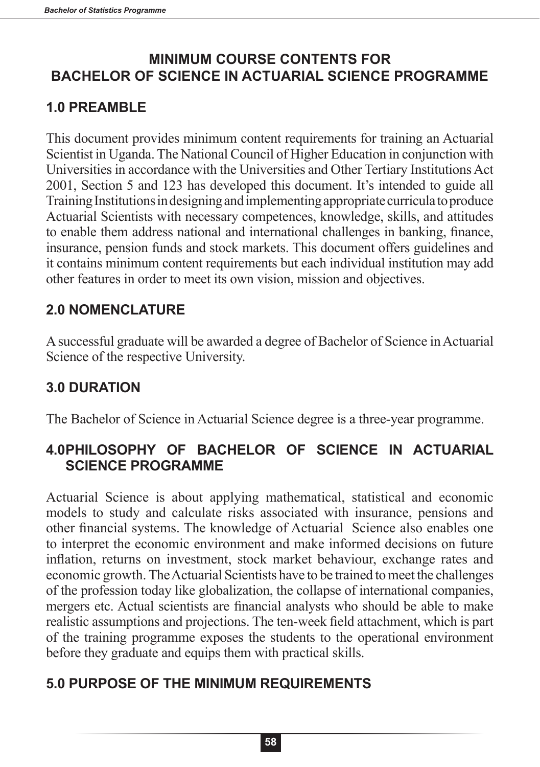## **MINIMUM COURSE CONTENTS FOR BACHELOR OF SCIENCE IN ACTUARIAL SCIENCE PROGRAMME**

# **1.0 PREAMBLE**

This document provides minimum content requirements for training an Actuarial Scientist in Uganda. The National Council of Higher Education in conjunction with Universities in accordance with the Universities and Other Tertiary Institutions Act 2001, Section 5 and 123 has developed this document. It's intended to guide all Training Institutions in designing and implementing appropriate curricula to produce Actuarial Scientists with necessary competences, knowledge, skills, and attitudes to enable them address national and international challenges in banking, finance, insurance, pension funds and stock markets. This document offers guidelines and it contains minimum content requirements but each individual institution may add other features in order to meet its own vision, mission and objectives.

## **2.0 NOMENCLATURE**

A successful graduate will be awarded a degree of Bachelor of Science in Actuarial Science of the respective University.

# **3.0 DURATION**

The Bachelor of Science in Actuarial Science degree is a three-year programme.

## **4.0PHILOSOPHY OF BACHELOR OF SCIENCE IN ACTUARIAL SCIENCE PROGRAMME**

Actuarial Science is about applying mathematical, statistical and economic models to study and calculate risks associated with insurance, pensions and other financial systems. The knowledge of Actuarial Science also enables one to interpret the economic environment and make informed decisions on future inflation, returns on investment, stock market behaviour, exchange rates and economic growth. The Actuarial Scientists have to be trained to meet the challenges of the profession today like globalization, the collapse of international companies, mergers etc. Actual scientists are financial analysts who should be able to make realistic assumptions and projections. The ten-week field attachment, which is part of the training programme exposes the students to the operational environment before they graduate and equips them with practical skills.

# **5.0 PURPOSE OF THE MINIMUM REQUIREMENTS**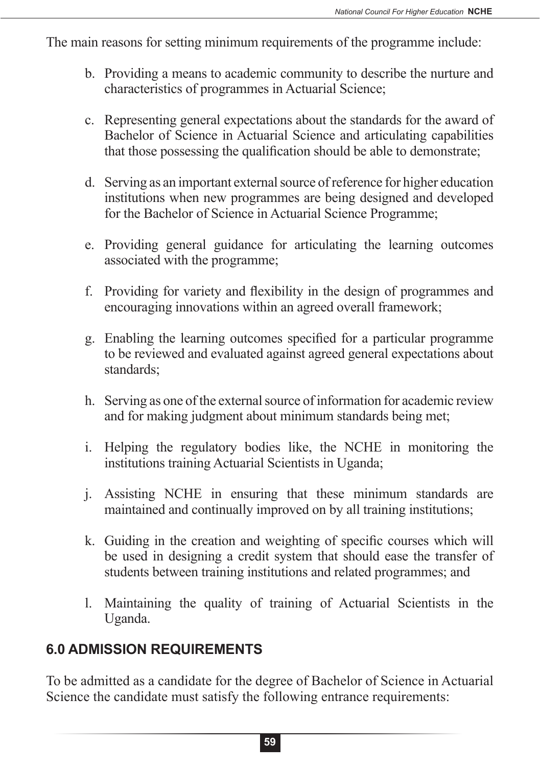The main reasons for setting minimum requirements of the programme include:

- b. Providing a means to academic community to describe the nurture and characteristics of programmes in Actuarial Science;
- c. Representing general expectations about the standards for the award of Bachelor of Science in Actuarial Science and articulating capabilities that those possessing the qualification should be able to demonstrate;
- d. Serving as an important external source of reference for higher education institutions when new programmes are being designed and developed for the Bachelor of Science in Actuarial Science Programme;
- e. Providing general guidance for articulating the learning outcomes associated with the programme;
- f. Providing for variety and flexibility in the design of programmes and encouraging innovations within an agreed overall framework;
- g. Enabling the learning outcomes specified for a particular programme to be reviewed and evaluated against agreed general expectations about standards;
- h. Serving as one of the external source of information for academic review and for making judgment about minimum standards being met;
- i. Helping the regulatory bodies like, the NCHE in monitoring the institutions training Actuarial Scientists in Uganda;
- j. Assisting NCHE in ensuring that these minimum standards are maintained and continually improved on by all training institutions;
- k. Guiding in the creation and weighting of specific courses which will be used in designing a credit system that should ease the transfer of students between training institutions and related programmes; and
- l. Maintaining the quality of training of Actuarial Scientists in the Uganda.

# **6.0 ADMISSION REQUIREMENTS**

To be admitted as a candidate for the degree of Bachelor of Science in Actuarial Science the candidate must satisfy the following entrance requirements: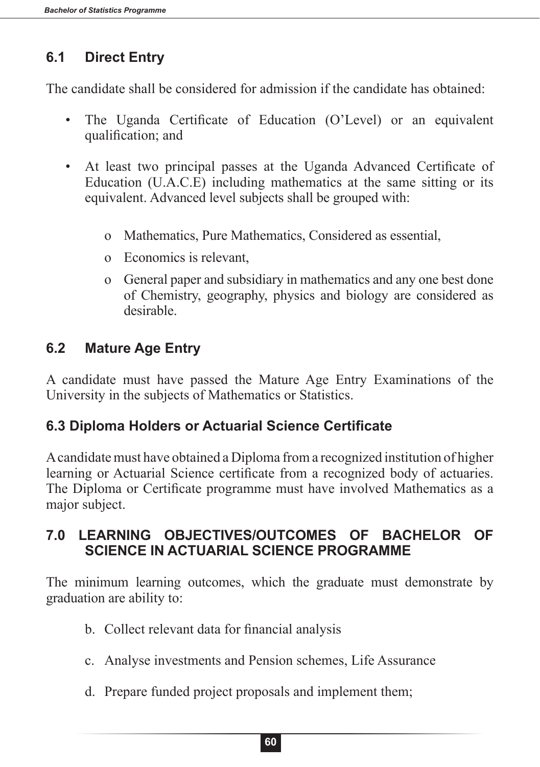# **6.1 Direct Entry**

The candidate shall be considered for admission if the candidate has obtained:

- The Uganda Certificate of Education (O'Level) or an equivalent qualification; and
- At least two principal passes at the Uganda Advanced Certificate of Education (U.A.C.E) including mathematics at the same sitting or its equivalent. Advanced level subjects shall be grouped with:
	- o Mathematics, Pure Mathematics, Considered as essential,
	- o Economics is relevant,
	- o General paper and subsidiary in mathematics and any one best done of Chemistry, geography, physics and biology are considered as desirable.

# **6.2 Mature Age Entry**

A candidate must have passed the Mature Age Entry Examinations of the University in the subjects of Mathematics or Statistics.

## **6.3 Diploma Holders or Actuarial Science Certificate**

A candidate must have obtained a Diploma from a recognized institution of higher learning or Actuarial Science certificate from a recognized body of actuaries. The Diploma or Certificate programme must have involved Mathematics as a major subject.

## **7.0 LEARNING OBJECTIVES/OUTCOMES OF BACHELOR OF SCIENCE IN ACTUARIAL SCIENCE PROGRAMME**

The minimum learning outcomes, which the graduate must demonstrate by graduation are ability to:

- b. Collect relevant data for financial analysis
- c. Analyse investments and Pension schemes, Life Assurance
- d. Prepare funded project proposals and implement them;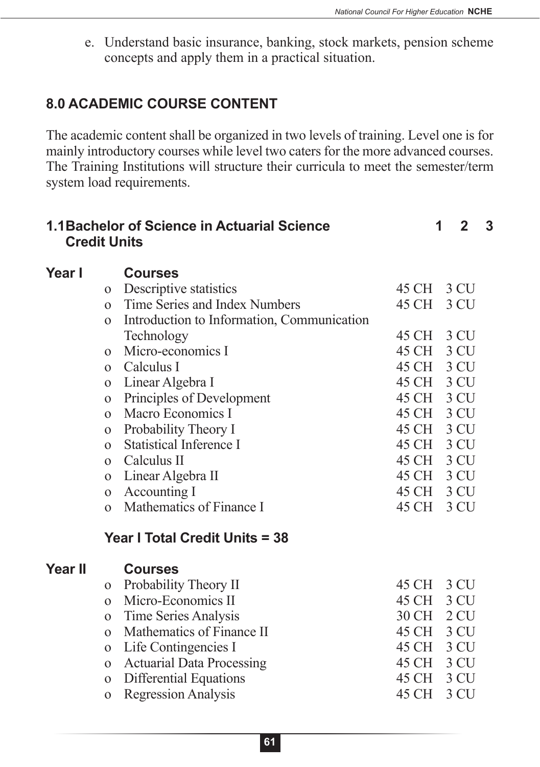e. Understand basic insurance, banking, stock markets, pension scheme concepts and apply them in a practical situation.

## **8.0 ACADEMIC COURSE CONTENT**

The academic content shall be organized in two levels of training. Level one is for mainly introductory courses while level two caters for the more advanced courses. The Training Institutions will structure their curricula to meet the semester/term system load requirements.

| <b>Credit Units</b> |                | 1.1 Bachelor of Science in Actuarial Science |            | 1 | $\mathbf 2$ | 3 |
|---------------------|----------------|----------------------------------------------|------------|---|-------------|---|
| Year I              |                | <b>Courses</b>                               |            |   |             |   |
|                     | $\Omega$       | Descriptive statistics                       | 45 CH 3 CU |   |             |   |
|                     | $\Omega$       | Time Series and Index Numbers                | 45 CH      |   | 3 CU        |   |
|                     | $\mathbf{O}$   | Introduction to Information, Communication   |            |   |             |   |
|                     |                | Technology                                   | 45 CH 3 CU |   |             |   |
|                     | $\Omega$       | Micro-economics I                            | 45 CH      |   | 3 CU        |   |
|                     | $\overline{O}$ | Calculus I                                   | 45 CH 3 CU |   |             |   |
|                     | $\Omega$       | Linear Algebra I                             | 45 CH 3 CU |   |             |   |
|                     | $\mathbf{O}$   | Principles of Development                    | 45 CH 3 CU |   |             |   |
|                     | $\overline{O}$ | Macro Economics I                            | 45 CH 3 CU |   |             |   |
|                     | $\mathbf{O}$   | Probability Theory I                         | 45 CH 3 CU |   |             |   |
|                     | $\Omega$       | <b>Statistical Inference I</b>               | 45 CH 3 CU |   |             |   |
|                     | $\Omega$       | Calculus II                                  | 45 CH 3 CU |   |             |   |
|                     | $\Omega$       | Linear Algebra II                            | 45 CH 3 CU |   |             |   |
|                     | $\mathbf{O}$   | Accounting I                                 | 45 CH 3 CU |   |             |   |
|                     | $\Omega$       | Mathematics of Finance I                     | 45 CH      |   | 3 CU        |   |
|                     |                | Year I Total Credit Units = 38               |            |   |             |   |
| <b>Year II</b>      |                | <b>Courses</b>                               |            |   |             |   |
|                     | $\mathbf{O}$   | Probability Theory II                        | 45 CH 3 CU |   |             |   |
|                     | $\Omega$       | Micro-Economics II                           | 45 CH      |   | 3 CU        |   |
|                     | $\mathbf{O}$   | Time Series Analysis                         | 30 CH 2 CU |   |             |   |
|                     | $\Omega$       | Mathematics of Finance II                    | 45 CH 3 CU |   |             |   |
|                     | $\mathbf{O}$   | Life Contingencies I                         | 45 CH 3 CU |   |             |   |
|                     | $\mathbf{O}$   | <b>Actuarial Data Processing</b>             | 45 CH 3 CU |   |             |   |
|                     | $\mathbf{O}$   | Differential Equations                       | 45 CH 3 CU |   |             |   |
|                     | $\mathbf{O}$   | <b>Regression Analysis</b>                   | 45 CH      |   | 3 CU        |   |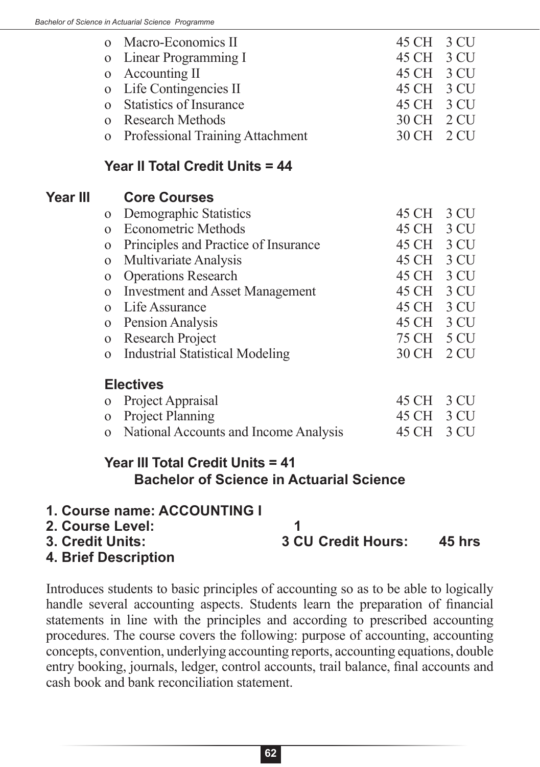| o Macro-Economics II               | 45 CH 3 CU |  |
|------------------------------------|------------|--|
| o Linear Programming I             | 45 CH 3 CU |  |
| o Accounting II                    | 45 CH 3 CU |  |
| o Life Contingencies II            | 45 CH 3 CU |  |
| o Statistics of Insurance          | 45 CH 3 CU |  |
| o Research Methods                 | 30 CH 2 CU |  |
| o Professional Training Attachment | 30 CH 2 CU |  |
|                                    |            |  |

#### **Year II Total Credit Units = 44**

# **Year III Core Courses**

| o Demographic Statistics | 45 CH 3 CU                                                                                                                                                                                                                                                              |                                                                                                                            |
|--------------------------|-------------------------------------------------------------------------------------------------------------------------------------------------------------------------------------------------------------------------------------------------------------------------|----------------------------------------------------------------------------------------------------------------------------|
|                          |                                                                                                                                                                                                                                                                         |                                                                                                                            |
|                          |                                                                                                                                                                                                                                                                         |                                                                                                                            |
|                          |                                                                                                                                                                                                                                                                         |                                                                                                                            |
|                          |                                                                                                                                                                                                                                                                         |                                                                                                                            |
|                          |                                                                                                                                                                                                                                                                         |                                                                                                                            |
|                          |                                                                                                                                                                                                                                                                         |                                                                                                                            |
|                          |                                                                                                                                                                                                                                                                         |                                                                                                                            |
|                          |                                                                                                                                                                                                                                                                         |                                                                                                                            |
|                          |                                                                                                                                                                                                                                                                         |                                                                                                                            |
|                          | <b>Econometric Methods</b><br>o Principles and Practice of Insurance<br>o Multivariate Analysis<br>o Operations Research<br>o Investment and Asset Management<br>o Life Assurance<br>o Pension Analysis<br><b>Research Project</b><br>o Industrial Statistical Modeling | 45 CH 3 CU<br>45 CH 3 CU<br>45 CH 3 CU<br>45 CH 3 CU<br>45 CH 3 CU<br>45 CH 3 CU<br>45 CH 3 CU<br>75 CH 5 CU<br>30 CH 2 CU |

#### **Electives**

| o Project Appraisal                     | 45 CH 3 CU |  |
|-----------------------------------------|------------|--|
| o Project Planning                      | 45 CH 3 CU |  |
| o National Accounts and Income Analysis | 45 CH 3 CU |  |

## **Year III Total Credit Units = 41 Bachelor of Science in Actuarial Science**

#### **1. Course name: ACCOUNTING I**

**2. Course Level: 1 3. Credit Units: 3 CU Credit Hours: 45 hrs 4. Brief Description**

Introduces students to basic principles of accounting so as to be able to logically handle several accounting aspects. Students learn the preparation of financial statements in line with the principles and according to prescribed accounting procedures. The course covers the following: purpose of accounting, accounting concepts, convention, underlying accounting reports, accounting equations, double entry booking, journals, ledger, control accounts, trail balance, final accounts and cash book and bank reconciliation statement.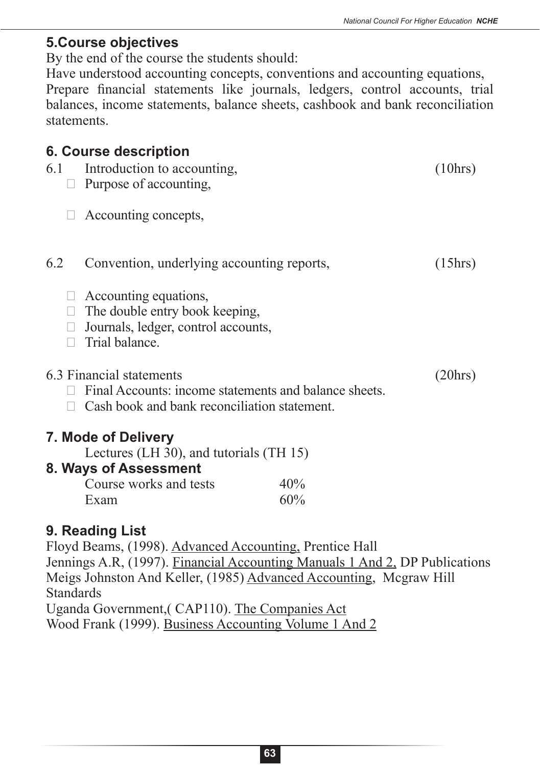## **5.Course objectives**

By the end of the course the students should:

Have understood accounting concepts, conventions and accounting equations, Prepare financial statements like journals, ledgers, control accounts, trial balances, income statements, balance sheets, cashbook and bank reconciliation statements.

# **6. Course description**

| 6.1 | Introduction to accounting,<br>Purpose of accounting,                                                                             |     | (10 hrs) |
|-----|-----------------------------------------------------------------------------------------------------------------------------------|-----|----------|
|     | Accounting concepts,                                                                                                              |     |          |
| 6.2 | Convention, underlying accounting reports,                                                                                        |     | (15hrs)  |
|     | Accounting equations,<br>The double entry book keeping,<br>Journals, ledger, control accounts,<br>Trial balance.                  |     |          |
|     | 6.3 Financial statements<br>Final Accounts: income statements and balance sheets.<br>Cash book and bank reconciliation statement. |     | (20 hrs) |
|     | 7. Mode of Delivery                                                                                                               |     |          |
|     | Lectures (LH 30), and tutorials (TH 15)                                                                                           |     |          |
|     | 8. Ways of Assessment                                                                                                             |     |          |
|     | Course works and tests                                                                                                            | 40% |          |
|     | Exam                                                                                                                              | 60% |          |
|     |                                                                                                                                   |     |          |

## **9. Reading List**

Floyd Beams, (1998). Advanced Accounting, Prentice Hall Jennings A.R, (1997). Financial Accounting Manuals 1 And 2, DP Publications Meigs Johnston And Keller, (1985) Advanced Accounting, Mcgraw Hill **Standards** Uganda Government,( CAP110). The Companies Act

Wood Frank (1999). Business Accounting Volume 1 And 2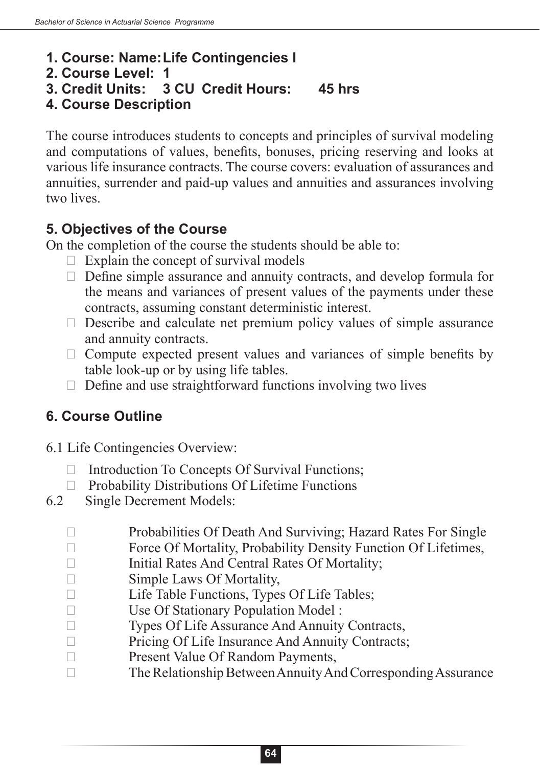## **1. Course: Name:Life Contingencies I**

#### **2. Course Level: 1**

**3. Credit Units: 3 CU Credit Hours: 45 hrs**

## **4. Course Description**

The course introduces students to concepts and principles of survival modeling and computations of values, benefits, bonuses, pricing reserving and looks at various life insurance contracts. The course covers: evaluation of assurances and annuities, surrender and paid-up values and annuities and assurances involving two lives.

## **5. Objectives of the Course**

On the completion of the course the students should be able to:

- $\Box$  Explain the concept of survival models
- $\Box$  Define simple assurance and annuity contracts, and develop formula for the means and variances of present values of the payments under these contracts, assuming constant deterministic interest.
- $\Box$  Describe and calculate net premium policy values of simple assurance and annuity contracts.
- $\Box$  Compute expected present values and variances of simple benefits by table look-up or by using life tables.
- $\Box$  Define and use straightforward functions involving two lives

## **6. Course Outline**

- 6.1 Life Contingencies Overview:
	- $\Box$  Introduction To Concepts Of Survival Functions;
	- $\Box$  Probability Distributions Of Lifetime Functions
- 6.2 Single Decrement Models:
	- $\Box$  Probabilities Of Death And Surviving; Hazard Rates For Single
	- $\Box$  Force Of Mortality, Probability Density Function Of Lifetimes,
	- $\Box$  Initial Rates And Central Rates Of Mortality;
	- $\Box$  Simple Laws Of Mortality,
	- $\Box$  Life Table Functions, Types Of Life Tables;
	- $\Box$  Use Of Stationary Population Model :
	- □ Types Of Life Assurance And Annuity Contracts,
	- $\Box$  Pricing Of Life Insurance And Annuity Contracts;
	- $\Box$  Present Value Of Random Payments,
	- $\Box$  The Relationship Between Annuity And Corresponding Assurance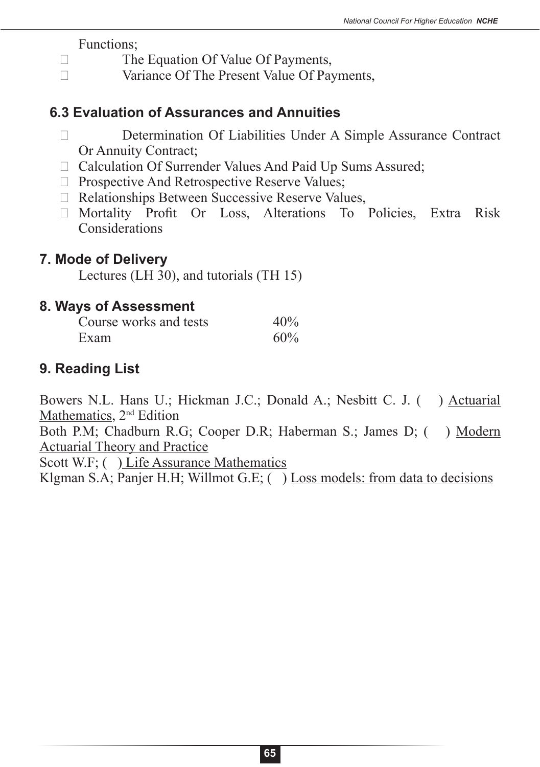Functions;

- $\Box$  The Equation Of Value Of Payments,
- $\Box$  Variance Of The Present Value Of Payments,

## **6.3 Evaluation of Assurances and Annuities**

- □ Determination Of Liabilities Under A Simple Assurance Contract Or Annuity Contract;
- $\Box$  Calculation Of Surrender Values And Paid Up Sums Assured;
- $\Box$  Prospective And Retrospective Reserve Values;
- $\Box$  Relationships Between Successive Reserve Values,
- $\Box$  Mortality Profit Or Loss, Alterations To Policies, Extra Risk Considerations

## **7. Mode of Delivery**

Lectures (LH 30), and tutorials (TH 15)

### **8. Ways of Assessment**

| Course works and tests | 40% |
|------------------------|-----|
| Exam                   | 60% |

## **9. Reading List**

Bowers N.L. Hans U.; Hickman J.C.; Donald A.; Nesbitt C. J. ( ) Actuarial Mathematics, 2<sup>nd</sup> Edition

Both P.M; Chadburn R.G; Cooper D.R; Haberman S.; James D; ( ) Modern Actuarial Theory and Practice

Scott W.F; ( ) Life Assurance Mathematics

Klgman S.A; Panjer H.H; Willmot G.E; () Loss models: from data to decisions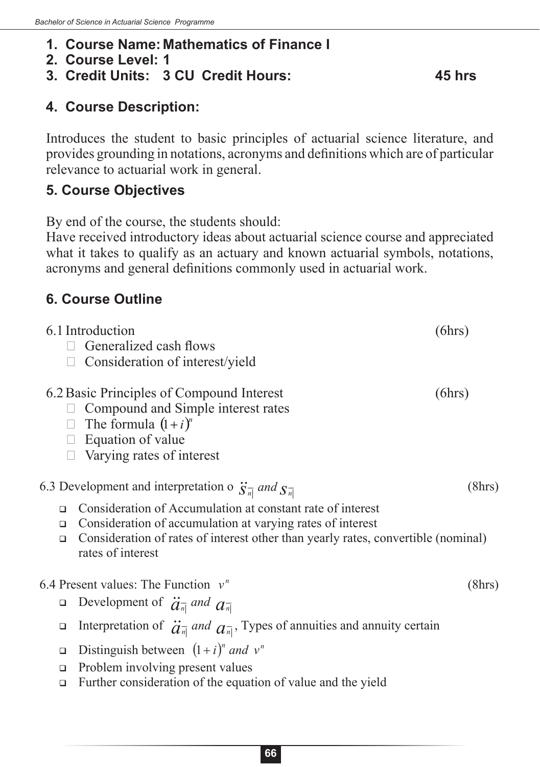#### **1. Course Name: Mathematics of Finance I**

- **2. Course Level: 1**
- **3. Credit Units: 3 CU Credit Hours: 45 hrs**

### **4. Course Description:**

Introduces the student to basic principles of actuarial science literature, and provides grounding in notations, acronyms and definitions which are of particular relevance to actuarial work in general.

#### **5. Course Objectives**

By end of the course, the students should:

Have received introductory ideas about actuarial science course and appreciated what it takes to qualify as an actuary and known actuarial symbols, notations, acronyms and general definitions commonly used in actuarial work.

## **6. Course Outline**

|                            | 6.1 Introduction<br>Generalized cash flows<br>Consideration of interest/yield                                                                                                                                                      | (6hrs) |
|----------------------------|------------------------------------------------------------------------------------------------------------------------------------------------------------------------------------------------------------------------------------|--------|
|                            | 6.2 Basic Principles of Compound Interest<br>Compound and Simple interest rates<br>$\Box$ The formula $(1+i)^n$<br>$\Box$ Equation of value<br>Varying rates of interest                                                           | (6hrs) |
|                            | 6.3 Development and interpretation o $\ddot{S}_{n}^-$ and $S_{n}^-$                                                                                                                                                                | (8hrs) |
| $\Box$<br>$\Box$<br>$\Box$ | Consideration of Accumulation at constant rate of interest<br>Consideration of accumulation at varying rates of interest<br>Consideration of rates of interest other than yearly rates, convertible (nominal)<br>rates of interest |        |
|                            | 6.4 Present values: The Function $v^n$                                                                                                                                                                                             | (8hrs) |
| $\Box$                     | Development of $\ddot{a}_{\overline{n}}$ and $a_{\overline{n}}$                                                                                                                                                                    |        |
| о                          | Interpretation of $\ddot{a}_{\overline{n}}$ and $a_{\overline{n}}$ , Types of annuities and annuity certain                                                                                                                        |        |
| $\Box$<br>□<br>$\Box$      | Distinguish between $(1+i)^n$ and $v^n$<br>Problem involving present values<br>Further consideration of the equation of value and the yield                                                                                        |        |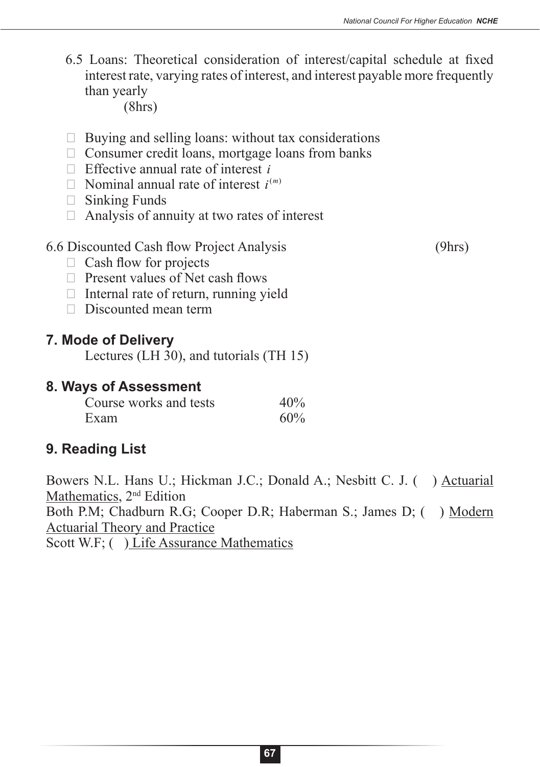6.5 Loans: Theoretical consideration of interest/capital schedule at fixed interest rate, varying rates of interest, and interest payable more frequently than yearly

(8hrs)

- $\Box$  Buying and selling loans: without tax considerations
- $\Box$  Consumer credit loans, mortgage loans from banks
- $\Box$  Effective annual rate of interest *i*
- $\Box$  Nominal annual rate of interest  $i^{(m)}$
- $\Box$  Sinking Funds
- $\Box$  Analysis of annuity at two rates of interest

#### 6.6 Discounted Cash flow Project Analysis (9hrs)

- $\Box$  Cash flow for projects
- $\Box$  Present values of Net cash flows
- $\Box$  Internal rate of return, running yield
- $\Box$  Discounted mean term

#### **7. Mode of Delivery**

Lectures (LH 30), and tutorials (TH 15)

## **8. Ways of Assessment**

| Course works and tests | 40% |
|------------------------|-----|
| Exam                   | 60% |

## **9. Reading List**

Bowers N.L. Hans U.; Hickman J.C.; Donald A.; Nesbitt C. J. () Actuarial Mathematics, 2<sup>nd</sup> Edition Both P.M; Chadburn R.G; Cooper D.R; Haberman S.; James D; ( ) Modern Actuarial Theory and Practice Scott W.F; ( ) Life Assurance Mathematics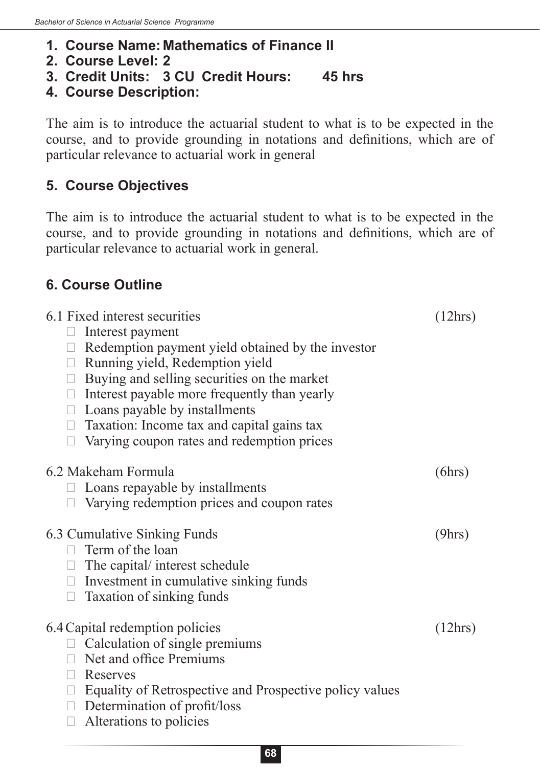- **1. Course Name: Mathematics of Finance II**
- **2. Course Level: 2**
- **3. Credit Units: 3 CU Credit Hours: 45 hrs**
- **4. Course Description:**

The aim is to introduce the actuarial student to what is to be expected in the course, and to provide grounding in notations and definitions, which are of particular relevance to actuarial work in general

## **5. Course Objectives**

The aim is to introduce the actuarial student to what is to be expected in the course, and to provide grounding in notations and definitions, which are of particular relevance to actuarial work in general.

## **6. Course Outline**

| 6.1 Fixed interest securities                                  | (12hrs) |
|----------------------------------------------------------------|---------|
| Interest payment<br>$\Box$                                     |         |
| $\Box$ Redemption payment yield obtained by the investor       |         |
| $\Box$ Running yield, Redemption yield                         |         |
| Buying and selling securities on the market<br>$\Box$          |         |
| $\Box$ Interest payable more frequently than yearly            |         |
| $\Box$ Loans payable by installments                           |         |
| $\Box$ Taxation: Income tax and capital gains tax              |         |
| Varying coupon rates and redemption prices<br>$\Box$           |         |
|                                                                |         |
| 6.2 Makeham Formula                                            | (6hrs)  |
| Loans repayable by installments<br>$\Box$                      |         |
| Varying redemption prices and coupon rates<br>$\Box$           |         |
| 6.3 Cumulative Sinking Funds                                   | (9hrs)  |
| $\Box$ Term of the loan                                        |         |
| $\Box$ The capital/ interest schedule                          |         |
| $\Box$ Investment in cumulative sinking funds                  |         |
| Taxation of sinking funds<br>$\Box$                            |         |
|                                                                |         |
| 6.4 Capital redemption policies                                | (12hrs) |
| $\Box$ Calculation of single premiums                          |         |
| $\Box$ Net and office Premiums                                 |         |
| $\Box$ Reserves                                                |         |
| $\Box$ Equality of Retrospective and Prospective policy values |         |
| $\Box$ Determination of profit/loss                            |         |
| Alterations to policies<br>$\Box$                              |         |
|                                                                |         |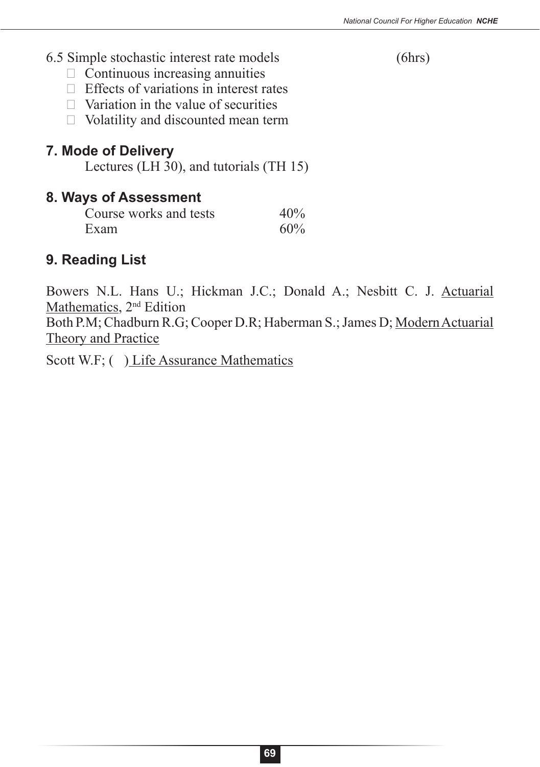#### 6.5 Simple stochastic interest rate models (6hrs)

- $\Box$  Continuous increasing annuities
- $\Box$  Effects of variations in interest rates
- $\Box$  Variation in the value of securities
- $\Box$  Volatility and discounted mean term

### **7. Mode of Delivery**

Lectures (LH 30), and tutorials (TH 15)

#### **8. Ways of Assessment**

| Course works and tests | 40% |
|------------------------|-----|
| Exam                   | 60% |

## **9. Reading List**

Bowers N.L. Hans U.; Hickman J.C.; Donald A.; Nesbitt C. J. Actuarial Mathematics, 2<sup>nd</sup> Edition Both P.M; Chadburn R.G; Cooper D.R; Haberman S.; James D; Modern Actuarial

Theory and Practice

Scott W.F; ( ) Life Assurance Mathematics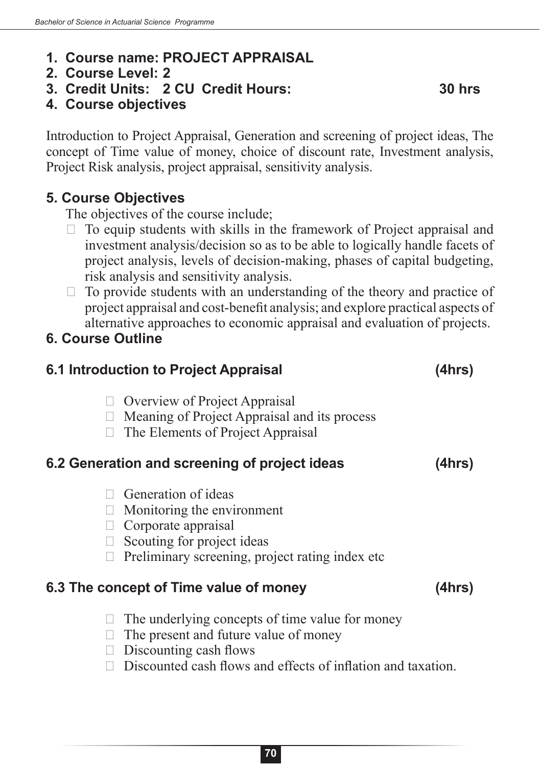- **1. Course name: PROJECT APPRAISAL**
- **2. Course Level: 2**
- **3. Credit Units: 2 CU Credit Hours: 30 hrs**
- **4. Course objectives**

Introduction to Project Appraisal, Generation and screening of project ideas, The concept of Time value of money, choice of discount rate, Investment analysis, Project Risk analysis, project appraisal, sensitivity analysis.

#### **5. Course Objectives**

The objectives of the course include;

- $\Box$  To equip students with skills in the framework of Project appraisal and investment analysis/decision so as to be able to logically handle facets of project analysis, levels of decision-making, phases of capital budgeting, risk analysis and sensitivity analysis.
- $\Box$  To provide students with an understanding of the theory and practice of project appraisal and cost-benefit analysis; and explore practical aspects of alternative approaches to economic appraisal and evaluation of projects.

#### **6. Course Outline**

| 6.1 Introduction to Project Appraisal                                                                                                                                              | (4hrs) |
|------------------------------------------------------------------------------------------------------------------------------------------------------------------------------------|--------|
| <b>Overview of Project Appraisal</b><br>Meaning of Project Appraisal and its process<br>The Elements of Project Appraisal                                                          |        |
| 6.2 Generation and screening of project ideas                                                                                                                                      | (4hrs) |
| Generation of ideas<br>Monitoring the environment<br>Corporate appraisal<br>Scouting for project ideas<br>Preliminary screening, project rating index etc.                         |        |
| 6.3 The concept of Time value of money                                                                                                                                             | (4hrs) |
| The underlying concepts of time value for money<br>The present and future value of money<br>Discounting cash flows<br>Discounted cash flows and effects of inflation and taxation. |        |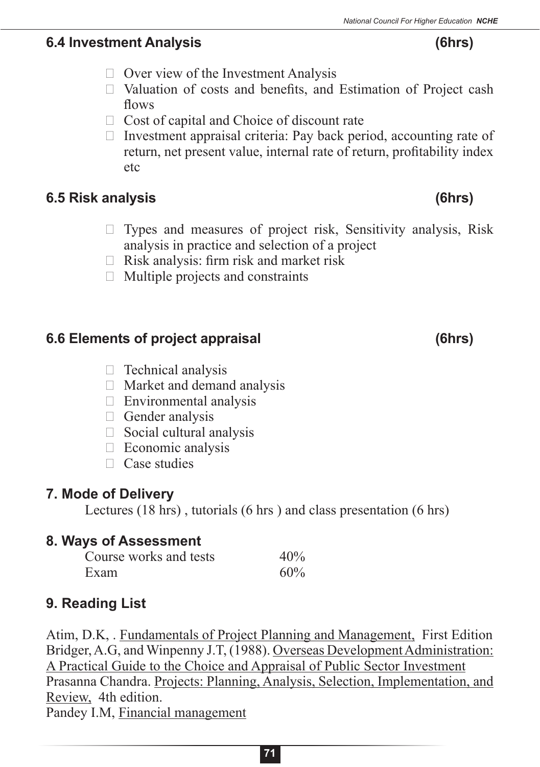## **6.4 Investment Analysis (6hrs)**

- $\Box$  Over view of the Investment Analysis
- $\Box$  Valuation of costs and benefits, and Estimation of Project cash flows
- $\Box$  Cost of capital and Choice of discount rate
- $\Box$  Investment appraisal criteria: Pay back period, accounting rate of return, net present value, internal rate of return, profitability index etc

# **6.5 Risk analysis (6hrs)**

- $\Box$  Types and measures of project risk, Sensitivity analysis, Risk analysis in practice and selection of a project
- $\Box$  Risk analysis: firm risk and market risk
- $\Box$  Multiple projects and constraints

# **6.6 Elements of project appraisal (6hrs)**

- $\Box$  Technical analysis
- $\Box$  Market and demand analysis
- $\Box$  Environmental analysis
- $\Box$  Gender analysis
- $\Box$  Social cultural analysis
- $\Box$  Economic analysis
- $\Box$  Case studies

# **7. Mode of Delivery**

Lectures (18 hrs) , tutorials (6 hrs ) and class presentation (6 hrs)

# **8. Ways of Assessment**

| Course works and tests | 40% |
|------------------------|-----|
| Exam                   | 60% |

# **9. Reading List**

Atim, D.K, . Fundamentals of Project Planning and Management, First Edition Bridger, A.G, and Winpenny J.T, (1988). Overseas Development Administration: A Practical Guide to the Choice and Appraisal of Public Sector Investment Prasanna Chandra. Projects: Planning, Analysis, Selection, Implementation, and Review, 4th edition. Pandey I.M, Financial management

#### **71**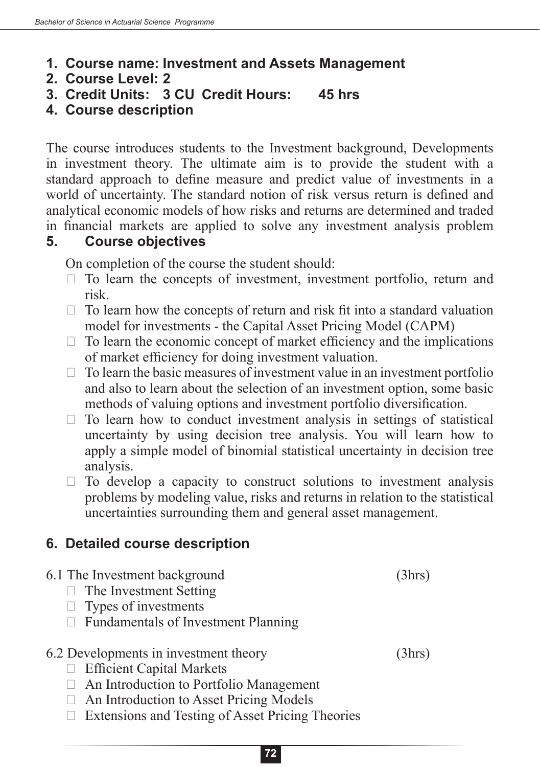- **1. Course name: Investment and Assets Management**
- **2. Course Level: 2**
- **3. Credit Units: 3 CU Credit Hours: 45 hrs**
- **4. Course description**

The course introduces students to the Investment background, Developments in investment theory. The ultimate aim is to provide the student with a standard approach to define measure and predict value of investments in a world of uncertainty. The standard notion of risk versus return is defined and analytical economic models of how risks and returns are determined and traded in financial markets are applied to solve any investment analysis problem

### **5. Course objectives**

On completion of the course the student should:

- $\Box$  To learn the concepts of investment, investment portfolio, return and risk.
- $\Box$  To learn how the concepts of return and risk fit into a standard valuation model for investments - the Capital Asset Pricing Model (CAPM)
- $\Box$  To learn the economic concept of market efficiency and the implications of market efficiency for doing investment valuation.
- $\Box$  To learn the basic measures of investment value in an investment portfolio and also to learn about the selection of an investment option, some basic methods of valuing options and investment portfolio diversification.
- $\Box$  To learn how to conduct investment analysis in settings of statistical uncertainty by using decision tree analysis. You will learn how to apply a simple model of binomial statistical uncertainty in decision tree analysis.
- $\Box$  To develop a capacity to construct solutions to investment analysis problems by modeling value, risks and returns in relation to the statistical uncertainties surrounding them and general asset management.

## **6. Detailed course description**

- 6.1 The Investment background (3hrs)  $\Box$  The Investment Setting  $\Box$  Types of investments  $\Box$  Fundamentals of Investment Planning 6.2 Developments in investment theory (3hrs)  $\Box$  Efficient Capital Markets  $\Box$  An Introduction to Portfolio Management
	- $\Box$  An Introduction to Asset Pricing Models
	- $\Box$  Extensions and Testing of Asset Pricing Theories
		- **72**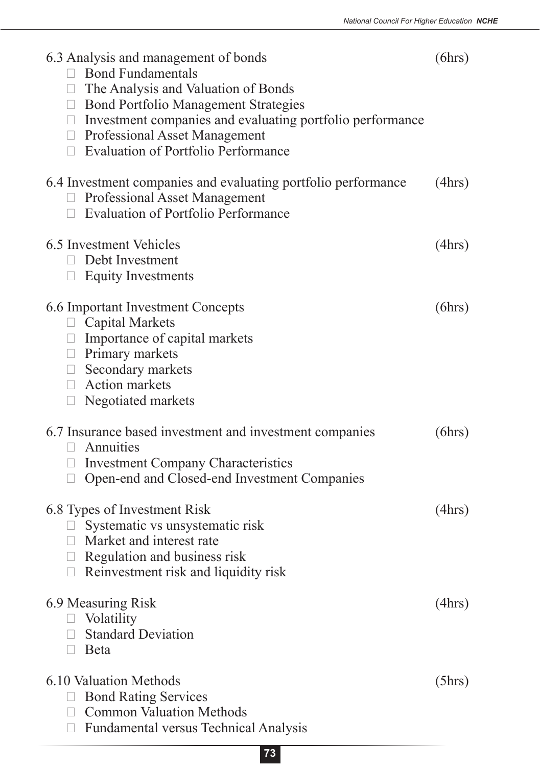| 6.3 Analysis and management of bonds<br><b>Bond Fundamentals</b><br>$\Box$ The Analysis and Valuation of Bonds<br>□ Bond Portfolio Management Strategies<br>$\Box$ Investment companies and evaluating portfolio performance<br>□ Professional Asset Management<br>$\Box$ Evaluation of Portfolio Performance | (6hrs) |
|---------------------------------------------------------------------------------------------------------------------------------------------------------------------------------------------------------------------------------------------------------------------------------------------------------------|--------|
| 6.4 Investment companies and evaluating portfolio performance<br><b>Professional Asset Management</b><br><b>Evaluation of Portfolio Performance</b><br>$\Box$                                                                                                                                                 | (4hrs) |
| 6.5 Investment Vehicles<br>Debt Investment<br>П.<br><b>Equity Investments</b><br>П                                                                                                                                                                                                                            | (4hrs) |
| 6.6 Important Investment Concepts<br><b>Capital Markets</b><br>U<br>$\Box$ Importance of capital markets<br>$\Box$ Primary markets<br>$\Box$ Secondary markets<br>$\Box$ Action markets<br>Negotiated markets                                                                                                 | (6hrs) |
| 6.7 Insurance based investment and investment companies<br>Annuities<br>$\Box$<br>$\Box$ Investment Company Characteristics<br>Open-end and Closed-end Investment Companies                                                                                                                                   | (6hrs) |
| 6.8 Types of Investment Risk<br>Systematic vs unsystematic risk<br>Market and interest rate<br>Regulation and business risk<br>Reinvestment risk and liquidity risk<br>$\Box$                                                                                                                                 | (4hrs) |
| 6.9 Measuring Risk<br>Volatility<br><b>Standard Deviation</b><br>$\Box$<br>Beta<br>$\Box$                                                                                                                                                                                                                     | (4hrs) |
| 6.10 Valuation Methods<br><b>Bond Rating Services</b><br><b>Common Valuation Methods</b><br><b>Fundamental versus Technical Analysis</b>                                                                                                                                                                      | (5hrs) |

**73**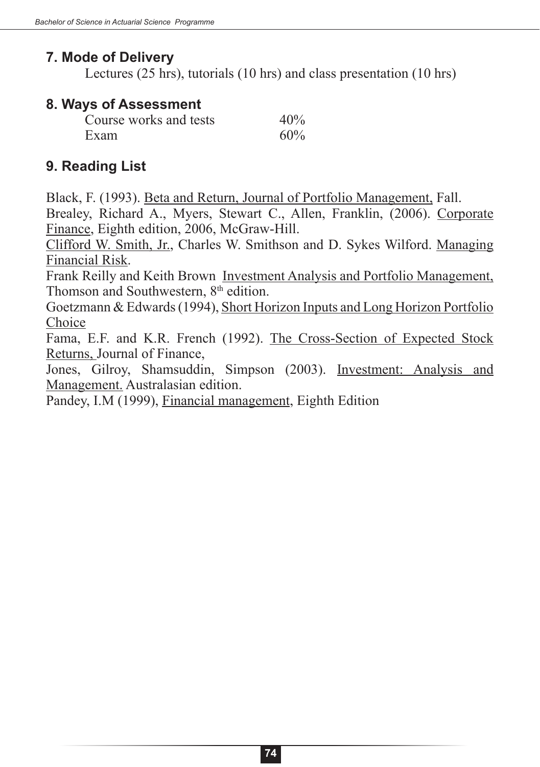## **7. Mode of Delivery**

Lectures (25 hrs), tutorials (10 hrs) and class presentation (10 hrs)

### **8. Ways of Assessment**

| Course works and tests | 40% |
|------------------------|-----|
| Exam                   | 60% |

## **9. Reading List**

Black, F. (1993). Beta and Return, Journal of Portfolio Management, Fall.

Brealey, Richard A., Myers, Stewart C., Allen, Franklin, (2006). Corporate Finance, Eighth edition, 2006, McGraw-Hill.

Clifford W. Smith, Jr., Charles W. Smithson and D. Sykes Wilford. Managing Financial Risk.

Frank Reilly and Keith Brown Investment Analysis and Portfolio Management, Thomson and Southwestern, 8<sup>th</sup> edition.

Goetzmann & Edwards (1994), Short Horizon Inputs and Long Horizon Portfolio Choice

Fama, E.F. and K.R. French (1992). The Cross-Section of Expected Stock Returns, Journal of Finance,

Jones, Gilroy, Shamsuddin, Simpson (2003). Investment: Analysis and Management. Australasian edition.

Pandey, I.M (1999), Financial management, Eighth Edition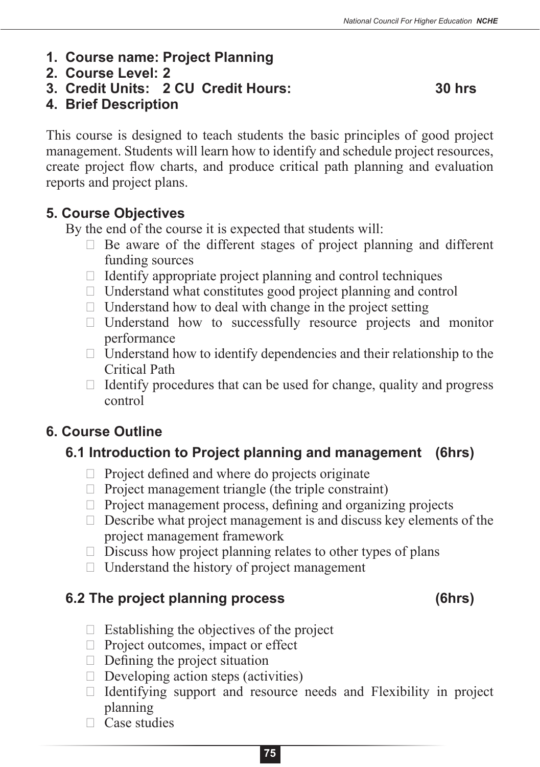- **1. Course name: Project Planning**
- **2. Course Level: 2**
- **3. Credit Units: 2 CU Credit Hours: 30 hrs**

**4. Brief Description**

This course is designed to teach students the basic principles of good project management. Students will learn how to identify and schedule project resources, create project flow charts, and produce critical path planning and evaluation reports and project plans.

### **5. Course Objectives**

By the end of the course it is expected that students will:

- $\Box$  Be aware of the different stages of project planning and different funding sources
- $\Box$  Identify appropriate project planning and control techniques
- $\Box$  Understand what constitutes good project planning and control
- $\Box$  Understand how to deal with change in the project setting
- $\Box$  Understand how to successfully resource projects and monitor performance
- $\Box$  Understand how to identify dependencies and their relationship to the Critical Path
- $\Box$  Identify procedures that can be used for change, quality and progress control

## **6. Course Outline**

# **6.1 Introduction to Project planning and management (6hrs)**

- $\Box$  Project defined and where do projects originate
- $\Box$  Project management triangle (the triple constraint)
- $\Box$  Project management process, defining and organizing projects
- $\Box$  Describe what project management is and discuss key elements of the project management framework
- $\Box$  Discuss how project planning relates to other types of plans
- $\Box$  Understand the history of project management

## **6.2 The project planning process (6hrs)**

- $\Box$  Establishing the objectives of the project
- $\Box$  Project outcomes, impact or effect
- $\Box$  Defining the project situation
- $\Box$  Developing action steps (activities)
- $\Box$  Identifying support and resource needs and Flexibility in project planning
- $\Box$  Case studies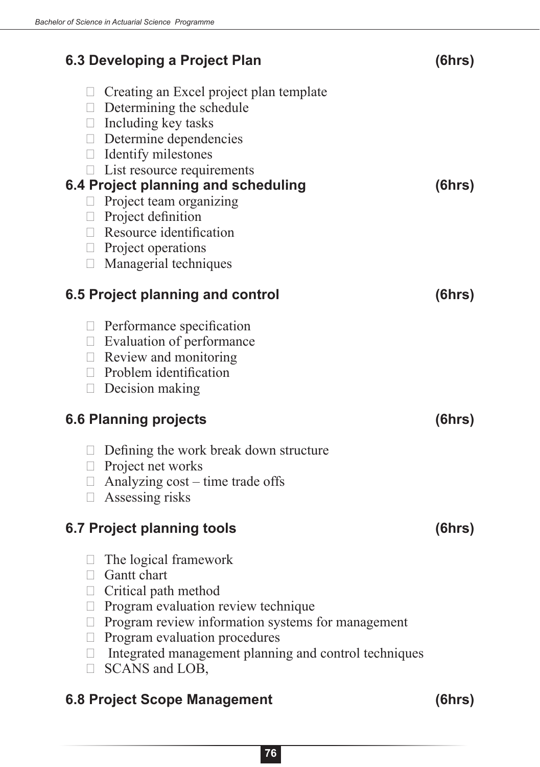| 6.3 Developing a Project Plan                                                                                                                                                                                                                                                                                                                                     | (6hrs) |
|-------------------------------------------------------------------------------------------------------------------------------------------------------------------------------------------------------------------------------------------------------------------------------------------------------------------------------------------------------------------|--------|
| $\Box$ Creating an Excel project plan template<br>$\Box$ Determining the schedule<br>Including key tasks<br>$\Box$<br>$\Box$ Determine dependencies<br>$\Box$ Identify milestones<br>$\Box$ List resource requirements<br>6.4 Project planning and scheduling<br>Project team organizing<br>$\Box$<br>$\Box$ Project definition<br>$\Box$ Resource identification | (6hrs) |
| $\Box$ Project operations                                                                                                                                                                                                                                                                                                                                         |        |
| Managerial techniques<br>$\Box$                                                                                                                                                                                                                                                                                                                                   |        |
| 6.5 Project planning and control                                                                                                                                                                                                                                                                                                                                  | (6hrs) |
| $\Box$ Performance specification<br>$\Box$ Evaluation of performance<br>$\Box$ Review and monitoring<br>$\Box$ Problem identification<br>Decision making<br>$\Box$                                                                                                                                                                                                |        |
| <b>6.6 Planning projects</b>                                                                                                                                                                                                                                                                                                                                      | (6hrs) |
| $\Box$ Defining the work break down structure<br>$\Box$ Project net works<br>Analyzing cost – time trade offs<br>$\Box$<br>Assessing risks<br>$\Box$                                                                                                                                                                                                              |        |
| 6.7 Project planning tools                                                                                                                                                                                                                                                                                                                                        | (6hrs) |
| The logical framework<br>$\Box$<br><b>Gantt</b> chart<br>Critical path method<br>$\Box$<br>Program evaluation review technique<br>$\Box$<br>Program review information systems for management<br>Н<br>Program evaluation procedures<br>$\Box$<br>Integrated management planning and control techniques<br>$\Box$<br>SCANS and LOB,<br>$\Box$                      |        |
| <b>6.8 Project Scope Management</b>                                                                                                                                                                                                                                                                                                                               | (6hrs) |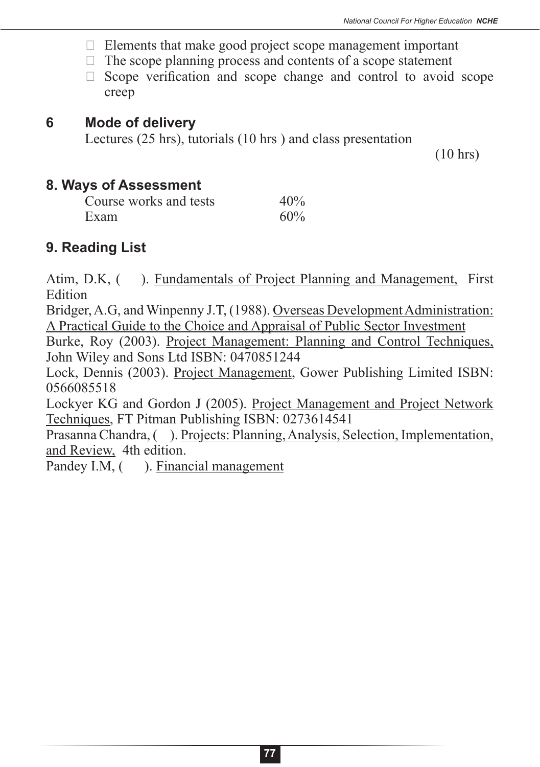- $\Box$  Elements that make good project scope management important
- $\Box$  The scope planning process and contents of a scope statement
- $\Box$  Scope verification and scope change and control to avoid scope creep

#### **6 Mode of delivery**

Lectures (25 hrs), tutorials (10 hrs ) and class presentation

(10 hrs)

#### **8. Ways of Assessment**

| Course works and tests | 40% |
|------------------------|-----|
| Exam                   | 60% |

#### **9. Reading List**

Atim, D.K, ( ). Fundamentals of Project Planning and Management, First Edition

Bridger, A.G, and Winpenny J.T, (1988). Overseas Development Administration: A Practical Guide to the Choice and Appraisal of Public Sector Investment

Burke, Roy (2003). Project Management: Planning and Control Techniques, John Wiley and Sons Ltd ISBN: 0470851244

Lock, Dennis (2003). Project Management, Gower Publishing Limited ISBN: 0566085518

Lockyer KG and Gordon J (2005). Project Management and Project Network Techniques, FT Pitman Publishing ISBN: 0273614541

Prasanna Chandra, ( ). Projects: Planning, Analysis, Selection, Implementation, and Review, 4th edition.

Pandey I.M,  $($ ). Financial management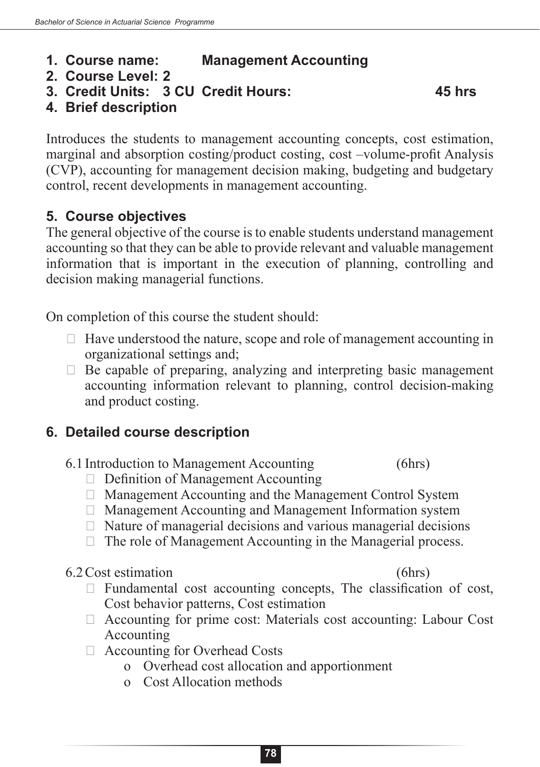## **1. Course name: Management Accounting**

- **2. Course Level: 2**
- **3. Credit Units: 3 CU Credit Hours: 45 hrs**

**4. Brief description**

Introduces the students to management accounting concepts, cost estimation, marginal and absorption costing/product costing, cost –volume-profit Analysis (CVP), accounting for management decision making, budgeting and budgetary control, recent developments in management accounting.

## **5. Course objectives**

The general objective of the course is to enable students understand management accounting so that they can be able to provide relevant and valuable management information that is important in the execution of planning, controlling and decision making managerial functions.

On completion of this course the student should:

- $\Box$  Have understood the nature, scope and role of management accounting in organizational settings and;
- $\Box$  Be capable of preparing, analyzing and interpreting basic management accounting information relevant to planning, control decision-making and product costing.

## **6. Detailed course description**

- 6.1 Introduction to Management Accounting (6hrs)
	- $\Box$  Definition of Management Accounting
	- $\Box$  Management Accounting and the Management Control System
	- $\Box$  Management Accounting and Management Information system
	- $\Box$  Nature of managerial decisions and various managerial decisions
	- $\Box$  The role of Management Accounting in the Managerial process.

#### 6.2Cost estimation (6hrs)

- $\Box$  Fundamental cost accounting concepts, The classification of cost, Cost behavior patterns, Cost estimation
- $\Box$  Accounting for prime cost: Materials cost accounting: Labour Cost Accounting
- $\Box$  Accounting for Overhead Costs
	- o Overhead cost allocation and apportionment
	- o Cost Allocation methods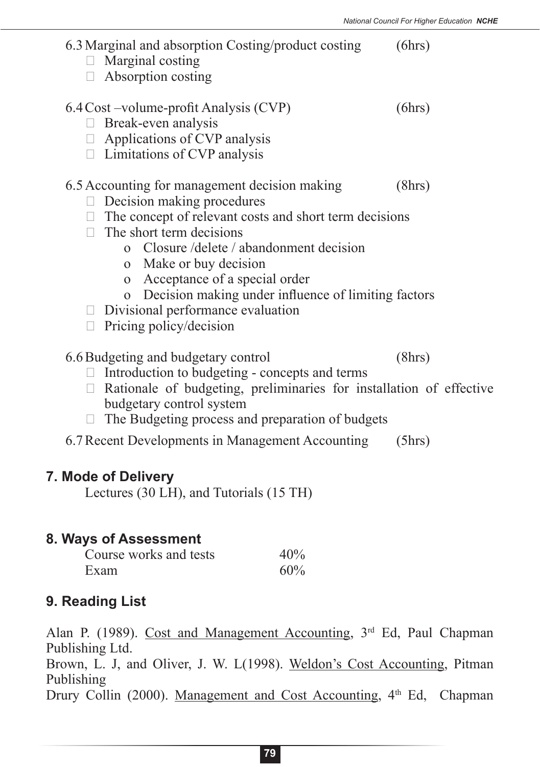| 6.3 Marginal and absorption Costing/product costing<br>$\Box$ Marginal costing<br>$\Box$ Absorption costing                                                                                                                                                                                                                                                                                                                            | (6hrs) |
|----------------------------------------------------------------------------------------------------------------------------------------------------------------------------------------------------------------------------------------------------------------------------------------------------------------------------------------------------------------------------------------------------------------------------------------|--------|
| 6.4 Cost – volume-profit Analysis (CVP)<br>Break-even analysis<br>П<br>$\Box$ Applications of CVP analysis<br>$\Box$ Limitations of CVP analysis                                                                                                                                                                                                                                                                                       | (6hrs) |
| 6.5 Accounting for management decision making<br>$\Box$ Decision making procedures<br>$\Box$ The concept of relevant costs and short term decisions<br>$\Box$ The short term decisions<br>o Closure/delete/abandonment decision<br>o Make or buy decision<br>Acceptance of a special order<br>$\Omega$<br>o Decision making under influence of limiting factors<br>$\Box$ Divisional performance evaluation<br>Pricing policy/decision | (8hrs) |
| 6.6 Budgeting and budgetary control<br>Introduction to budgeting - concepts and terms<br>Rationale of budgeting, preliminaries for installation of effective<br>budgetary control system<br>The Budgeting process and preparation of budgets                                                                                                                                                                                           | (8hrs) |
| 6.7 Recent Developments in Management Accounting                                                                                                                                                                                                                                                                                                                                                                                       | (5hrs) |
| 7. Mode of Delivery                                                                                                                                                                                                                                                                                                                                                                                                                    |        |

Lectures (30 LH), and Tutorials (15 TH)

#### **8. Ways of Assessment**

| Course works and tests | 40% |
|------------------------|-----|
| Exam                   | 60% |

#### **9. Reading List**

Alan P. (1989). Cost and Management Accounting, 3<sup>rd</sup> Ed, Paul Chapman Publishing Ltd. Brown, L. J, and Oliver, J. W. L(1998). Weldon's Cost Accounting, Pitman Publishing Drury Collin (2000). Management and Cost Accounting, 4<sup>th</sup> Ed, Chapman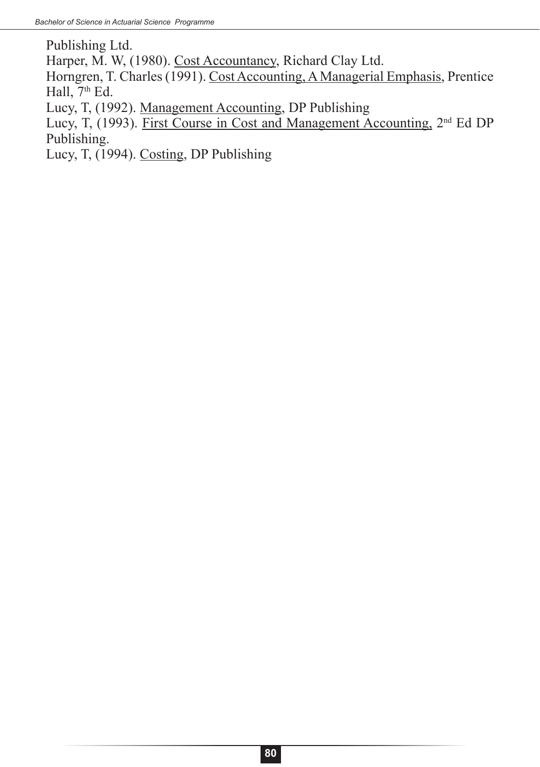Publishing Ltd. Harper, M. W, (1980). Cost Accountancy, Richard Clay Ltd. Horngren, T. Charles (1991). Cost Accounting, A Managerial Emphasis, Prentice Hall,  $7<sup>th</sup>$  Ed. Lucy, T, (1992). Management Accounting, DP Publishing Lucy, T, (1993). First Course in Cost and Management Accounting, 2nd Ed DP Publishing. Lucy, T, (1994). Costing, DP Publishing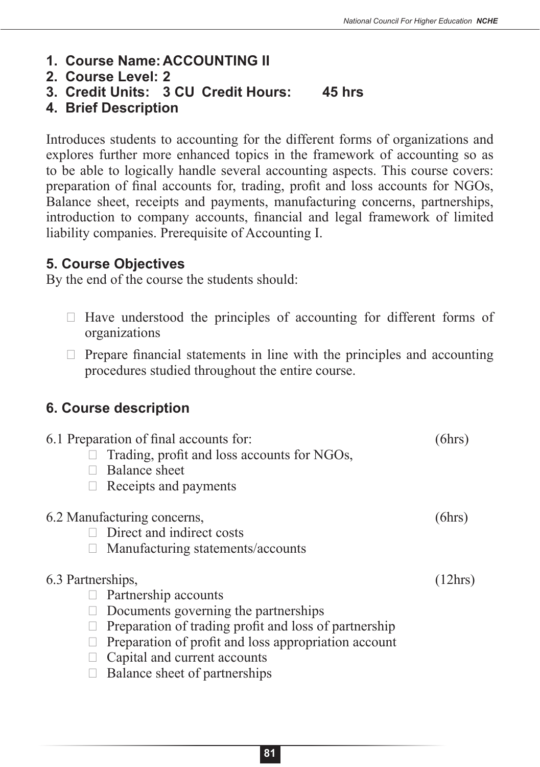- **1. Course Name:ACCOUNTING II**
- **2. Course Level: 2**
- **3. Credit Units: 3 CU Credit Hours: 45 hrs**
- **4. Brief Description**

Introduces students to accounting for the different forms of organizations and explores further more enhanced topics in the framework of accounting so as to be able to logically handle several accounting aspects. This course covers: preparation of final accounts for, trading, profit and loss accounts for NGOs, Balance sheet, receipts and payments, manufacturing concerns, partnerships, introduction to company accounts, financial and legal framework of limited liability companies. Prerequisite of Accounting I.

#### **5. Course Objectives**

By the end of the course the students should:

- $\Box$  Have understood the principles of accounting for different forms of organizations
- $\Box$  Prepare financial statements in line with the principles and accounting procedures studied throughout the entire course.

#### **6. Course description**

| 6.1 Preparation of final accounts for:<br>Trading, profit and loss accounts for NGOs,<br><b>Balance sheet</b><br>Receipts and payments                                                                                                                              |         |
|---------------------------------------------------------------------------------------------------------------------------------------------------------------------------------------------------------------------------------------------------------------------|---------|
| 6.2 Manufacturing concerns,<br>Direct and indirect costs<br>Manufacturing statements/accounts                                                                                                                                                                       | (6hrs)  |
| 6.3 Partnerships,<br>Partnership accounts<br>Documents governing the partnerships<br>Preparation of trading profit and loss of partnership<br>Preparation of profit and loss appropriation account<br>Capital and current accounts<br>Balance sheet of partnerships | (12hrs) |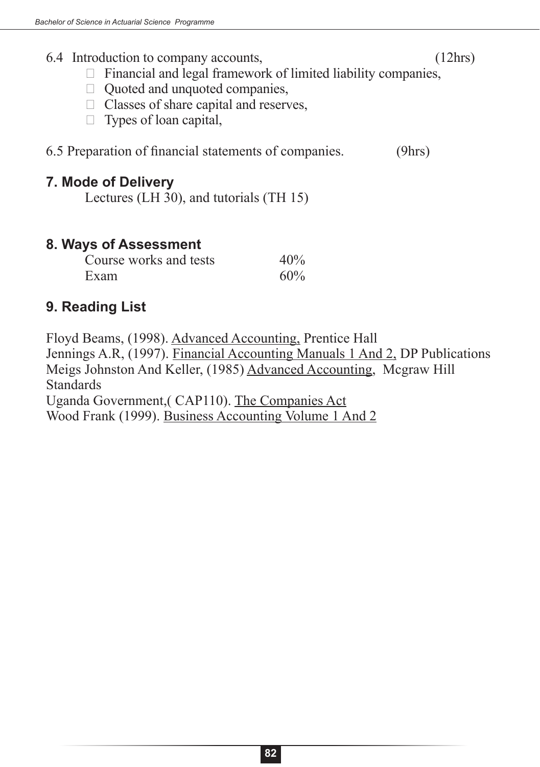#### 6.4 Introduction to company accounts, (12hrs)

- $\Box$  Financial and legal framework of limited liability companies,
- $\Box$  Quoted and unquoted companies,
- $\Box$  Classes of share capital and reserves,
- $\Box$  Types of loan capital,

6.5 Preparation of financial statements of companies. (9hrs)

### **7. Mode of Delivery**

Lectures (LH 30), and tutorials (TH 15)

### **8. Ways of Assessment**

| Course works and tests | 40% |
|------------------------|-----|
| Exam                   | 60% |

## **9. Reading List**

Floyd Beams, (1998). Advanced Accounting, Prentice Hall Jennings A.R, (1997). Financial Accounting Manuals 1 And 2, DP Publications Meigs Johnston And Keller, (1985) Advanced Accounting, Mcgraw Hill Standards Uganda Government,( CAP110). The Companies Act Wood Frank (1999). Business Accounting Volume 1 And 2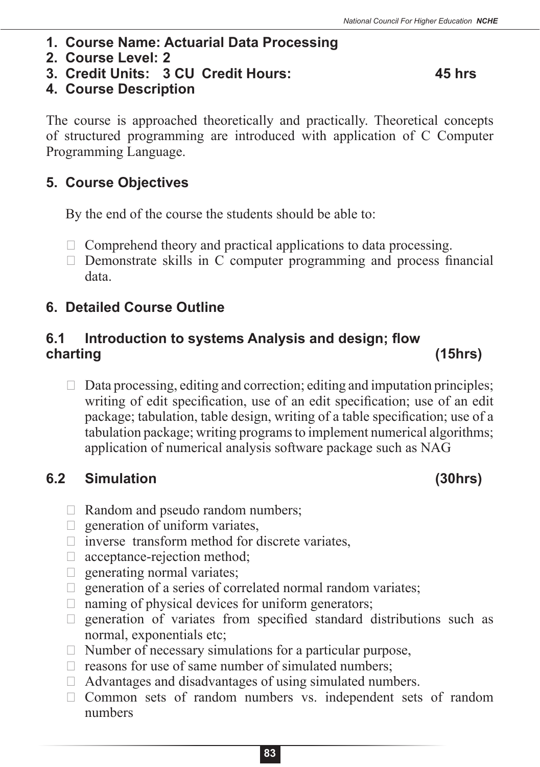- **1. Course Name: Actuarial Data Processing**
- **2. Course Level: 2**
- **3. Credit Units: 3 CU Credit Hours: 45 hrs**

### **4. Course Description**

The course is approached theoretically and practically. Theoretical concepts of structured programming are introduced with application of C Computer Programming Language.

## **5. Course Objectives**

By the end of the course the students should be able to:

- $\Box$  Comprehend theory and practical applications to data processing.
- $\Box$  Demonstrate skills in C computer programming and process financial data.

# **6. Detailed Course Outline**

## **6.1 Introduction to systems Analysis and design; flow charting (15hrs)**

 $\Box$  Data processing, editing and correction; editing and imputation principles; writing of edit specification, use of an edit specification; use of an edit package; tabulation, table design, writing of a table specification; use of a tabulation package; writing programs to implement numerical algorithms; application of numerical analysis software package such as NAG

## **6.2 Simulation (30hrs)**

- $\Box$  Random and pseudo random numbers;
- $\Box$  generation of uniform variates,
- $\Box$  inverse transform method for discrete variates,
- $\Box$  acceptance-rejection method;
- $\Box$  generating normal variates;
- $\Box$  generation of a series of correlated normal random variates;
- $\Box$  naming of physical devices for uniform generators;
- $\Box$  generation of variates from specified standard distributions such as normal, exponentials etc;
- $\Box$  Number of necessary simulations for a particular purpose,
- $\Box$  reasons for use of same number of simulated numbers;
- $\Box$  Advantages and disadvantages of using simulated numbers.
- $\Box$  Common sets of random numbers vs. independent sets of random numbers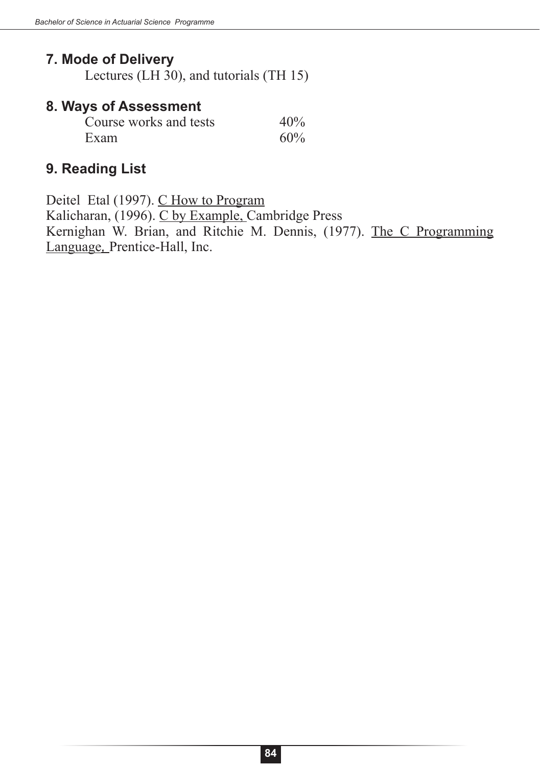## **7. Mode of Delivery**

Lectures (LH 30), and tutorials (TH 15)

#### **8. Ways of Assessment**

| Course works and tests | 40% |
|------------------------|-----|
| Exam                   | 60% |

## **9. Reading List**

Deitel Etal (1997). C How to Program Kalicharan, (1996). C by Example, Cambridge Press Kernighan W. Brian, and Ritchie M. Dennis, (1977). The C Programming Language*,* Prentice-Hall, Inc.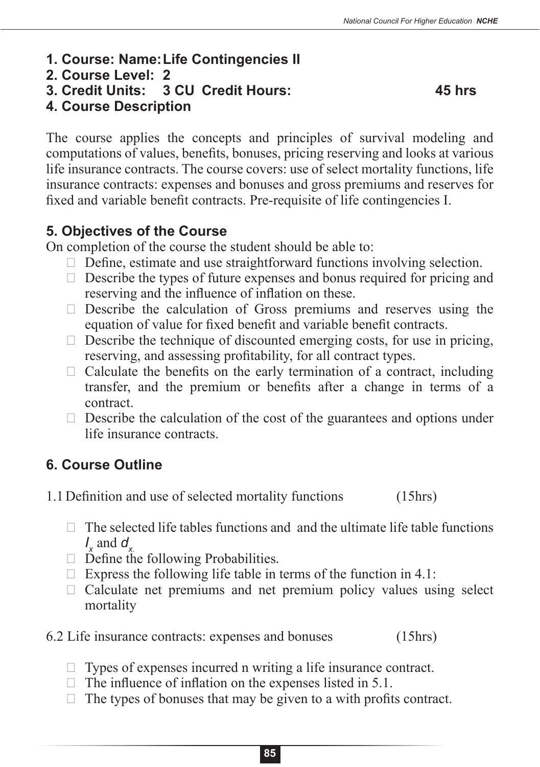- **1. Course: Name:Life Contingencies II**
- **2. Course Level: 2**
- **3. Credit Units: 3 CU Credit Hours: 45 hrs**

# **4. Course Description**

The course applies the concepts and principles of survival modeling and computations of values, benefits, bonuses, pricing reserving and looks at various life insurance contracts. The course covers: use of select mortality functions, life insurance contracts: expenses and bonuses and gross premiums and reserves for fixed and variable benefit contracts. Pre-requisite of life contingencies I.

# **5. Objectives of the Course**

On completion of the course the student should be able to:

- $\Box$  Define, estimate and use straightforward functions involving selection.
- $\Box$  Describe the types of future expenses and bonus required for pricing and reserving and the influence of inflation on these.
- $\Box$  Describe the calculation of Gross premiums and reserves using the equation of value for fixed benefit and variable benefit contracts.
- $\Box$  Describe the technique of discounted emerging costs, for use in pricing, reserving, and assessing profitability, for all contract types.
- $\Box$  Calculate the benefits on the early termination of a contract, including transfer, and the premium or benefits after a change in terms of a contract.
- $\Box$  Describe the calculation of the cost of the guarantees and options under life insurance contracts.

# **6. Course Outline**

1.1Definition and use of selected mortality functions (15hrs)

- $\Box$  The selected life tables functions and and the ultimate life table functions  $I_x$  and  $J_x$ .
- □ Define the following Probabilities.
- $\Box$  Express the following life table in terms of the function in 4.1:
- $\Box$  Calculate net premiums and net premium policy values using select mortality

## 6.2 Life insurance contracts: expenses and bonuses (15hrs)

- $\Box$  Types of expenses incurred n writing a life insurance contract.
- $\Box$  The influence of inflation on the expenses listed in 5.1.
- $\Box$  The types of bonuses that may be given to a with profits contract.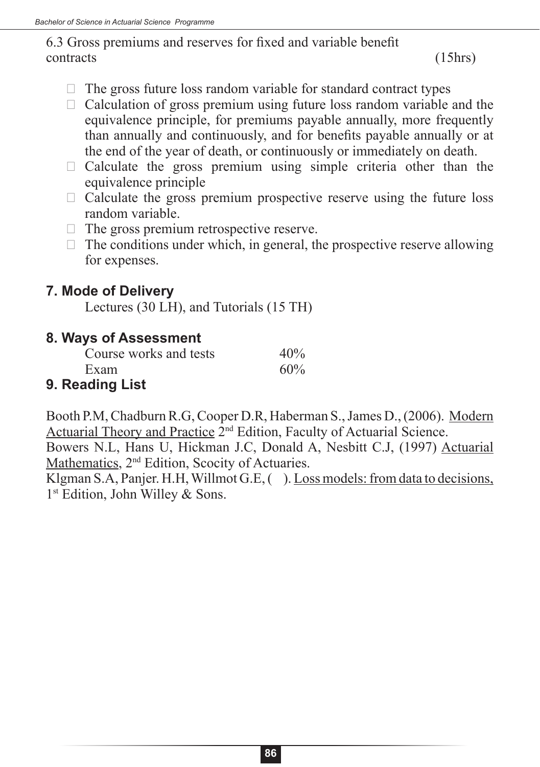6.3 Gross premiums and reserves for fixed and variable benefit contracts (15hrs)

- $\Box$  The gross future loss random variable for standard contract types
- $\Box$  Calculation of gross premium using future loss random variable and the equivalence principle, for premiums payable annually, more frequently than annually and continuously, and for benefits payable annually or at the end of the year of death, or continuously or immediately on death.
- $\Box$  Calculate the gross premium using simple criteria other than the equivalence principle
- $\Box$  Calculate the gross premium prospective reserve using the future loss random variable.
- $\Box$  The gross premium retrospective reserve.
- $\Box$  The conditions under which, in general, the prospective reserve allowing for expenses.

#### **7. Mode of Delivery**

Lectures (30 LH), and Tutorials (15 TH)

#### **8. Ways of Assessment**

| Course works and tests   | 40% |
|--------------------------|-----|
| Exam                     | 60% |
| الخامل المتحاملة المتحار |     |

## **9. Reading List**

Booth P.M, Chadburn R.G, Cooper D.R, Haberman S., James D., (2006). Modern Actuarial Theory and Practice 2nd Edition, Faculty of Actuarial Science.

Bowers N.L, Hans U, Hickman J.C, Donald A, Nesbitt C.J, (1997) Actuarial Mathematics, 2nd Edition, Scocity of Actuaries.

Klgman S.A, Panjer. H.H, Willmot G.E. (). Loss models: from data to decisions, 1<sup>st</sup> Edition, John Willey & Sons.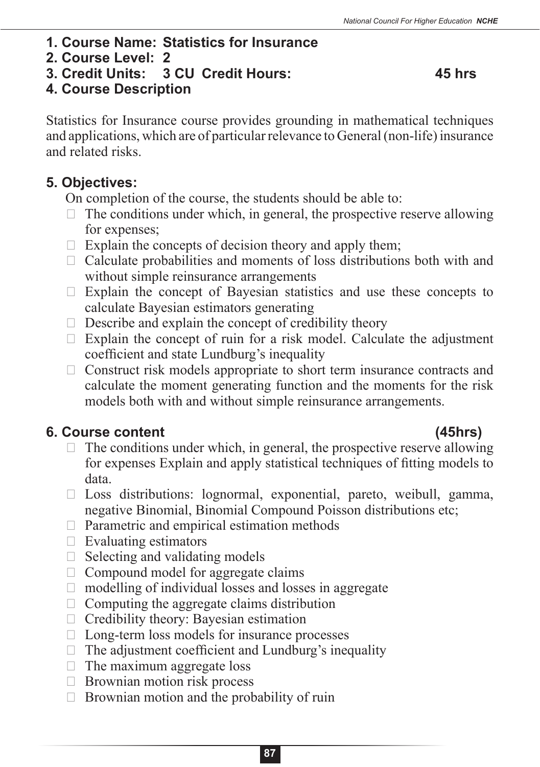- **1. Course Name: Statistics for Insurance**
- **2. Course Level: 2**
- **3. Credit Units: 3 CU Credit Hours: 45 hrs**

## **4. Course Description**

Statistics for Insurance course provides grounding in mathematical techniques and applications, which are of particular relevance to General (non-life) insurance and related risks.

## **5. Objectives:**

On completion of the course, the students should be able to:

- $\Box$  The conditions under which, in general, the prospective reserve allowing for expenses;
- $\Box$  Explain the concepts of decision theory and apply them;
- $\Box$  Calculate probabilities and moments of loss distributions both with and without simple reinsurance arrangements
- $\Box$  Explain the concept of Bayesian statistics and use these concepts to calculate Bayesian estimators generating
- $\Box$  Describe and explain the concept of credibility theory
- $\Box$  Explain the concept of ruin for a risk model. Calculate the adjustment coefficient and state Lundburg's inequality
- $\Box$  Construct risk models appropriate to short term insurance contracts and calculate the moment generating function and the moments for the risk models both with and without simple reinsurance arrangements.

## **6. Course content (45hrs)**

- $\Box$  The conditions under which, in general, the prospective reserve allowing for expenses Explain and apply statistical techniques of fitting models to data.
- $\Box$  Loss distributions: lognormal, exponential, pareto, weibull, gamma, negative Binomial, Binomial Compound Poisson distributions etc;
- $\Box$  Parametric and empirical estimation methods
- $\Box$  Evaluating estimators
- $\Box$  Selecting and validating models
- $\Box$  Compound model for aggregate claims
- $\Box$  modelling of individual losses and losses in aggregate
- $\Box$  Computing the aggregate claims distribution
- $\Box$  Credibility theory: Bayesian estimation
- $\Box$  Long-term loss models for insurance processes
- $\Box$  The adjustment coefficient and Lundburg's inequality
- $\Box$  The maximum aggregate loss
- $\Box$  Brownian motion risk process
- $\Box$  Brownian motion and the probability of ruin